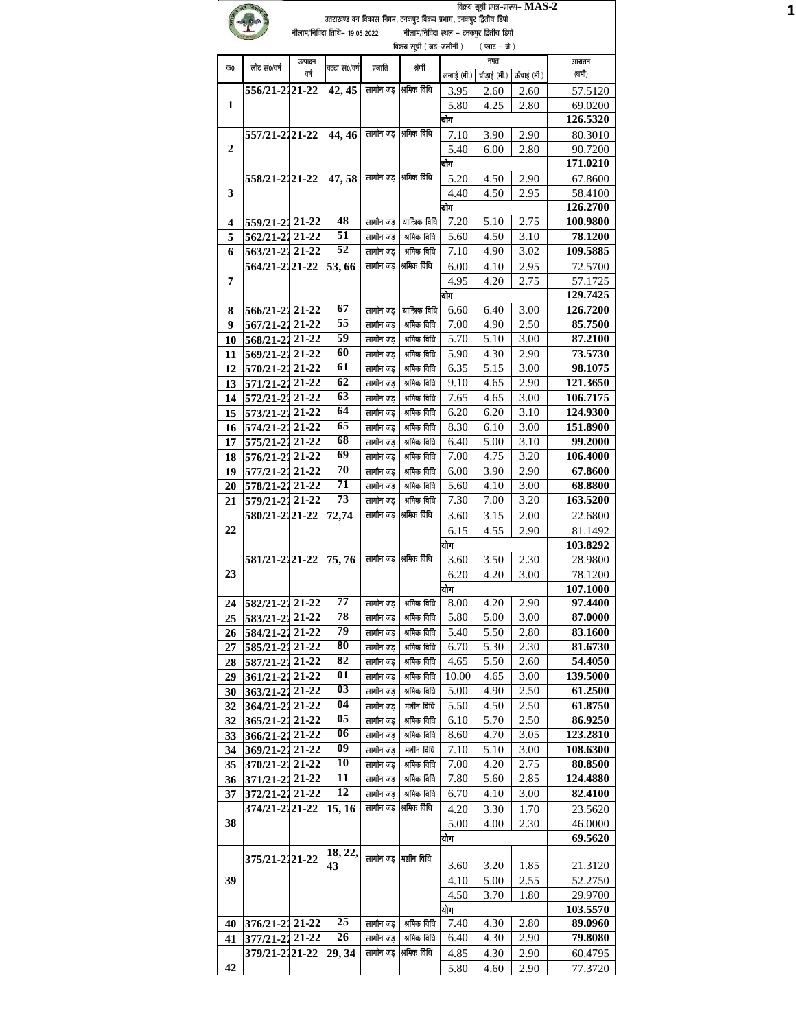**1**

| विक्रय सूची प्रपत्र-प्रारूप- $\bf{MAS}\text{-}2$ |                 |                 |                               |           |                                                                     |              |               |             |          |  |
|--------------------------------------------------|-----------------|-----------------|-------------------------------|-----------|---------------------------------------------------------------------|--------------|---------------|-------------|----------|--|
|                                                  |                 |                 |                               |           | उत्तराखण्ड वन विकास निगम, टनकपुर विक्रय प्रभाग, टनकपुर द्वितीय डिपो |              |               |             |          |  |
|                                                  |                 |                 | नीलाम/निविदा तिथि– 19.05.2022 |           | नीलाम/निविदा स्थल - टनकपुर द्वितीय डिपो                             |              |               |             |          |  |
|                                                  |                 |                 |                               |           | विक्रय सूची ( जड–जलौनी )                                            |              | ( प्लाट – जे) |             |          |  |
| क0                                               | लौट सं0/वर्ष    | उत्पादन<br>वर्ष | चटटा सं0/वर्ष                 | प्रजाति   | श्रेणी                                                              |              | नपत           |             | आयतन     |  |
|                                                  |                 |                 |                               |           |                                                                     | लम्बाई (मी.) | चौड़ाई (मी.)  | ऊँचाई (मी.) | (घमी)    |  |
|                                                  | 556/21-2121-22  |                 | 42, 45                        | सागौन जड़ | श्रमिक विधि                                                         | 3.95         | 2.60          | 2.60        | 57.5120  |  |
| $\mathbf{1}$                                     |                 |                 |                               |           |                                                                     | 5.80         | 4.25          | 2.80        | 69.0200  |  |
|                                                  |                 |                 |                               |           |                                                                     | योग          |               |             | 126.5320 |  |
|                                                  | 557/21-2121-22  |                 | 44, 46                        | सागौन जड़ | श्रमिक विधि                                                         | 7.10         | 3.90          | 2.90        | 80.3010  |  |
| $\overline{2}$                                   |                 |                 |                               |           |                                                                     | 5.40         | 6.00          | 2.80        | 90.7200  |  |
|                                                  |                 |                 |                               |           |                                                                     | योग          |               |             | 171.0210 |  |
|                                                  | 558/21-2121-22  |                 | 47,58                         | सागौन जड़ | श्रमिक विधि                                                         | 5.20         | 4.50          | 2.90        | 67.8600  |  |
| 3                                                |                 |                 |                               |           |                                                                     | 4.40         | 4.50          | 2.95        | 58.4100  |  |
|                                                  |                 |                 |                               |           |                                                                     | योग          |               |             | 126.2700 |  |
| $\overline{\mathbf{4}}$                          | 559/21-21       | 21-22           | 48                            | सागौन जड  | यान्त्रिक विधि                                                      | 7.20         | 5.10          | 2.75        | 100.9800 |  |
| 5                                                | 562/21-21 21-22 |                 | 51                            | सागौन जड़ | श्रमिक विधि                                                         | 5.60         | 4.50          | 3.10        | 78.1200  |  |
| 6                                                | 563/21-21 21-22 |                 | 52                            | सागौन जड़ | श्रमिक विधि                                                         | 7.10         | 4.90          | 3.02        | 109.5885 |  |
|                                                  | 564/21-2121-22  |                 | 53,66                         | सागौन जड  | श्रमिक विधि                                                         | 6.00         | 4.10          | 2.95        | 72.5700  |  |
| 7                                                |                 |                 |                               |           |                                                                     | 4.95         | 4.20          | 2.75        | 57.1725  |  |
|                                                  |                 |                 |                               |           |                                                                     | योग          |               |             | 129.7425 |  |
| 8                                                | 566/21-21       | $21 - 22$       | 67                            | सागौन जड़ | यान्त्रिक विधि                                                      | 6.60         | 6.40          | 3.00        | 126.7200 |  |
| 9                                                | 567/21-21 21-22 |                 | 55                            | सागौन जड़ | श्रमिक विधि                                                         | 7.00         | 4.90          | 2.50        | 85.7500  |  |
| 10                                               | 568/21-21 21-22 |                 | 59                            | सागौन जड़ | श्रमिक विधि                                                         | 5.70         | 5.10          | 3.00        | 87.2100  |  |
| 11                                               | 569/21-21 21-22 |                 | 60                            | सागौन जड़ | श्रमिक विधि                                                         | 5.90         | 4.30          | 2.90        | 73.5730  |  |
| 12                                               | 570/21-21       | $21 - 22$       | 61                            | सागौन जड  | श्रमिक विधि                                                         | 6.35         | 5.15          | 3.00        | 98.1075  |  |
| 13                                               | 571/21-21 21-22 |                 | 62                            | सागौन जड  | श्रमिक विधि                                                         | 9.10         | 4.65          | 2.90        | 121.3650 |  |
| 14                                               | 572/21-21 21-22 |                 | 63                            | सागौन जड  | श्रमिक विधि                                                         | 7.65         | 4.65          | 3.00        | 106.7175 |  |
| 15                                               | 573/21-21       | $21 - 22$       | 64                            | सागौन जड़ | श्रमिक विधि                                                         | 6.20         | 6.20          | 3.10        | 124.9300 |  |
| <b>16</b>                                        | 574/21-21 21-22 |                 | 65                            | सागौन जड  | श्रमिक विधि                                                         | 8.30         | 6.10          | 3.00        | 151.8900 |  |
| 17                                               | 575/21-21 21-22 |                 | 68                            | सागौन जड  | श्रमिक विधि                                                         | 6.40         | 5.00          | 3.10        | 99.2000  |  |
| 18                                               | 576/21-21 21-22 |                 | 69                            | सागौन जड़ | श्रमिक विधि                                                         | 7.00         | 4.75          | 3.20        | 106.4000 |  |
| 19                                               | 577/21-21       | $21 - 22$       | 70                            | सागौन जड  | श्रमिक विधि                                                         | 6.00         | 3.90          | 2.90        | 67.8600  |  |
| <b>20</b>                                        | 578/21-21 21-22 |                 | 71                            | सागौन जड  | श्रमिक विधि                                                         | 5.60         | 4.10          | 3.00        | 68.8800  |  |
| 21                                               | 579/21-21 21-22 |                 | 73                            | सागौन जड़ | श्रमिक विधि                                                         | 7.30         | 7.00          | 3.20        | 163.5200 |  |
|                                                  | 580/21-2121-22  |                 | 72,74                         | सागौन जड़ | श्रमिक विधि                                                         | 3.60         | 3.15          | 2.00        | 22.6800  |  |
| 22                                               |                 |                 |                               |           |                                                                     | 6.15         | 4.55          | 2.90        | 81.1492  |  |
|                                                  |                 |                 |                               |           |                                                                     | योग          |               |             | 103.8292 |  |
|                                                  | 581/21-2121-22  |                 | 75,76                         | सागौन जड  | श्रमिक विधि                                                         | 3.60         | 3.50          | 2.30        | 28.9800  |  |
| 23                                               |                 |                 |                               |           |                                                                     | 6.20         | 4.20          | 3.00        | 78.1200  |  |
|                                                  |                 |                 |                               |           |                                                                     | योग          |               |             | 107.1000 |  |
| 24                                               | 582/21-21 21-22 |                 | 77                            | सागौन जड़ | श्रमिक विधि                                                         | 8.00         | 4.20          | 2.90        | 97.4400  |  |
| 25                                               | 583/21-22       | $21 - 22$       | 78                            | सागौन जड़ | श्रमिक विधि                                                         | 5.80         | 5.00          | 3.00        | 87.0000  |  |
| <b>26</b>                                        | 584/21-21       | $21 - 22$       | 79                            | सागौन जड़ | श्रमिक विधि                                                         | 5.40         | 5.50          | 2.80        | 83.1600  |  |
| 27                                               | 585/21-21 21-22 |                 | 80                            | सागौन जड  | श्रमिक विधि                                                         | 6.70         | 5.30          | 2.30        | 81.6730  |  |
| 28                                               | 587/21-21 21-22 |                 | 82                            | सागौन जड  | श्रमिक विधि                                                         | 4.65         | 5.50          | 2.60        | 54.4050  |  |
| 29                                               | $361/21 - 21$   | $21 - 22$       | 01                            | सागौन जड  | श्रमिक विधि                                                         | 10.00        | 4.65          | 3.00        | 139.5000 |  |
| 30                                               | $363/21 - 21$   | $21 - 22$       | 03                            | सागौन जड़ | श्रमिक विधि                                                         | 5.00         | 4.90          | 2.50        | 61.2500  |  |
| 32                                               | $364/21 - 21$   | $21 - 22$       | 04                            | सागौन जड़ | मशीन विधि                                                           | 5.50         | 4.50          | 2.50        | 61.8750  |  |
| 32                                               | $365/21 - 21$   | $21 - 22$       | 0 <sub>5</sub>                | सागौन जड  | श्रमिक विधि                                                         | 6.10         | 5.70          | 2.50        | 86.9250  |  |
| 33                                               | 366/21-21 21-22 |                 | 06                            | सागौन जड़ | श्रमिक विधि                                                         | 8.60         | 4.70          | 3.05        | 123.2810 |  |
| 34                                               | 369/21-21       | $21 - 22$       | 09                            | सागौन जड़ | मशीन विधि                                                           | 7.10         | 5.10          | 3.00        | 108.6300 |  |
| 35                                               | 370/21-21       | $21 - 22$       | <b>10</b>                     | सागौन जड  | श्रमिक विधि                                                         | 7.00         | 4.20          | 2.75        | 80.8500  |  |
| 36                                               | 371/21-21 21-22 |                 | 11                            | सागौन जड़ | श्रमिक विधि                                                         | 7.80         | 5.60          | 2.85        | 124.4880 |  |
| 37                                               | 372/21-21 21-22 |                 | 12                            | सागौन जड़ | श्रमिक विधि                                                         | 6.70         | 4.10          | 3.00        | 82.4100  |  |
|                                                  | 374/21-2121-22  |                 | 15, 16                        | सागौन जड़ | श्रमिक विधि                                                         | 4.20         | 3.30          | 1.70        | 23.5620  |  |
| 38                                               |                 |                 |                               |           |                                                                     |              | 4.00          | 2.30        |          |  |
|                                                  |                 |                 |                               |           |                                                                     | 5.00<br>योग  |               |             | 46.0000  |  |
|                                                  |                 |                 |                               |           |                                                                     |              |               |             | 69.5620  |  |
|                                                  | 375/21-2121-22  |                 | 18, 22,<br>43                 | सागौन जड़ | मशीन विधि                                                           | 3.60         | 3.20          | 1.85        | 21.3120  |  |
|                                                  |                 |                 |                               |           |                                                                     |              |               |             |          |  |
| 39                                               |                 |                 |                               |           |                                                                     | 4.10         | 5.00          | 2.55        | 52.2750  |  |
|                                                  |                 |                 |                               |           |                                                                     | 4.50         | 3.70          | 1.80        | 29.9700  |  |
|                                                  |                 |                 | 25                            |           |                                                                     | योग          |               |             | 103.5570 |  |
| 40                                               | 376/21-21 21-22 |                 | <b>26</b>                     | सागौन जड़ | श्रमिक विधि                                                         | 7.40         | 4.30          | 2.80        | 89.0960  |  |
| 41                                               | 377/21-21 21-22 |                 |                               | सागौन जड़ | श्रमिक विधि                                                         | 6.40         | 4.30          | 2.90        | 79.8080  |  |
|                                                  | 379/21-2121-22  |                 | 29, 34                        | सागौन जड़ | श्रमिक विधि                                                         | 4.85         | 4.30          | 2.90        | 60.4795  |  |
| 42                                               |                 |                 |                               |           |                                                                     | 5.80         | 4.60          | 2.90        | 77.3720  |  |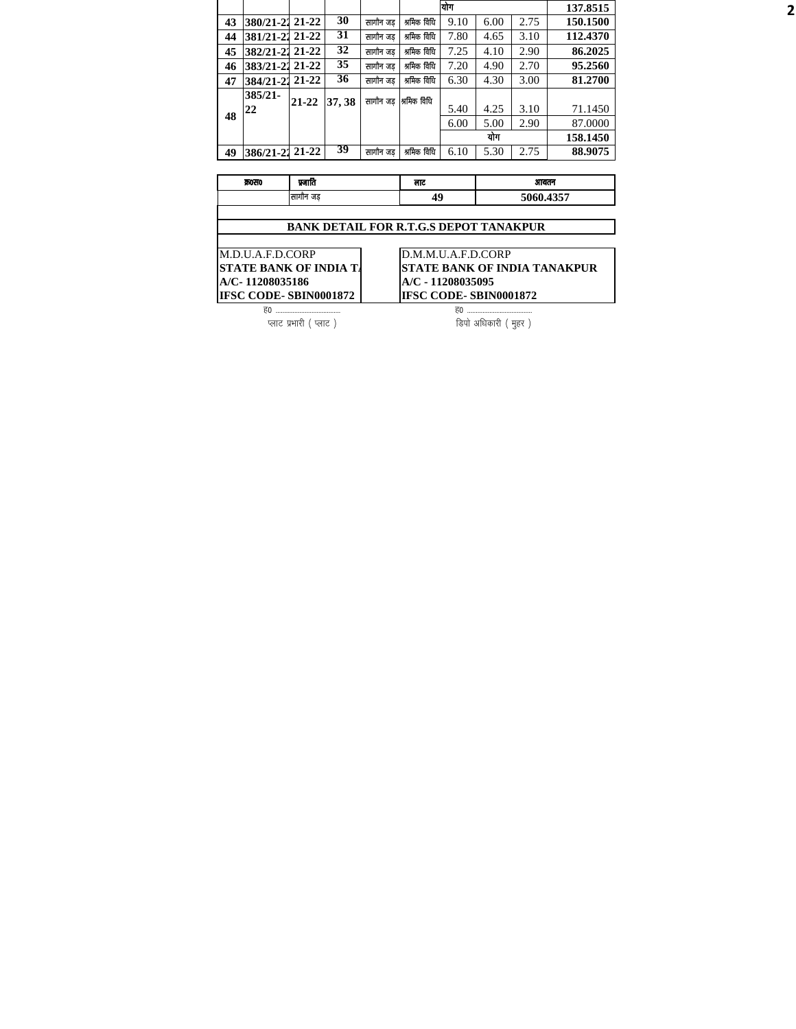D.M.M.U.A.F.D.CORP **STATE BANK OF INDIA TANAKPUR A/C- 11208035186 A/C - 11208035095 IFSC CODE- SBIN0001872 IFSC CODE- SBIN0001872**

|    |                        |           |        |           |                        | योग  |      |      | 137.8515 |
|----|------------------------|-----------|--------|-----------|------------------------|------|------|------|----------|
| 43 | $ 380/21 - 2121 - 22 $ |           | 30     | सागौन जड  | श्रमिक विधि            | 9.10 | 6.00 | 2.75 | 150.1500 |
| 44 | $ 381/21-22 21-22 $    |           | 31     | सागौन जड  | श्रमिक विधि            | 7.80 | 4.65 | 3.10 | 112.4370 |
| 45 | $ 382/21 - 2121 - 22 $ |           | 32     | सागौन जड  | श्रमिक विधि            | 7.25 | 4.10 | 2.90 | 86.2025  |
| 46 | $ 383/21 - 2121 - 22 $ |           | 35     | सागौन जड  | श्रमिक विधि            | 7.20 | 4.90 | 2.70 | 95.2560  |
| 47 | $ 384/21-222 $         |           | 36     | सागौन जड़ | श्रमिक विधि            | 6.30 | 4.30 | 3.00 | 81.2700  |
|    | $ 385/21 -$            | $21 - 22$ | 37, 38 |           | सागौन जड़  श्रमिक विधि |      |      |      |          |
| 48 | 22                     |           |        |           |                        | 5.40 | 4.25 | 3.10 | 71.1450  |
|    |                        |           |        |           |                        | 6.00 | 5.00 | 2.90 | 87.0000  |
|    |                        |           |        |           |                        |      | योग  |      | 158.1450 |
| 49 | $ 386/21-222 $         |           | 39     | सागौन जड  | श्रमिक विधि            | 6.10 | 5.30 | 2.75 | 88.9075  |

| ਨ0ਦਾ0 | प्रजात        | लाट | आयतन                                                           |
|-------|---------------|-----|----------------------------------------------------------------|
|       | ं जड<br>सागान | 49  | 4357<br>5060<br>$\blacksquare\blacksquare\cup\cup\blacksquare$ |

## **BANK DETAIL FOR R.T.G.S DEPOT TANAKPUR**

| M.D.U.A.F.D.CORP              |
|-------------------------------|
| <b>STATE BANK OF INDIA T.</b> |
| A/C- 11208035186              |
| IFSC CODE-SBIN0001872         |

g0 -------------------------------------- g0 --------------------------------------

प्लाट प्रभारी (प्लाट) अस्ति । सामान्या अधिकारी अधिकारी अधिकारी । सुहर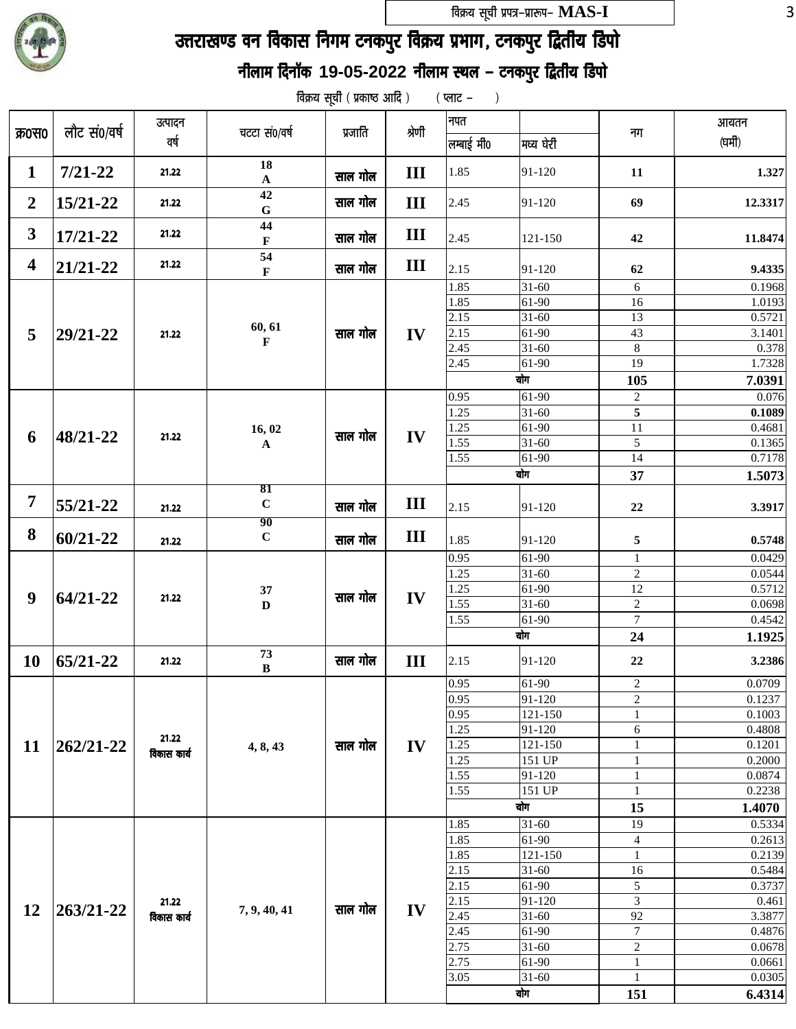

## उत्तराखण्ड वन विकास निगम टनकपुर विक्रय प्रभाग, टनकपुर द्वितीय डिपो

नीलाम दिनॉक 19-05-2022 नीलाम स्थल – टनकपुर द्वितीय डिपो

3

विक्रय सूची ( प्रकाष्ठ आदि ) ( प्लाट – )

|                  |               | उत्पादन              |                        |                                     |                     | नपत          |                     |                      | आयतन             |
|------------------|---------------|----------------------|------------------------|-------------------------------------|---------------------|--------------|---------------------|----------------------|------------------|
| <b>40000</b>     | लौट सं0/वर्ष  | वर्ष                 | चटटा सं0/वर्ष          | श्रेणी<br>प्रजाति<br>III<br>साल गोल | लिम्बाई मी $\bm{0}$ | मध्य घेरी    | नग                  | (घमी)                |                  |
| $\mathbf{1}$     | $7/21 - 22$   | 21.22                | 18                     |                                     |                     | 1.85         | 91-120              | 11                   | 1.327            |
| $\boldsymbol{2}$ | 15/21-22      | 21.22                | $\mathbf A$<br>42<br>G | साल गोल                             | III                 | 2.45         | 91-120              | 69                   | 12.3317          |
| $\boldsymbol{3}$ | $17/21 - 22$  | 21.22                | 44<br>$\mathbf F$      | साल गोल                             | Ш                   | 2.45         | 121-150             | 42                   | 11.8474          |
|                  |               |                      | 54                     |                                     |                     |              |                     |                      |                  |
| $\boldsymbol{4}$ | $21/21 - 22$  | 21.22                | $\mathbf F$            | साल गोल                             | $\mathbf{III}$      | 2.15         | 91-120              | 62                   | 9.4335           |
|                  |               |                      |                        |                                     |                     | 1.85         | $31 - 60$           | 6                    | 0.1968           |
|                  |               |                      |                        |                                     |                     | 1.85         | 61-90               | 16                   | 1.0193           |
|                  |               |                      | 60, 61                 |                                     |                     | 2.15         | $31 - 60$           | 13                   | 0.5721           |
| 5                | 29/21-22      | 21.22                | $\mathbf{F}$           | साल गोल                             | IV                  | 2.15<br>2.45 | 61-90<br>$31 - 60$  | 43<br>8              | 3.1401<br>0.378  |
|                  |               |                      |                        |                                     |                     | 2.45         | 61-90               | 19                   | 1.7328           |
|                  |               |                      |                        |                                     |                     |              | योग                 | 105                  | 7.0391           |
|                  |               |                      |                        |                                     |                     | 0.95         | 61-90               | $\overline{2}$       | 0.076            |
|                  |               |                      |                        |                                     |                     | 1.25         | $31 - 60$           | 5                    | 0.1089           |
|                  |               |                      | 16,02                  |                                     |                     | 1.25         | 61-90               | 11                   | 0.4681           |
| 6                | 48/21-22      | 21.22                | $\mathbf{A}$           | साल गोल                             | IV                  | 1.55         | $31 - 60$           | 5                    | 0.1365           |
|                  |               |                      |                        |                                     |                     | 1.55         | 61-90               | 14                   | 0.7178           |
|                  |               |                      |                        |                                     |                     |              | योग                 | 37                   | 1.5073           |
| $\mathcal{T}%$   | 55/21-22      | 21.22                | 81<br>$\mathbf C$      | साल गोल                             | $\mathbf{III}$      | 2.15         | 91-120              | 22                   | 3.3917           |
|                  |               |                      | 90                     |                                     |                     |              |                     |                      |                  |
| 8                | $ 60/21-22 $  | 21.22                | $\mathbf C$            | साल गोल                             | Ш                   | 1.85         | 91-120              | 5                    | 0.5748           |
|                  |               |                      |                        |                                     |                     | 0.95         | 61-90               | $\mathbf{1}$         | 0.0429           |
|                  |               |                      |                        |                                     | IV                  | 1.25         | $31 - 60$           | $\overline{2}$       | 0.0544           |
| 9                | $64/21 - 22$  | 21.22                | 37<br>D                | साल गोल                             |                     | 1.25         | 61-90               | 12                   | 0.5712           |
|                  |               |                      |                        |                                     |                     | 1.55         | $31 - 60$           | $\overline{2}$       | 0.0698           |
|                  |               |                      |                        |                                     |                     | 1.55         | 61-90               | $\overline{7}$       | 0.4542           |
|                  |               |                      |                        |                                     |                     |              | योग                 | 24                   | 1.1925           |
| <b>10</b>        | $ 65/21-22 $  | 21.22                | 73<br>$\bf{B}$         | साल गोल                             | $\mathbf{m}$        | 2.15         | 91-120              | 22                   | 3.2386           |
|                  |               |                      |                        |                                     |                     | 0.95         | 61-90               | $\overline{2}$       | 0.0709           |
|                  |               |                      |                        |                                     |                     | 0.95         | 91-120              | $\overline{2}$       | 0.1237           |
|                  |               |                      |                        |                                     |                     | 0.95<br>1.25 | 121-150<br>91-120   | $\mathbf{1}$<br>6    | 0.1003<br>0.4808 |
| <b>11</b>        | $262/21 - 22$ | 21.22                | 4, 8, 43               | साल गोल                             | IV                  | 1.25         | 121-150             | $\mathbf{1}$         | 0.1201           |
|                  |               | विकास कार्य          |                        |                                     |                     | 1.25         | 151 UP              |                      | 0.2000           |
|                  |               |                      |                        |                                     |                     | 1.55         | 91-120              |                      | 0.0874           |
|                  |               |                      |                        |                                     |                     | 1.55         | 151 UP              |                      | 0.2238           |
|                  |               |                      |                        |                                     |                     |              | योग                 | 15                   | 1.4070           |
|                  |               |                      |                        |                                     |                     | 1.85         | $31 - 60$           | 19                   | 0.5334           |
|                  |               |                      |                        |                                     |                     | 1.85         | 61-90               | $\overline{4}$       | 0.2613           |
|                  |               |                      |                        |                                     |                     | 1.85         | 121-150             |                      | 0.2139           |
|                  |               |                      |                        |                                     |                     | 2.15         | $31 - 60$           | 16<br>$\overline{ }$ | 0.5484           |
|                  |               |                      |                        |                                     |                     | 2.15         | $61-90$             | $\mathcal{L}$        | 0.3737           |
| <b>12</b>        | 263/21-22     | 21.22<br>विकास कार्य | 7, 9, 40, 41           | साल गोल                             | IV                  | 2.15<br>2.45 | 91-120<br>$31 - 60$ | $\overline{3}$<br>92 | 0.461<br>3.3877  |
|                  |               |                      |                        |                                     |                     | 2.45         | 61-90               | $\overline{7}$       | 0.4876           |
|                  |               |                      |                        |                                     |                     | 2.75         | $31 - 60$           | $\overline{2}$       | 0.0678           |
|                  |               |                      |                        |                                     |                     | 2.75         | 61-90               |                      | 0.0661           |
|                  |               |                      |                        |                                     |                     | 3.05         | $31 - 60$           |                      | 0.0305           |
|                  |               |                      |                        |                                     |                     | योग          | 151                 | 6.4314               |                  |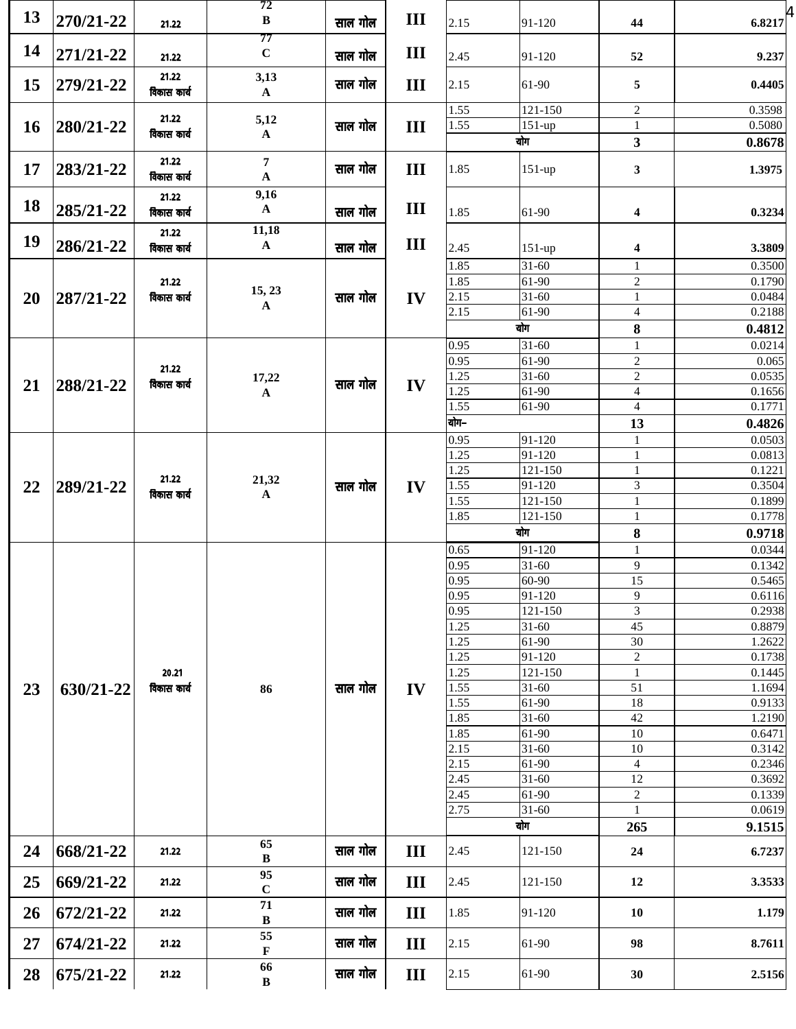| 13        | 270/21-22     | 21.22                | 72<br>$\, {\bf B}$             | साल गोल | III            | 2.15         | 91-120             | 44                      | $6.8217$ <sup>4</sup> |
|-----------|---------------|----------------------|--------------------------------|---------|----------------|--------------|--------------------|-------------------------|-----------------------|
| 14        | $ 271/21-22 $ | 21.22                | 77<br>$\mathbf C$              | साल गोल | $\mathbf{I}$   | 2.45         | 91-120             | 52                      | 9.237                 |
| 15        | 279/21-22     | 21.22<br>विकास कार्य | 3,13<br>$\mathbf{A}$           | साल गोल | $\mathbf{H}$   | 2.15         | 61-90              | 5                       | 0.4405                |
|           |               |                      |                                |         |                | 1.55         | 121-150            | $\overline{2}$          | 0.3598                |
| <b>16</b> | 280/21-22     | 21.22                | 5,12                           | साल गोल | $\mathbf{m}$   | 1.55         | $151$ -up          |                         | 0.5080                |
|           |               | विकास कार्य          | $\mathbf{A}$                   |         |                |              | योग                | $\mathbf{3}$            | 0.8678                |
| 17        | 283/21-22     | 21.22<br>विकास कार्य | $\overline{7}$<br>$\mathbf{A}$ | साल गोल | III            | 1.85         | $151$ -up          | $\overline{\mathbf{3}}$ | 1.3975                |
| 18        | 285/21-22     | 21.22<br>विकास कार्य | 9,16<br>$\mathbf{A}$           | साल गोल | $\mathbf{I}$   | 1.85         | 61-90              | $\overline{\mathbf{4}}$ | 0.3234                |
| 19        | 286/21-22     | 21.22<br>विकास कार्य | 11,18<br>$\mathbf{A}$          | साल गोल | III            | 2.45         | $151$ -up          | $\overline{\mathbf{4}}$ | 3.3809                |
|           |               |                      |                                |         |                | 1.85         | $31 - 60$          | $\mathbf{1}$            | 0.3500                |
|           |               | 21.22                |                                |         |                | 1.85         | 61-90              | $\overline{2}$          | 0.1790                |
| 20        | 287/21-22     | विकास कार्य          | 15, 23<br>$\mathbf{A}$         | साल गोल | IV             | 2.15         | $31 - 60$          |                         | 0.0484                |
|           |               |                      |                                |         |                | 2.15         | 61-90              | $\overline{4}$          | 0.2188                |
|           |               |                      |                                |         |                |              | योग                | 8                       | 0.4812                |
|           |               |                      |                                |         |                | 0.95         | $31 - 60$          |                         | 0.0214                |
|           |               | 21.22                |                                |         |                | 0.95         | 61-90              | $\overline{2}$          | 0.065                 |
|           | 21 288/21-22  | विकास कार्य          | 17,22                          | साल गोल | IV             | 1.25         | $31 - 60$          | $\overline{2}$          | 0.0535                |
|           |               |                      | $\mathbf{A}$                   |         |                | 1.25         | 61-90              | $\overline{4}$          | 0.1656                |
|           |               |                      |                                |         |                | 1.55<br>योग– | 61-90              | $\overline{4}$          | 0.1771                |
|           |               |                      |                                |         |                |              | 91-120             | 13                      | 0.4826                |
|           |               |                      |                                |         |                | 0.95<br>1.25 | 91-120             |                         | 0.0503<br>0.0813      |
|           |               |                      |                                |         |                | 1.25         | 121-150            |                         | 0.1221                |
| <b>22</b> | 289/21-22     | 21.22                | 21,32                          | साल गोल | IV             | 1.55         | 91-120             | $\mathfrak{Z}$          | 0.3504                |
|           |               | विकास कार्य          | $\mathbf{A}$                   |         |                | 1.55         | 121-150            |                         | 0.1899                |
|           |               |                      |                                |         |                | 1.85         | 121-150            |                         | 0.1778                |
|           |               |                      |                                |         |                |              | योग                | 8                       | 0.9718                |
|           |               |                      |                                |         |                | 0.65         | 91-120             |                         | 0.0344                |
|           |               |                      |                                |         |                | 0.95         | $31 - 60$          | 9                       | 0.1342                |
|           |               |                      |                                |         |                | 0.95         | 60-90              | 15                      | 0.5465                |
|           |               |                      |                                |         |                | 0.95         | 91-120             | 9                       | 0.6116                |
|           |               |                      |                                |         |                | 0.95         | 121-150            | $\overline{3}$          | 0.2938                |
|           |               |                      |                                |         |                | 1.25<br>1.25 | $31 - 60$<br>61-90 | 45<br>30                | 0.8879<br>1.2622      |
|           |               |                      |                                |         |                | 1.25         | 91-120             | $\overline{2}$          | 0.1738                |
|           |               | 20.21                |                                |         |                | 1.25         | 121-150            |                         | 0.1445                |
| 23        | 630/21-22     | विकास कार्य          | 86                             | साल गोल | IV             | 1.55         | $31 - 60$          | 51                      | 1.1694                |
|           |               |                      |                                |         |                | 1.55         | 61-90              | 18                      | 0.9133                |
|           |               |                      |                                |         |                | 1.85         | $31 - 60$          | 42                      | 1.2190                |
|           |               |                      |                                |         |                | 1.85         | 61-90              | 10                      | 0.6471                |
|           |               |                      |                                |         |                | 2.15         | $31 - 60$          | 10                      | 0.3142                |
|           |               |                      |                                |         |                | 2.15<br>2.45 | 61-90<br>$31 - 60$ | $\overline{4}$<br>12    | 0.2346<br>0.3692      |
|           |               |                      |                                |         |                | 2.45         | 61-90              | $\overline{2}$          | 0.1339                |
|           |               |                      |                                |         |                | 2.75         | $31 - 60$          |                         | 0.0619                |
|           |               |                      |                                |         |                |              | योग                | 265                     | 9.1515                |
| 24        | $ 668/21-22 $ | 21.22                | 65<br>$\bf{B}$                 | साल गोल | $\mathbf{H}$   | 2.45         | 121-150            | 24                      | 6.7237                |
| 25        | 669/21-22     | 21.22                | 95<br>$\mathbf C$              | साल गोल | III            | 2.45         | 121-150            | 12                      | 3.3533                |
| <b>26</b> | 672/21-22     | 21.22                | 71<br>$\bf{B}$                 | साल गोल | III            | 1.85         | 91-120             | <b>10</b>               | 1.179                 |
| <b>27</b> | 674/21-22     | 21.22                | 55<br>$\mathbf{F}$             | साल गोल | III            | 2.15         | 61-90              | 98                      | 8.7611                |
| 28        | $ 675/21-22 $ | 21.22                | 66<br>$\bf{B}$                 | साल गोल | $\mathbf{III}$ | 2.15         | 61-90              | 30                      | 2.5156                |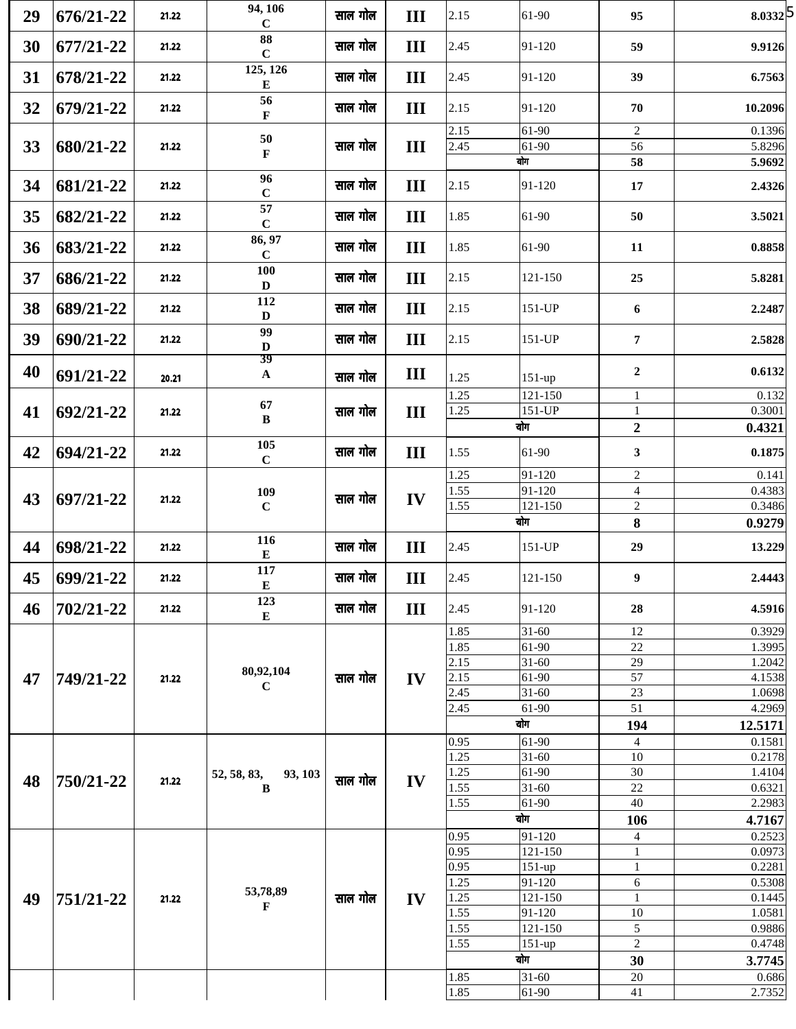| 29 | $ 676/21-22 $ | 21.22 | 94, 106<br>$\mathbf C$      | साल गोल | $\mathbf{I}$   | 2.15         | 61-90              | 95                               | $8.0332$ <sup>5</sup> |
|----|---------------|-------|-----------------------------|---------|----------------|--------------|--------------------|----------------------------------|-----------------------|
| 30 | 677/21-22     | 21.22 | 88<br>$\mathbf C$           | साल गोल | $\mathbf{H}$   | 2.45         | 91-120             | 59                               | 9.9126                |
| 31 | 678/21-22     | 21.22 | 125, 126<br>${\bf E}$       | साल गोल | $\mathbf{I}$   | 2.45         | 91-120             | 39                               | 6.7563                |
| 32 | 679/21-22     | 21.22 | 56<br>$\mathbf F$           | साल गोल | $\mathbf{III}$ | 2.15         | 91-120             | 70                               | 10.2096               |
|    |               |       |                             |         |                | 2.15         | 61-90              | $\overline{2}$                   | 0.1396                |
| 33 | 680/21-22     | 21.22 | 50<br>$\mathbf F$           | साल गोल | $\mathbf{III}$ | 2.45         | 61-90              | 56                               | 5.8296                |
| 34 | 681/21-22     | 21.22 | 96                          | साल गोल | III            | 2.15         | योग<br>91-120      | 58<br>17                         | 5.9692<br>2.4326      |
| 35 | 682/21-22     | 21.22 | $\mathbf C$<br>57           | साल गोल | Ш              | 1.85         | 61-90              | 50                               | 3.5021                |
|    |               |       | $\mathbf C$<br>86, 97       |         |                |              |                    |                                  |                       |
| 36 | 683/21-22     | 21.22 | $\mathbf C$<br><b>100</b>   | साल गोल | $\mathbf{III}$ | 1.85         | 61-90              | 11                               | 0.8858                |
| 37 | 686/21-22     | 21.22 | $\mathbf{D}$                | साल गोल | $\mathbf{I}$   | 2.15         | 121-150            | 25                               | 5.8281                |
| 38 | 689/21-22     | 21.22 | 112<br>D                    | साल गोल | $\mathbf{III}$ | 2.15         | $151$ -UP          | 6                                | 2.2487                |
| 39 | 690/21-22     | 21.22 | 99<br>$\mathbf D$           | साल गोल | $\mathbf{III}$ | 2.15         | $151$ -UP          | $\overline{7}$                   | 2.5828                |
| 40 | $ 691/21-22 $ | 20.21 | 39<br>$\mathbf A$           | साल गोल | Ш              | 1.25         | $151$ -up          | $\boldsymbol{2}$                 | 0.6132                |
|    |               |       | 67                          |         |                | 1.25         | 121-150            |                                  | 0.132                 |
| 41 | 692/21-22     | 21.22 | $\bf{B}$                    | साल गोल | Ш              | 1.25         | $151$ -UP          | $\mathbf{1}$                     | 0.3001                |
|    |               |       |                             |         |                |              | योग                | $\overline{2}$                   | 0.4321                |
| 42 | $ 694/21-22 $ | 21.22 | 105<br>$\mathbf C$          | साल गोल | $\mathbf{H}$   | 1.55         | 61-90              | $\mathbf{3}$                     | 0.1875                |
|    |               |       |                             |         |                | 1.25         | 91-120             | $\overline{2}$                   | 0.141                 |
| 43 | 697/21-22     | 21.22 | 109<br>$\mathbf C$          | साल गोल | IV             | 1.55<br>1.55 | 91-120<br>121-150  | $\overline{4}$<br>$\overline{2}$ | 0.4383<br>0.3486      |
|    |               |       |                             |         |                |              | योग                | 8                                | 0.9279                |
| 44 | 698/21-22     | 21.22 | 116<br>${\bf E}$            | साल गोल | III            | 2.45         | $151$ -UP          | 29                               | 13.229                |
| 45 | 699/21-22     | 21.22 | 117<br>${\bf E}$            | साल गोल | Ш              | 2.45         | 121-150            | 9                                | 2.4443                |
| 46 | 702/21-22     | 21.22 | 123                         | साल गोल | $\mathbf{III}$ | 2.45         | 91-120             | 28                               | 4.5916                |
|    |               |       | $\bf{E}$                    |         |                | 1.85         | $31 - 60$          | 12                               | 0.3929                |
|    |               |       |                             |         |                | 1.85         | 61-90              | 22                               | 1.3995                |
|    |               |       |                             |         |                | 2.15         | $31 - 60$          | 29                               | 1.2042                |
| 47 | 749/21-22     | 21.22 | 80,92,104<br>$\mathbf C$    | साल गोल | IV             | 2.15         | 61-90              | 57                               | 4.1538                |
|    |               |       |                             |         |                | 2.45         | $31 - 60$          | 23                               | 1.0698                |
|    |               |       |                             |         |                | 2.45         | 61-90              | 51                               | 4.2969                |
|    |               |       |                             |         |                |              | योग                | 194                              | 12.5171               |
|    |               |       |                             |         |                | 0.95         | 61-90              | $\overline{4}$                   | 0.1581                |
|    |               |       |                             |         |                | 1.25<br>1.25 | $31 - 60$<br>61-90 | 10<br>30                         | 0.2178<br>1.4104      |
| 48 | $ 750/21-22 $ | 21.22 | 52, 58, 83,<br>93, 103<br>B | साल गोल | IV             | 1.55         | $31 - 60$          | 22                               | 0.6321                |
|    |               |       |                             |         |                | 1.55         | 61-90              | 40                               | 2.2983                |
|    |               |       |                             |         |                |              | योग                | 106                              | 4.7167                |
|    |               |       |                             |         |                | 0.95         | 91-120             | $\overline{4}$                   | 0.2523                |
|    |               |       |                             |         |                | 0.95         | 121-150            |                                  | 0.0973                |
|    |               |       |                             |         |                | 0.95         | $151$ -up          |                                  | 0.2281                |
|    |               |       | 53,78,89                    |         |                | 1.25         | 91-120             | 6                                | 0.5308                |
| 49 | 751/21-22     | 21.22 | F                           | साल गोल | IV             | 1.25<br>1.55 | 121-150<br>91-120  | 10                               | 0.1445<br>1.0581      |
|    |               |       |                             |         |                | 1.55         | 121-150            | 5                                | 0.9886                |
|    |               |       |                             |         |                | 1.55         | $151$ -up          | $\overline{2}$                   | 0.4748                |
|    |               |       |                             |         |                |              | योग                | 30                               | 3.7745                |
|    |               |       |                             |         |                | 1.85         | $31 - 60$          | 20                               | 0.686                 |
|    |               |       |                             |         |                | 1.85         | 61-90              | 41                               | 2.7352                |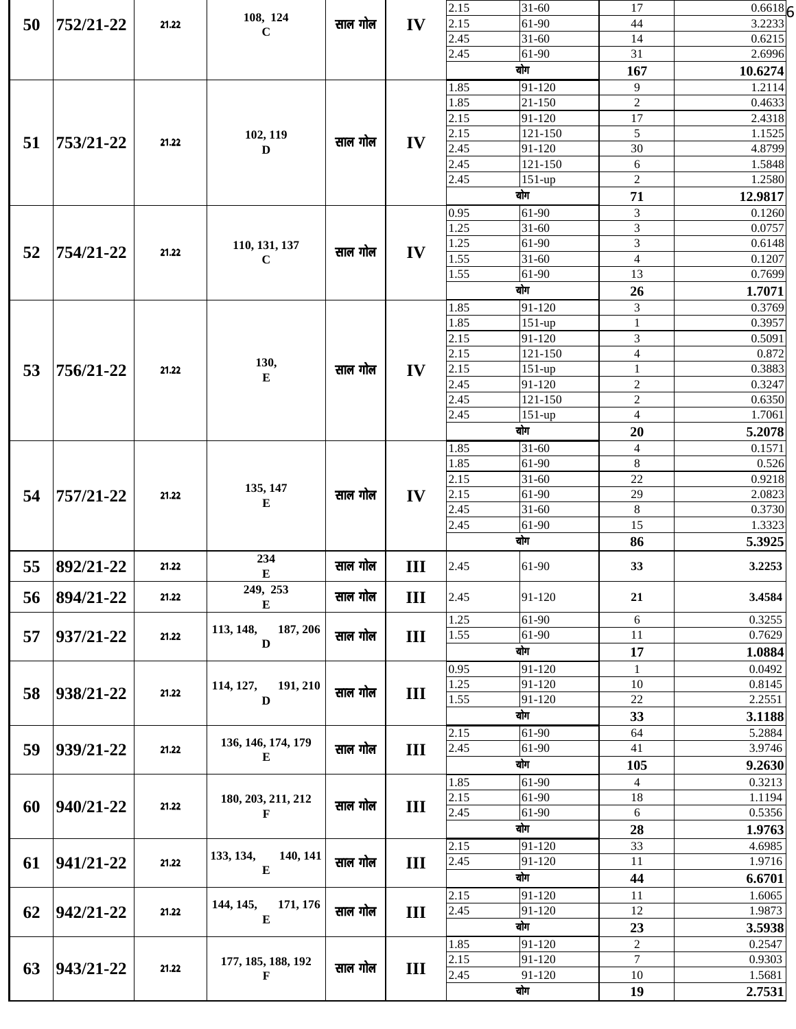|    |                     |       |                       |         |                | 2.15 | $31 - 60$  | 17              | 0.66186 |
|----|---------------------|-------|-----------------------|---------|----------------|------|------------|-----------------|---------|
| 50 | 752/21-22           | 21.22 | 108, 124              | साल गोल | IV             | 2.15 | 61-90      | 44              | 3.2233  |
|    |                     |       | $\mathbf C$           |         |                | 2.45 | $31 - 60$  | 14              | 0.6215  |
|    |                     |       |                       |         |                | 2.45 | 61-90      | 31              | 2.6996  |
|    |                     |       |                       |         |                |      | योग        | 167             | 10.6274 |
|    |                     |       |                       |         |                | 1.85 | 91-120     | 9               | 1.2114  |
|    |                     |       |                       |         |                | 1.85 | $21 - 150$ | $\overline{2}$  | 0.4633  |
|    |                     |       |                       |         |                |      | 91-120     | 17              | 2.4318  |
|    |                     |       |                       |         |                | 2.15 |            |                 |         |
| 51 | 753/21-22           | 21.22 | 102, 119              | साल गोल | IV             | 2.15 | 121-150    | $5\overline{)}$ | 1.1525  |
|    |                     |       | D                     |         |                | 2.45 | 91-120     | 30              | 4.8799  |
|    |                     |       |                       |         |                | 2.45 | 121-150    | 6               | 1.5848  |
|    |                     |       |                       |         |                | 2.45 | $151$ -up  | $\overline{2}$  | 1.2580  |
|    |                     |       |                       |         |                |      | योग        | 71              | 12.9817 |
|    |                     |       |                       |         |                | 0.95 | 61-90      | 3               | 0.1260  |
|    |                     |       |                       |         |                | 1.25 | $31 - 60$  | 3               | 0.0757  |
|    |                     |       | 110, 131, 137         | साल गोल |                | 1.25 | 61-90      | 3               | 0.6148  |
| 52 | 754/21-22           | 21.22 | $\mathbf C$           |         | IV             | 1.55 | $31 - 60$  | $\overline{4}$  | 0.1207  |
|    |                     |       |                       |         |                | 1.55 | 61-90      | 13              | 0.7699  |
|    |                     |       |                       |         |                |      | योग        | 26              | 1.7071  |
|    |                     |       |                       |         |                | 1.85 | 91-120     | 3               | 0.3769  |
|    |                     |       |                       |         |                | 1.85 | $151$ -up  | $\mathbf{1}$    | 0.3957  |
|    |                     |       |                       |         |                | 2.15 | 91-120     | 3               | 0.5091  |
|    |                     |       |                       |         |                |      |            |                 |         |
|    |                     |       | 130,                  |         |                | 2.15 | 121-150    | 4               | 0.872   |
| 53 | 756/21-22           | 21.22 | ${\bf E}$             | साल गोल | IV             | 2.15 | $151$ -up  |                 | 0.3883  |
|    |                     |       |                       |         |                | 2.45 | 91-120     | $\overline{2}$  | 0.3247  |
|    |                     |       |                       |         |                | 2.45 | 121-150    | $\overline{2}$  | 0.6350  |
|    |                     |       |                       |         |                | 2.45 | $151$ -up  | 4               | 1.7061  |
|    |                     |       |                       |         |                |      | योग        | 20              | 5.2078  |
|    |                     |       |                       |         |                | 1.85 | $31 - 60$  | 4               | 0.1571  |
|    |                     |       |                       |         |                | 1.85 | 61-90      | 8               | 0.526   |
|    |                     |       |                       |         |                | 2.15 | $31 - 60$  | 22              | 0.9218  |
| 54 | 757/21-22           | 21.22 | 135, 147              | साल गोल | IV             | 2.15 | 61-90      | 29              | 2.0823  |
|    |                     |       | E                     |         |                | 2.45 | $31 - 60$  | 8               | 0.3730  |
|    |                     |       |                       |         |                | 2.45 | 61-90      | 15              | 1.3323  |
|    |                     |       |                       |         |                |      | योग        | 86              | 5.3925  |
|    |                     |       | 234                   |         |                |      |            |                 |         |
| 55 | 892/21-22           | 21.22 | ${\bf E}$             | साल गोल | III            | 2.45 | 61-90      | 33              | 3.2253  |
|    |                     |       | 249, 253              |         |                |      |            |                 |         |
| 56 | 894/21-22           | 21.22 | E                     | साल गोल | III            | 2.45 | 91-120     | 21              | 3.4584  |
|    |                     |       |                       |         |                | 1.25 | 61-90      | 6               | 0.3255  |
| 57 | 937/21-22           | 21.22 | 187, 206<br>113, 148, | साल गोल | III            | 1.55 | 61-90      | 11              | 0.7629  |
|    |                     |       | D                     |         |                |      | योग        | 17              | 1.0884  |
|    |                     |       |                       |         |                | 0.95 | 91-120     |                 | 0.0492  |
|    |                     |       |                       |         |                | 1.25 | 91-120     | 10              | 0.8145  |
| 58 | 938/21-22           | 21.22 | 191, 210<br>114, 127, | साल गोल | $\mathbf{III}$ | 1.55 | 91-120     | 22              | 2.2551  |
|    |                     |       | D                     |         |                |      | योग        |                 |         |
|    |                     |       |                       |         |                |      |            | 33              | 3.1188  |
|    |                     |       | 136, 146, 174, 179    |         |                | 2.15 | 61-90      | 64              | 5.2884  |
| 59 | 939/21-22           | 21.22 | E                     | साल गोल | $\mathbf{I}$   | 2.45 | 61-90      | 41              | 3.9746  |
|    |                     |       |                       |         |                |      | योग        | 105             | 9.2630  |
|    |                     |       |                       |         |                | 1.85 | 61-90      | $\overline{4}$  | 0.3213  |
| 60 | 940/21-22           | 21.22 | 180, 203, 211, 212    | साल गोल | III            | 2.15 | 61-90      | 18              | 1.1194  |
|    |                     |       | F                     |         |                | 2.45 | 61-90      | 6               | 0.5356  |
|    |                     |       |                       |         |                |      | योग        | 28              | 1.9763  |
|    |                     |       |                       |         |                | 2.15 | 91-120     | 33              | 4.6985  |
| 61 | $ 941/21-22 $       | 21.22 | 140, 141<br>133, 134, | साल गोल | $\mathbf{III}$ | 2.45 | 91-120     | 11              | 1.9716  |
|    |                     |       | $\bf{E}$              |         |                |      | योग        | 44              | 6.6701  |
|    |                     |       |                       |         |                | 2.15 | 91-120     | 11              | 1.6065  |
| 62 | $ 942/21-22 $       | 21.22 | 144, 145,<br>171, 176 | साल गोल | III            | 2.45 | 91-120     | 12              | 1.9873  |
|    |                     |       | E                     |         |                |      | योग        | 23              | 3.5938  |
|    |                     |       |                       |         |                |      |            |                 |         |
|    |                     |       |                       |         |                | 1.85 | 91-120     | $\overline{2}$  | 0.2547  |
|    |                     | 21.22 | 177, 185, 188, 192    | साल गोल | III            | 2.15 | 91-120     | $\overline{7}$  | 0.9303  |
|    | $ 943/21-22 $<br>63 |       | $\mathbf{F}$          |         |                | 2.45 | 91-120     | 10              | 1.5681  |
|    |                     |       |                       |         |                | योग  | 19         | 2.7531          |         |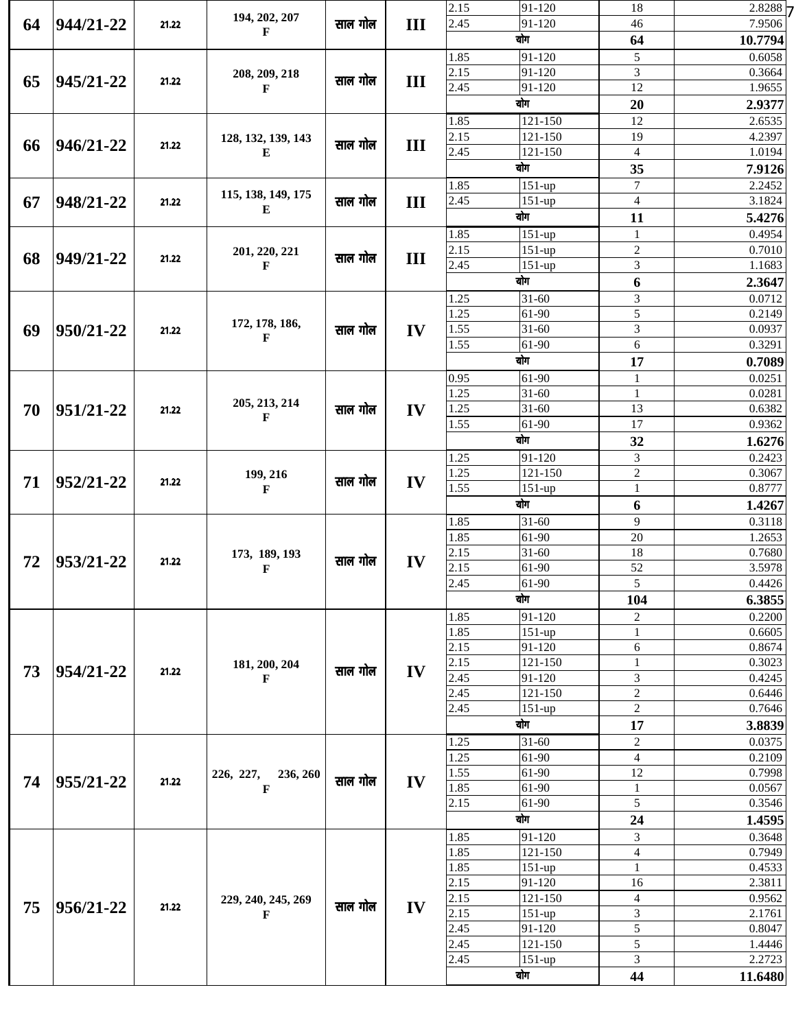|    |               |       |                                |         |                | 2.15 | 91-120    | 18             | 2.8288  |
|----|---------------|-------|--------------------------------|---------|----------------|------|-----------|----------------|---------|
| 64 | 944/21-22     | 21.22 | 194, 202, 207                  | साल गोल | III            | 2.45 | 91-120    | 46             | 7.9506  |
|    |               |       | $\mathbf{F}$                   |         |                |      | योग       | 64             | 10.7794 |
|    |               |       |                                |         |                | 1.85 | 91-120    | 5              | 0.6058  |
|    |               |       | 208, 209, 218                  |         |                | 2.15 | 91-120    | $\overline{3}$ | 0.3664  |
| 65 | 945/21-22     | 21.22 | $\mathbf F$                    | साल गोल | $\mathbf{III}$ | 2.45 | 91-120    | 12             | 1.9655  |
|    |               |       |                                |         |                |      | योग       |                |         |
|    |               |       |                                |         |                |      |           | 20             | 2.9377  |
|    |               |       |                                |         |                | 1.85 | 121-150   | 12             | 2.6535  |
| 66 | 946/21-22     | 21.22 | 128, 132, 139, 143             | साल गोल | III            | 2.15 | 121-150   | 19             | 4.2397  |
|    |               |       | E                              |         |                | 2.45 | 121-150   | $\overline{4}$ | 1.0194  |
|    |               |       |                                |         |                |      | योग       | 35             | 7.9126  |
|    |               |       |                                |         |                | 1.85 | $151$ -up | $\overline{7}$ | 2.2452  |
| 67 | 948/21-22     | 21.22 | 115, 138, 149, 175             | साल गोल | III            | 2.45 | $151$ -up | $\overline{4}$ | 3.1824  |
|    |               |       | E                              |         |                |      | योग       |                |         |
|    |               |       |                                |         |                |      |           | 11             | 5.4276  |
|    |               |       |                                |         |                | 1.85 | $151$ -up |                | 0.4954  |
| 68 | 949/21-22     | 21.22 | 201, 220, 221                  | साल गोल | Ш              | 2.15 | $151$ -up | $\overline{2}$ | 0.7010  |
|    |               |       | $\mathbf F$                    |         |                | 2.45 | $151$ -up | 3              | 1.1683  |
|    |               |       |                                |         |                |      | योग       | 6              | 2.3647  |
|    |               |       |                                |         |                | 1.25 | $31 - 60$ | 3              | 0.0712  |
|    |               |       |                                |         |                | 1.25 | 61-90     | 5              | 0.2149  |
| 69 | 950/21-22     | 21.22 | 172, 178, 186,<br>$\mathbf{F}$ |         |                | 1.55 | $31 - 60$ | $\mathfrak{Z}$ | 0.0937  |
|    |               |       |                                | साल गोल | IV             | 1.55 | 61-90     | 6              | 0.3291  |
|    |               |       |                                |         |                |      |           |                |         |
|    |               |       |                                |         |                |      | योग       | 17             | 0.7089  |
|    |               |       |                                |         |                | 0.95 | 61-90     | $\mathbf{1}$   | 0.0251  |
|    |               |       |                                |         |                | 1.25 | $31 - 60$ |                | 0.0281  |
| 70 | 951/21-22     | 21.22 | 205, 213, 214                  | साल गोल | IV             | 1.25 | $31-60$   | 13             | 0.6382  |
|    |               |       | F                              |         |                | 1.55 | 61-90     | 17             | 0.9362  |
|    |               |       |                                |         |                |      | योग       | 32             | 1.6276  |
|    |               |       |                                |         |                | 1.25 | 91-120    | $\mathfrak{Z}$ | 0.2423  |
|    |               |       |                                | साल गोल |                |      |           |                |         |
| 71 | 952/21-22     | 21.22 | 199, 216                       |         | IV             | 1.25 | 121-150   | $\overline{2}$ | 0.3067  |
|    |               |       | $\mathbf F$                    |         |                | 1.55 | $151$ -up |                | 0.8777  |
|    |               |       |                                |         |                |      | योग       | 6              | 1.4267  |
|    |               |       | 173, 189, 193<br>$\mathbf{F}$  |         |                | 1.85 | $31 - 60$ | 9              | 0.3118  |
|    |               |       |                                |         |                | 1.85 | 61-90     | 20             | 1.2653  |
|    |               |       |                                |         |                | 2.15 | $31 - 60$ | 18             | 0.7680  |
| 72 | 953/21-22     | 21.22 |                                | साल गोल | IV             | 2.15 | 61-90     | 52             | 3.5978  |
|    |               |       |                                |         |                | 2.45 | 61-90     | 5              | 0.4426  |
|    |               |       |                                |         |                |      | योग       | 104            | 6.3855  |
|    |               |       |                                |         |                |      |           |                |         |
|    |               |       |                                |         |                | 1.85 | 91-120    | $\overline{2}$ | 0.2200  |
|    |               |       |                                |         |                | 1.85 | $151$ -up | $\mathbf{1}$   | 0.6605  |
|    |               |       |                                |         |                | 2.15 | 91-120    | 6              | 0.8674  |
| 73 | 954/21-22     | 21.22 | 181, 200, 204                  | साल गोल | IV             | 2.15 | 121-150   |                | 0.3023  |
|    |               |       |                                |         |                | 2.45 | 91-120    | $\overline{3}$ | 0.4245  |
|    |               |       |                                |         |                | 2.45 | 121-150   | $\overline{2}$ | 0.6446  |
|    |               |       |                                |         |                | 2.45 | $151$ -up | $\overline{2}$ | 0.7646  |
|    |               |       |                                |         |                |      | योग       | 17             | 3.8839  |
|    |               |       |                                |         |                | 1.25 | $31 - 60$ | $\overline{2}$ | 0.0375  |
|    |               |       |                                |         |                | 1.25 | 61-90     | $\overline{4}$ | 0.2109  |
|    |               |       |                                |         |                | 1.55 | 61-90     | 12             | 0.7998  |
| 74 | $ 955/21-22 $ | 21.22 | 236, 260<br>226, 227,          | साल गोल | IV             | 1.85 |           |                | 0.0567  |
|    |               |       |                                |         |                |      | 61-90     |                |         |
|    |               |       |                                |         |                | 2.15 | 61-90     | 5              | 0.3546  |
|    |               |       |                                |         |                |      | योग       | 24             | 1.4595  |
|    |               |       |                                |         |                | 1.85 | 91-120    | $\mathfrak{Z}$ | 0.3648  |
|    |               |       |                                |         |                | 1.85 | 121-150   | $\overline{4}$ | 0.7949  |
|    |               |       |                                |         |                | 1.85 | $151$ -up |                | 0.4533  |
|    |               |       |                                |         |                | 2.15 | 91-120    | 16             | 2.3811  |
|    |               |       | 229, 240, 245, 269             |         |                | 2.15 | 121-150   | $\overline{4}$ | 0.9562  |
| 75 | 956/21-22     | 21.22 | F                              | साल गोल | IV             | 2.15 | $151$ -up | 3              | 2.1761  |
|    |               |       |                                |         |                | 2.45 | 91-120    | 5              | 0.8047  |
|    |               |       |                                |         |                | 2.45 | 121-150   | 5              | 1.4446  |
|    |               |       |                                |         |                |      |           | 3              | 2.2723  |
|    |               |       |                                |         |                | 2.45 | $151$ -up |                |         |
|    |               |       |                                |         |                |      | योग       | 44             | 11.6480 |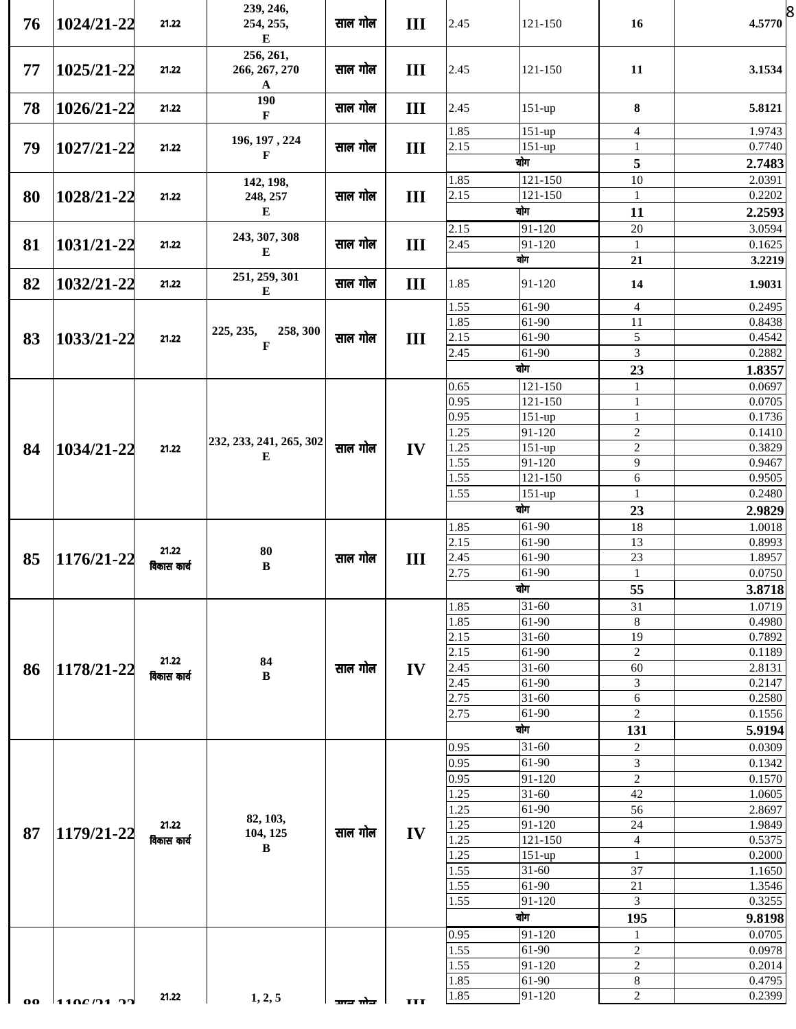| 76                      | 1024/21-22 | 21.22                | 239, 246,<br>254, 255,<br>$\bf{E}$                 | साल गोल | III        | 2.45          | 121-150                | <b>16</b>            | $\begin{matrix} 8 \\ 4.5770 \end{matrix}$ |
|-------------------------|------------|----------------------|----------------------------------------------------|---------|------------|---------------|------------------------|----------------------|-------------------------------------------|
| 77                      | 1025/21-22 | 21.22                | 256, 261,<br>266, 267, 270<br>A                    | साल गोल | III        | 2.45          | 121-150                | 11                   | 3.1534                                    |
| 78                      | 1026/21-22 | 21.22                | <b>190</b><br>F                                    | साल गोल | III        | 2.45          | $151$ -up              | 8                    | 5.8121                                    |
| 79                      | 1027/21-22 | 21.22                | 196, 197, 224                                      | साल गोल | Ш          | 1.85<br>2.15  | $151$ -up<br>$151$ -up | $\overline{4}$       | 1.9743<br>0.7740                          |
|                         |            |                      | F                                                  |         |            |               | योग                    | 5                    | 2.7483                                    |
| 80                      | 1028/21-22 | 21.22                | 142, 198,<br>248, 257                              | साल गोल | III        | 1.85<br>2.15  | 121-150<br>121-150     | 10<br>$\mathbf{1}$   | 2.0391<br>0.2202                          |
|                         |            |                      | $\bf{E}$                                           |         |            |               | योग                    | 11                   | 2.2593                                    |
| 81                      | 1031/21-22 | 21.22                | 243, 307, 308                                      | साल गोल | III        | 2.15<br> 2.45 | 91-120<br>91-120       | 20                   | 3.0594<br>0.1625                          |
|                         |            |                      | $\bf{E}$                                           |         |            |               | योग                    | 21                   | 3.2219                                    |
| 82                      | 1032/21-22 | 21.22                | 251, 259, 301<br>$\bf{E}$                          | साल गोल | Ш          | 1.85          | 91-120                 | 14                   | 1.9031                                    |
|                         |            |                      |                                                    |         |            | 1.55          | 61-90                  | $\overline{4}$       | 0.2495                                    |
| 83                      | 1033/21-22 | 21.22                | 258, 300<br>225, 235,                              | साल गोल | Ш          | 1.85<br>2.15  | 61-90<br>61-90         | 11<br>5 <sup>5</sup> | 0.8438<br>0.4542                          |
|                         |            |                      | $\mathbf F$                                        |         |            | 2.45          | 61-90                  | $\overline{3}$       | 0.2882                                    |
|                         |            |                      |                                                    |         |            | 0.65          | योग<br>121-150         | 23                   | 1.8357<br>0.0697                          |
|                         |            |                      |                                                    |         |            | 0.95          | 121-150                | $\mathbf{1}$         | 0.0705                                    |
|                         |            |                      |                                                    |         |            | 0.95          | $151$ -up              | $\mathbf{1}$         | 0.1736                                    |
|                         |            |                      |                                                    |         |            | 1.25          | 91-120                 | $\overline{2}$       | 0.1410                                    |
| 84                      | 1034/21-22 | 21.22                | $\vert 232, 233, 241, 265, 302 \vert$<br>${\bf E}$ | साल गोल | IV         | 1.25          | $151$ -up              | $\overline{2}$       | 0.3829                                    |
|                         |            |                      |                                                    |         |            | 1.55          | 91-120                 | 9                    | 0.9467                                    |
|                         |            |                      |                                                    |         |            | 1.55<br>1.55  | 121-150<br>$151$ -up   | 6                    | 0.9505<br>0.2480                          |
|                         |            |                      |                                                    |         |            |               | योग                    | 23                   | 2.9829                                    |
|                         |            |                      |                                                    |         |            | 1.85          | 61-90                  | 18                   | 1.0018                                    |
|                         |            |                      |                                                    |         |            | 2.15          | 61-90                  | 13                   | 0.8993                                    |
| 85                      | 1176/21-22 | 21.22<br>विकास कार्य | 80<br>B                                            | साल गोल | Ш          | 2.45          | 61-90                  | 23                   | 1.8957                                    |
|                         |            |                      |                                                    |         |            | 2.75          | 61-90                  |                      | 0.0750                                    |
|                         |            |                      |                                                    |         |            |               | योग                    | 55                   | 3.8718                                    |
|                         |            |                      |                                                    |         |            | 1.85<br>1.85  | $31 - 60$<br>61-90     | 31<br>8              | 1.0719<br>0.4980                          |
|                         |            |                      |                                                    |         |            | 2.15          | $31 - 60$              | 19                   | 0.7892                                    |
|                         |            |                      |                                                    |         |            | 2.15          | 61-90                  | $\overline{2}$       | 0.1189                                    |
| 86                      | 1178/21-22 | 21.22<br>विकास कार्य | 84<br>$\bf{B}$                                     | साल गोल | IV         | 2.45          | $31 - 60$              | 60                   | 2.8131                                    |
|                         |            |                      |                                                    |         |            | 2.45          | 61-90                  | 3                    | 0.2147                                    |
|                         |            |                      |                                                    |         |            | 2.75<br>2.75  | $31 - 60$<br>61-90     | 6<br>$\overline{2}$  | 0.2580<br>0.1556                          |
|                         |            |                      |                                                    |         |            |               | योग                    | 131                  | 5.9194                                    |
|                         |            |                      |                                                    |         |            | 0.95          | $31 - 60$              | $\overline{2}$       | 0.0309                                    |
|                         |            |                      |                                                    |         |            | 0.95          | 61-90                  | $\overline{3}$       | 0.1342                                    |
|                         |            |                      |                                                    |         |            | 0.95          | 91-120                 | $\overline{2}$       | 0.1570                                    |
|                         |            |                      |                                                    |         |            | 1.25          | $31 - 60$              | 42                   | 1.0605                                    |
|                         |            | 21.22                | 82, 103,                                           |         |            | 1.25<br>1.25  | 61-90<br>91-120        | 56<br>24             | 2.8697<br>1.9849                          |
| 87                      | 1179/21-22 | विकास कार्य          | 104, 125                                           | साल गोल | IV         | 1.25          | 121-150                | $\overline{4}$       | 0.5375                                    |
|                         |            |                      | B                                                  |         |            | 1.25          | $151$ -up              |                      | 0.2000                                    |
|                         |            |                      |                                                    |         |            | 1.55          | $31 - 60$              | 37                   | 1.1650                                    |
|                         |            |                      |                                                    |         |            | 1.55          | 61-90                  | 21                   | 1.3546                                    |
|                         |            |                      |                                                    |         |            | 1.55          | 91-120<br>योग          | $\overline{3}$       | 0.3255                                    |
|                         |            |                      |                                                    |         |            |               | 91-120                 | 195                  | 9.8198                                    |
|                         |            |                      |                                                    |         |            | 0.95<br>1.55  | 61-90                  | $\overline{2}$       | 0.0705<br>0.0978                          |
|                         |            |                      |                                                    |         |            | 1.55          | 91-120                 | $\overline{2}$       | 0.2014                                    |
|                         |            |                      |                                                    |         |            | 1.85          | 61-90                  | 8                    | 0.4795                                    |
| $\overline{\mathbf{O}}$ | 11102/212  | 21.22                | 1, 2, 5                                            | ਤਸਤ ਜੀਤ | <b>TIT</b> | 1.85          | 91-120                 | $\overline{2}$       | 0.2399                                    |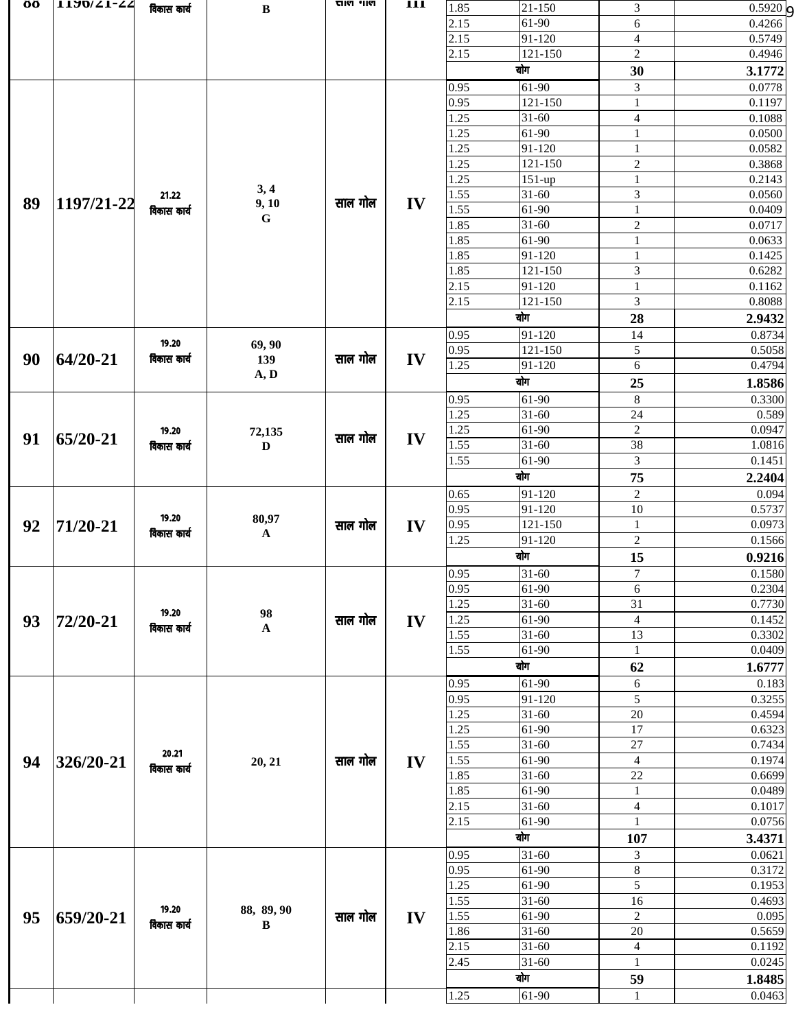| 99        | 1170/21-22    | विकास कार्य | $\mathbf{B}$ | त्ताल गाल | <b>III</b> | 1.85 | $21 - 150$ | $\mathfrak{Z}$           | 0.5920 |
|-----------|---------------|-------------|--------------|-----------|------------|------|------------|--------------------------|--------|
|           |               |             |              |           |            | 2.15 | 61-90      | 6                        | 0.4266 |
|           |               |             |              |           |            | 2.15 | 91-120     | $\overline{4}$           | 0.5749 |
|           |               |             |              |           |            | 2.15 | 121-150    | $\overline{2}$           | 0.4946 |
|           |               |             |              |           |            |      | योग        | 30                       | 3.1772 |
|           |               |             |              |           |            |      |            |                          |        |
|           |               |             |              |           |            | 0.95 | 61-90      | $\overline{3}$           | 0.0778 |
|           |               |             |              |           |            | 0.95 | 121-150    | 1                        | 0.1197 |
|           |               |             |              |           |            | 1.25 | $31 - 60$  | $\overline{4}$           | 0.1088 |
|           |               |             |              |           |            | 1.25 | 61-90      | 1                        | 0.0500 |
|           |               |             |              |           |            | 1.25 | 91-120     |                          | 0.0582 |
|           |               |             |              |           |            | 1.25 | 121-150    | $\overline{2}$           | 0.3868 |
|           |               |             | 3, 4         |           |            | 1.25 | $151$ -up  | $\mathbf 1$              | 0.2143 |
| 89        | 1197/21-22    | 21.22       | 9,10         | साल गोल   | IV         | 1.55 | $31 - 60$  | $\overline{3}$           | 0.0560 |
|           |               | विकास कार्य | G            |           |            | 1.55 | 61-90      |                          | 0.0409 |
|           |               |             |              |           |            | 1.85 | $31 - 60$  | $\overline{2}$           | 0.0717 |
|           |               |             |              |           |            | 1.85 | 61-90      |                          | 0.0633 |
|           |               |             |              |           |            | 1.85 | 91-120     |                          | 0.1425 |
|           |               |             |              |           |            | 1.85 | 121-150    | $\mathfrak{Z}$           | 0.6282 |
|           |               |             |              |           |            | 2.15 | 91-120     |                          | 0.1162 |
|           |               |             |              |           |            | 2.15 | 121-150    | $\overline{3}$           | 0.8088 |
|           |               |             |              |           |            |      | योग        | 28                       | 2.9432 |
|           |               | 19.20       |              |           |            | 0.95 | 91-120     | 14                       | 0.8734 |
|           |               |             | 69,90        |           |            | 0.95 | 121-150    | $5\overline{)}$          | 0.5058 |
| <b>90</b> | $ 64/20-21$   | विकास कार्य | 139          | साल गोल   | IV         | 1.25 | 91-120     | 6                        | 0.4794 |
|           |               |             | A, D         |           |            |      | योग        | 25                       | 1.8586 |
|           |               |             |              |           |            | 0.95 | 61-90      | 8                        | 0.3300 |
|           |               |             |              |           |            | 1.25 | $31 - 60$  | 24                       | 0.589  |
|           |               | 19.20       | 72,135       |           |            | 1.25 | 61-90      | $\overline{2}$           | 0.0947 |
| 91        | $ 65/20-21 $  | विकास कार्य | D            | साल गोल   | IV         | 1.55 | $31 - 60$  | 38                       | 1.0816 |
|           |               |             |              |           |            | 1.55 | 61-90      | $\mathfrak{Z}$           | 0.1451 |
|           |               |             |              |           |            |      | योग        | 75                       | 2.2404 |
|           |               |             |              |           |            |      |            |                          |        |
|           |               |             |              |           |            | 0.65 | 91-120     | $\overline{2}$           | 0.094  |
|           |               | 19.20       | 80,97        |           |            | 0.95 | 91-120     | 10                       | 0.5737 |
| 92        | $ 71/20-21$   | विकास कार्य | $\mathbf A$  | साल गोल   | IV         | 0.95 | 121-150    | $\mathbf{1}$             | 0.0973 |
|           |               |             |              |           |            | 1.25 | 91-120     | $\overline{2}$           | 0.1566 |
|           |               |             |              |           |            |      | योग        | 15                       | 0.9216 |
|           |               |             |              |           |            | 0.95 | $31 - 60$  | $\overline{\mathcal{I}}$ | 0.1580 |
|           |               |             |              |           |            | 0.95 | 61-90      | 6                        | 0.2304 |
|           |               | 19.20       | 98           |           |            | 1.25 | $31 - 60$  | 31                       | 0.7730 |
| 93        | 72/20-21      | विकास कार्य | $\mathbf A$  | साल गोल   | IV         | 1.25 | 61-90      | $\overline{4}$           | 0.1452 |
|           |               |             |              |           |            | 1.55 | $31 - 60$  | 13                       | 0.3302 |
|           |               |             |              |           |            | 1.55 | 61-90      | $\mathbf{1}$             | 0.0409 |
|           |               |             |              |           |            |      | योग        | 62                       | 1.6777 |
|           |               |             |              |           |            | 0.95 | 61-90      | 6                        | 0.183  |
|           |               |             |              |           |            | 0.95 | 91-120     | 5                        | 0.3255 |
|           |               |             |              |           |            | 1.25 | $31 - 60$  | 20                       | 0.4594 |
|           |               |             |              |           |            | 1.25 | 61-90      | 17                       | 0.6323 |
|           |               | 20.21       |              |           |            | 1.55 | $31 - 60$  | 27                       | 0.7434 |
| 94        | $ 326/20-21 $ | विकास कार्य | 20, 21       | साल गोल   | IV         | 1.55 | 61-90      | 4                        | 0.1974 |
|           |               |             |              |           |            | 1.85 | $31 - 60$  | 22                       | 0.6699 |
|           |               |             |              |           |            | 1.85 | 61-90      |                          | 0.0489 |
|           |               |             |              |           |            | 2.15 | $31 - 60$  | $\overline{4}$           | 0.1017 |
|           |               |             |              |           |            | 2.15 | 61-90      |                          | 0.0756 |
|           |               |             |              |           |            |      | योग        | 107                      | 3.4371 |
|           |               |             |              |           |            | 0.95 | $31 - 60$  | $\mathfrak{Z}$           | 0.0621 |
|           |               |             |              |           |            | 0.95 | 61-90      | 8                        | 0.3172 |
|           |               |             |              |           |            | 1.25 | 61-90      | $5\overline{)}$          | 0.1953 |
|           |               |             |              |           |            | 1.55 | $31 - 60$  | 16                       | 0.4693 |
| 95        | $ 659/20-21 $ | 19.20       | 88, 89, 90   | साल गोल   | IV         | 1.55 | 61-90      | $\overline{2}$           | 0.095  |
|           |               | विकास कार्य | B            |           |            | 1.86 | $31 - 60$  | 20                       | 0.5659 |
|           |               |             |              |           |            | 2.15 | $31 - 60$  | $\overline{4}$           | 0.1192 |
|           |               |             |              |           |            | 2.45 | $31 - 60$  |                          | 0.0245 |
|           |               |             |              |           |            |      | योग        | 59                       | 1.8485 |
|           |               |             |              |           |            | 1.25 | 61-90      | $\mathbf{1}$             | 0.0463 |
|           |               |             |              |           |            |      |            |                          |        |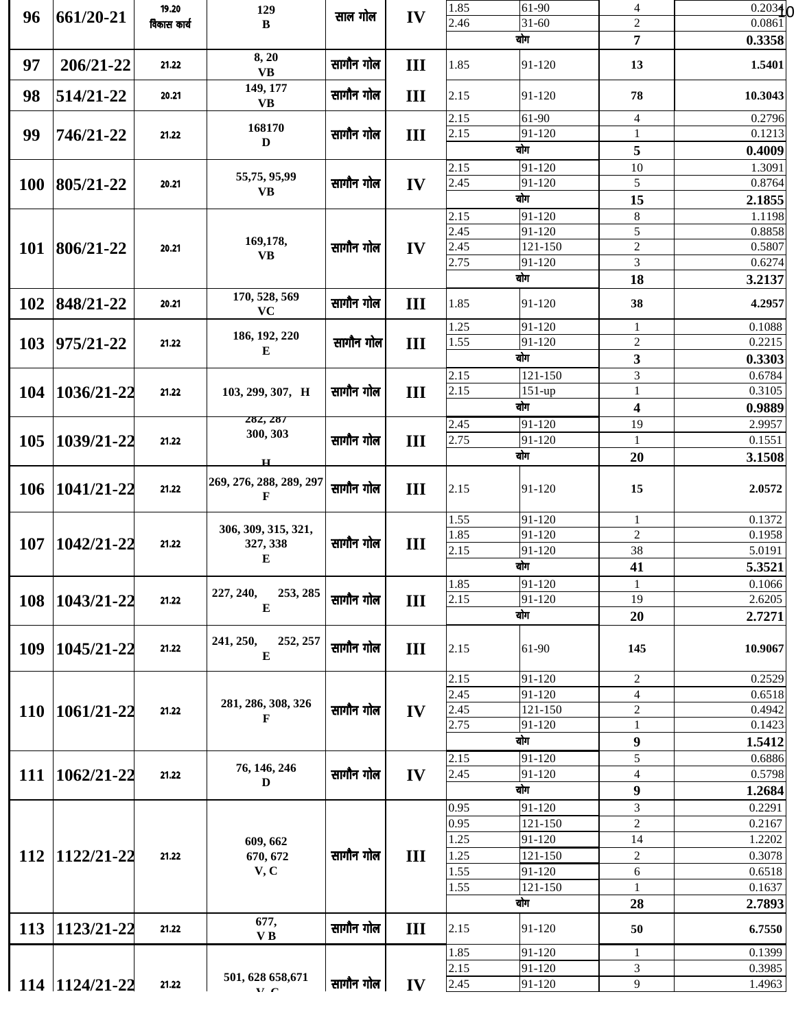| 96         | $ 661/20-21 $  | 19.20<br>विकास कार्य | 129<br>$\bf{B}$                              | साल गोल   | IV             | 1.85<br>2.46  | 61-90<br>$31 - 60$<br>योग | $\overline{4}$<br>$\overline{2}$  | 0.2034<br>0.0861 |
|------------|----------------|----------------------|----------------------------------------------|-----------|----------------|---------------|---------------------------|-----------------------------------|------------------|
| 97         | 206/21-22      | 21.22                | 8, 20<br><b>VB</b>                           | सागौन गोल | III            | 1.85          | 91-120                    | $\overline{7}$<br>13              | 0.3358<br>1.5401 |
| 98         | 514/21-22      | 20.21                | 149, 177<br><b>VB</b>                        | सागौन गोल | III            | 2.15          | 91-120                    | 78                                | 10.3043          |
|            |                |                      |                                              |           |                | 2.15          | 61-90                     | $\overline{4}$                    | 0.2796           |
| 99         | 746/21-22      | 21.22                | 168170<br>D                                  | सागौन गोल | III            | 2.15          | 91-120                    | $\mathbf{1}$                      | 0.1213           |
|            |                |                      |                                              |           |                |               | योग                       | 5                                 | 0.4009           |
|            |                |                      | 55,75, 95,99                                 |           |                | 2.15          | 91-120                    | 10                                | 1.3091           |
| <b>100</b> | 805/21-22      | 20.21                | <b>VB</b>                                    | सागौन गोल | IV             | 2.45          | 91-120<br>योग             | 5                                 | 0.8764           |
|            |                |                      |                                              |           |                | 2.15          | 91-120                    | 15<br>8                           | 2.1855<br>1.1198 |
|            |                |                      |                                              |           |                | 2.45          | 91-120                    | 5                                 | 0.8858           |
| <b>101</b> | 806/21-22      | 20.21                | 169,178,                                     | सागौन गोल | IV             | 2.45          | 121-150                   | $\overline{2}$                    | 0.5807           |
|            |                |                      | <b>VB</b>                                    |           |                | 2.75          | 91-120                    | 3                                 | 0.6274           |
|            |                |                      |                                              |           |                |               | योग                       | 18                                | 3.2137           |
| 102        | 848/21-22      | 20.21                | 170, 528, 569<br><b>VC</b>                   | सागौन गोल | III            | 1.85          | 91-120                    | 38                                | 4.2957           |
|            |                |                      |                                              |           |                | 1.25          | 91-120                    |                                   | 0.1088           |
| <b>103</b> | 975/21-22      | 21.22                | 186, 192, 220<br>$\bf{E}$                    | सागौन गोल | Ш              | 1.55          | 91-120                    | $\overline{2}$                    | 0.2215           |
|            |                |                      |                                              |           |                |               | योग                       | $\mathbf{3}$                      | 0.3303           |
|            |                |                      |                                              |           |                | 2.15          | 121-150                   | $\overline{3}$                    | 0.6784           |
| 104        | 1036/21-22     | 21.22                | 103, 299, 307, H                             | सागौन गोल | Ш              | 2.15          | $151$ -up                 |                                   | 0.3105           |
|            |                |                      | 282,287                                      |           |                |               | योग                       | 4                                 | 0.9889           |
|            |                |                      | 300, 303                                     | सागौन गोल |                | 2.45<br>2.75  | 91-120<br>91-120          | 19                                | 2.9957<br>0.1551 |
| 105        | 1039/21-22     | 21.22                |                                              |           | Ш              |               | योग                       | 20                                | 3.1508           |
|            |                |                      | H                                            |           |                |               |                           |                                   |                  |
| 106        | 1041/21-22     | 21.22                | 269, 276, 288, 289, 297                      | सागौन गोल | Ш              | 2.15          | 91-120                    | 15                                | 2.0572           |
|            |                |                      |                                              |           |                | 1.55          | 91-120                    | $\mathbf{1}$                      | 0.1372           |
|            |                | 21.22                | 306, 309, 315, 321,<br>327, 338<br>${\bf E}$ |           |                | 1.85          | 91-120                    | $\overline{2}$                    | 0.1958           |
| 107        | 1042/21-22     |                      |                                              | सागौन गोल | Ш              | 2.15          | 91-120                    | 38                                | 5.0191           |
|            |                |                      |                                              |           |                |               | योग                       | 41                                | 5.3521           |
|            |                |                      | 227, 240,<br>253, 285                        |           |                | 1.85          | 91-120                    |                                   | 0.1066           |
| 108        | 1043/21-22     | 21.22                | E                                            | सागौन गोल | Ш              | 2.15          | 91-120<br>योग             | 19                                | 2.6205           |
|            |                |                      |                                              |           |                |               |                           | 20                                | 2.7271           |
| 109        | 1045/21-22     | 21.22                | 241, 250,<br>252, 257<br>E                   | सागौन गोल | Ш              | 2.15          | 61-90                     | 145                               | 10.9067          |
|            |                |                      |                                              |           |                | 2.15          | 91-120                    | $\overline{2}$                    | 0.2529           |
|            |                |                      |                                              |           |                | 2.45          | 91-120                    | $\overline{4}$                    | 0.6518           |
| <b>110</b> | 1061/21-22     | 21.22                | 281, 286, 308, 326                           | सागौन गोल | IV             | 2.45          | 121-150                   | $\overline{2}$                    | 0.4942           |
|            |                |                      |                                              |           |                | 2.75          | 91-120                    |                                   | 0.1423           |
|            |                |                      |                                              |           |                |               | योग                       | $\boldsymbol{9}$                  | 1.5412           |
|            | 111 1062/21-22 | 21.22                | 76, 146, 246                                 | सागान गाल | IV             | 2.15<br> 2.45 | 91-120<br>91-120          | $5\overline{)}$<br>$\overline{4}$ | 0.6886<br>0.5798 |
|            |                |                      | D                                            |           |                |               | योग                       | $\boldsymbol{9}$                  | 1.2684           |
|            |                |                      |                                              |           |                | 0.95          | 91-120                    | 3                                 | 0.2291           |
|            |                |                      |                                              |           |                | 0.95          | 121-150                   | $\mathbf{2}$                      | 0.2167           |
|            |                |                      | 609, 662                                     |           |                | 1.25          | 91-120                    | 14                                | 1.2202           |
| <b>112</b> | 1122/21-22     | 21.22                | 670, 672                                     | सागौन गोल | $\mathbf{III}$ | 1.25          | 121-150                   | $\overline{2}$                    | 0.3078           |
|            |                |                      | V, C                                         |           |                | 1.55          | 91-120                    | 6                                 | 0.6518           |
|            |                |                      |                                              |           |                | 1.55          | 121-150                   |                                   | 0.1637           |
|            |                |                      |                                              |           |                |               | योग                       | 28                                | 2.7893           |
| <b>113</b> | $ 1123/21-22 $ | 21.22                | 677,<br><b>VB</b>                            | सागौन गोल | III            | 2.15          | 91-120                    | 50                                | 6.7550           |
|            |                |                      |                                              |           |                | 1.85          | 91-120                    | $\mathbf{1}$                      | 0.1399           |
|            |                |                      | 501, 628 658, 671                            |           |                | 2.15          | 91-120                    | $\overline{3}$                    | 0.3985           |
|            | 114 1124/21-22 | 21.22                | $V \cap$                                     | सागौन गोल | IV             | 2.45          | 91-120                    | 9                                 | 1.4963           |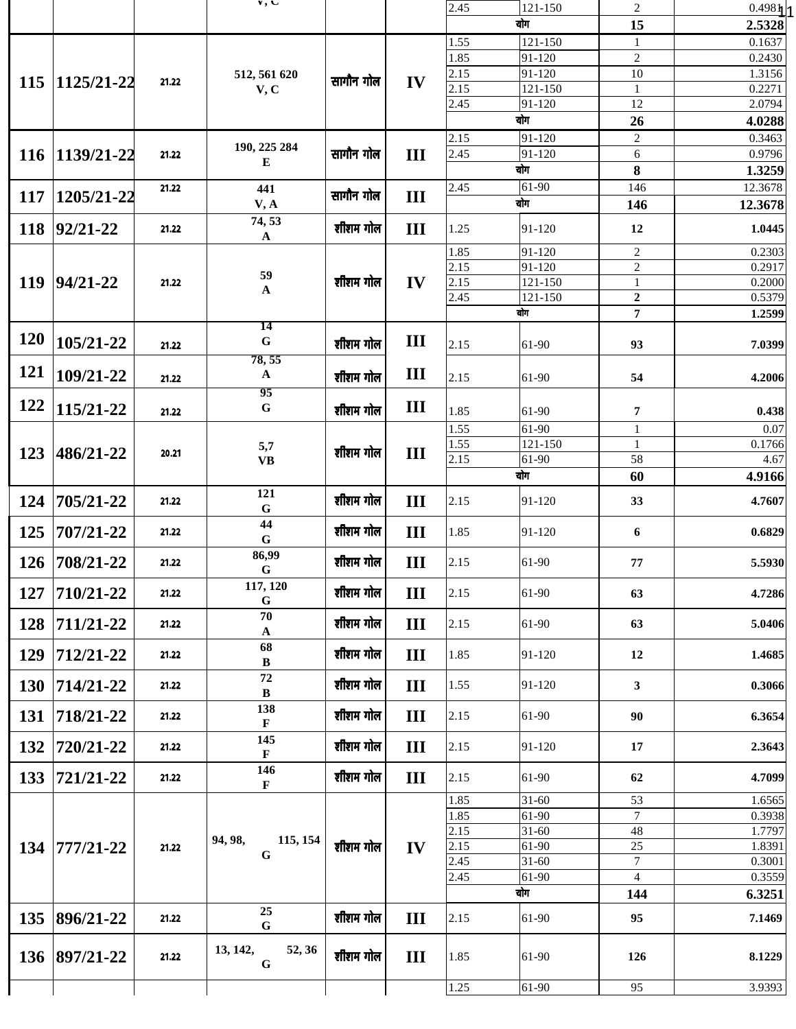|            |                  |       | $\mathbf{v}, \mathbf{c}$ |           |                | 2.45         | 121-150            | $\overline{2}$                   | $0.498 \,\text{h}$ |
|------------|------------------|-------|--------------------------|-----------|----------------|--------------|--------------------|----------------------------------|--------------------|
|            |                  |       |                          |           |                |              | योग                | 15                               | 2.5328             |
|            |                  |       |                          |           |                | 1.55         | 121-150            | $\mathbf{1}$                     | 0.1637             |
|            |                  |       |                          |           |                | 1.85         | 91-120             | $\overline{2}$                   | 0.2430             |
| <b>115</b> | 1125/21-22       | 21.22 | 512, 561 620             | सागौन गोल | IV             | 2.15         | 91-120             | 10                               | 1.3156             |
|            |                  |       | V, C                     |           |                | 2.15         | 121-150            | $\mathbf{1}$                     | 0.2271             |
|            |                  |       |                          |           |                | 2.45         | 91-120             | 12                               | 2.0794             |
|            |                  |       |                          |           |                |              | योग                | 26                               | 4.0288             |
|            |                  |       | 190, 225 284             |           |                | 2.15         | 91-120             | $\overline{2}$                   | 0.3463             |
|            | 116   1139/21-22 | 21.22 | ${\bf E}$                | सागौन गोल | III            | 2.45         | 91-120             | 6                                | 0.9796             |
|            |                  |       |                          |           |                |              | योग                | 8                                | 1.3259             |
| <b>117</b> | 1205/21-22       | 21.22 | 441                      | सागौन गोल | III            | 2.45         | 61-90              | 146                              | 12.3678            |
|            |                  |       | V, A                     |           |                |              | योग                | 146                              | 12.3678            |
| <b>118</b> | $ 92/21-22 $     | 21.22 | 74,53                    | शीशम गोल  | III            | 1.25         | 91-120             | 12                               | 1.0445             |
|            |                  |       | $\mathbf{A}$             |           |                |              |                    |                                  |                    |
|            |                  |       |                          |           |                | 1.85         | 91-120             | $\overline{2}$                   | 0.2303             |
|            |                  |       | 59                       |           |                | 2.15         | 91-120             | $\overline{2}$                   | 0.2917             |
| <b>119</b> | $94/21 - 22$     | 21.22 | $\mathbf A$              | शीशम गोल  | IV             | 2.15         | 121-150            | 1                                | 0.2000             |
|            |                  |       |                          |           |                | 2.45         | 121-150<br>योग     | $\overline{2}$<br>$\overline{7}$ | 0.5379             |
|            |                  |       | 14                       |           |                |              |                    |                                  | 1.2599             |
| <b>120</b> | 105/21-22        | 21.22 | G                        | शीशम गोल  | III            | 2.15         | 61-90              | 93                               | 7.0399             |
|            |                  |       | 78, 55                   |           |                |              |                    |                                  |                    |
| 121        | 109/21-22        | 21.22 | $\mathbf{A}$             | शीशम गोल  | $\mathbf{I}$   | 2.15         | 61-90              | 54                               | 4.2006             |
|            |                  |       | 95                       |           |                |              |                    |                                  |                    |
| 122        | 115/21-22        | 21.22 | G                        | शीशम गोल  | III            | 1.85         | 61-90              | $\overline{7}$                   | 0.438              |
|            |                  |       |                          |           |                | 1.55         | 61-90              |                                  | 0.07               |
|            |                  |       |                          |           |                | 1.55         | 121-150            |                                  | 0.1766             |
| <b>123</b> | $ 486/21-22 $    | 20.21 | 5,7<br><b>VB</b>         | शीशम गोल  | III            | 2.15         | 61-90              | 58                               | 4.67               |
|            |                  |       |                          |           |                |              | योग                | 60                               | 4.9166             |
|            |                  |       | 121                      |           |                |              |                    |                                  |                    |
| <b>124</b> | 705/21-22        | 21.22 | G                        | शीशम गोल  | $\mathbf{III}$ | 2.15         | 91-120             | 33                               | 4.7607             |
|            |                  |       | 44                       |           |                |              |                    |                                  |                    |
| 125        | 707/21-22        | 21.22 | G                        | शीशम गोल  | III            | 1.85         | 91-120             | 6                                | 0.6829             |
|            |                  |       | 86,99                    | शीशम गोल  |                |              | 61-90              |                                  |                    |
| <b>126</b> | 708/21-22        | 21.22 | G                        |           | III            | 2.15         |                    | 77                               | 5.5930             |
| <b>127</b> | 710/21-22        | 21.22 | 117, 120                 | शीशम गोल  | III            | 2.15         | 61-90              | 63                               | 4.7286             |
|            |                  |       | G                        |           |                |              |                    |                                  |                    |
| 128        | 711/21-22        | 21.22 | 70                       | शीशम गोल  | III            | 2.15         | 61-90              | 63                               | 5.0406             |
|            |                  |       | $\mathbf A$              |           |                |              |                    |                                  |                    |
| <b>129</b> | 712/21-22        | 21.22 | 68                       | शीशम गोल  | III            | 1.85         | 91-120             | 12                               | 1.4685             |
|            |                  |       | B<br>72                  |           |                |              |                    |                                  |                    |
| <b>130</b> | 714/21-22        | 21.22 | B                        | शीशम गोल  | III            | 1.55         | 91-120             | 3                                | 0.3066             |
|            |                  |       | 138                      |           |                |              |                    |                                  |                    |
| 131        | 718/21-22        | 21.22 | $\mathbf{F}$             | शीशम गोल  | III            | 2.15         | 61-90              | 90                               | 6.3654             |
|            |                  |       | 145                      |           |                |              |                    |                                  |                    |
|            | 132   720/21-22  | 21.22 | $\mathbf{F}$             | शीशम गोल  | Ш              | 2.15         | 91-120             | 17                               | 2.3643             |
|            | 133   721/21-22  | 21.22 | 146                      | शीशम गोल  |                | 2.15         | 61-90              | 62                               | 4.7099             |
|            |                  |       | $\mathbf F$              |           | III            |              |                    |                                  |                    |
|            |                  |       |                          |           |                | 1.85         | $31 - 60$          | 53                               | 1.6565             |
|            |                  |       |                          |           |                | 1.85         | 61-90              | $\tau$                           | 0.3938             |
|            |                  |       | 115, 154<br>94, 98,      |           |                | 2.15         | $31 - 60$          | 48                               | 1.7797             |
| <b>134</b> | 777/21-22        | 21.22 | G                        | शीशम गोल  | IV             | 2.15         | 61-90              | 25<br>$\tau$                     | 1.8391             |
|            |                  |       |                          |           |                | 2.45<br>2.45 | $31 - 60$<br>61-90 | $\overline{4}$                   | 0.3001<br>0.3559   |
|            |                  |       |                          |           |                |              | योग                |                                  |                    |
|            |                  |       |                          |           |                |              |                    | 144                              | 6.3251             |
|            | 135 896/21-22    | 21.22 | 25<br>G                  | शीशम गोल  | III            | 2.15         | 61-90              | 95                               | 7.1469             |
|            |                  |       |                          |           |                |              |                    |                                  |                    |
|            | 136 897/21-22    | 21.22 | 13, 142,<br>52, 36       | शीशम गोल  | III            | 1.85         | 61-90              | 126                              | 8.1229             |
|            |                  |       | G                        |           |                |              |                    |                                  |                    |
|            |                  |       |                          |           |                | 1.25         | 61-90              | 95                               | 3.9393             |
|            |                  |       |                          |           |                |              |                    |                                  |                    |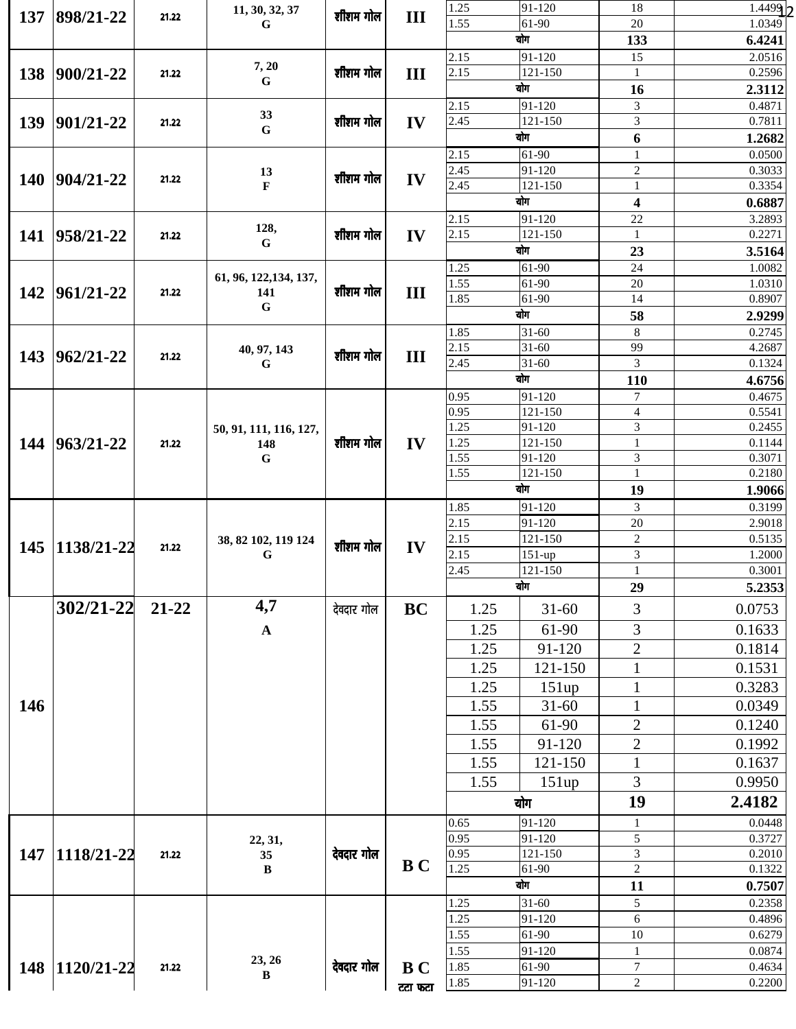| 137        | 898/21-22     | 21.22     | 11, 30, 32, 37         | शीशम गोल   | III          | 1.25           | 91-120               | 18                               | 1.4499           |
|------------|---------------|-----------|------------------------|------------|--------------|----------------|----------------------|----------------------------------|------------------|
|            |               |           | G                      |            |              | 1.55           | 61-90<br>योग         | 20<br>133                        | 1.0349<br>6.4241 |
|            |               |           |                        |            |              | 2.15           | 91-120               | 15                               | 2.0516           |
| 138        | $ 900/21-22 $ | 21.22     | 7, 20                  | शीशम गोल   | III          | 2.15           | 121-150              | $\mathbf{1}$                     | 0.2596           |
|            |               |           | G                      |            |              |                | योग                  | 16                               | 2.3112           |
|            |               |           |                        |            |              | 2.15           | 91-120               | 3                                | 0.4871           |
| <b>139</b> | $ 901/21-22 $ | 21.22     | 33<br>$\mathbf G$      | शीशम गोल   | IV           | 2.45           | 121-150              | 3                                | 0.7811           |
|            |               |           |                        |            |              |                | योग                  | 6                                | 1.2682           |
|            |               |           |                        |            |              | 2.15           | 61-90                |                                  | 0.0500           |
| <b>140</b> | $ 904/21-22 $ | 21.22     | 13                     | शीशम गोल   | IV           | 2.45           | 91-120               | $\sqrt{2}$                       | 0.3033           |
|            |               |           | $\mathbf{F}$           |            |              | 2.45           | 121-150<br>योग       | $\mathbf{1}$                     | 0.3354           |
|            |               |           |                        |            |              |                |                      | $\overline{\mathbf{4}}$<br>22    | 0.6887           |
| <b>141</b> | 958/21-22     | 21.22     | 128,                   | शीशम गोल   | IV           | 2.15 <br> 2.15 | 91-120<br>121-150    |                                  | 3.2893<br>0.2271 |
|            |               |           | G                      |            |              |                | योग                  | 23                               | 3.5164           |
|            |               |           |                        |            |              | 1.25           | 61-90                | 24                               | 1.0082           |
|            |               |           | 61, 96, 122, 134, 137, |            |              | 1.55           | 61-90                | 20                               | 1.0310           |
| 142        | $ 961/21-22 $ | 21.22     | 141<br>G               | शीशम गोल   | $\mathbf{m}$ | 1.85           | 61-90                | 14                               | 0.8907           |
|            |               |           |                        |            |              |                | योग                  | 58                               | 2.9299           |
|            |               |           |                        |            |              | 1.85           | $31 - 60$            | 8                                | 0.2745           |
| <b>143</b> | 962/21-22     | 21.22     | 40, 97, 143            | शीशम गोल   | Ш            | 2.15           | $31 - 60$            | 99                               | 4.2687           |
|            |               |           | G                      |            |              | 2.45           | $31 - 60$            | 3                                | 0.1324           |
|            |               |           |                        |            |              |                | योग                  | <b>110</b>                       | 4.6756           |
|            |               |           |                        |            |              | 0.95<br>0.95   | 91-120<br>121-150    | $\overline{7}$<br>$\overline{4}$ | 0.4675<br>0.5541 |
|            |               |           | 50, 91, 111, 116, 127, |            |              | 1.25           | 91-120               | 3                                | 0.2455           |
| 144        | $ 963/21-22 $ | 21.22     | 148                    | शीशम गोल   | IV           | 1.25           | 121-150              |                                  | 0.1144           |
|            |               |           | G                      |            |              | 1.55           | 91-120               | 3                                | 0.3071           |
|            |               |           |                        |            |              | 1.55           | 121-150              |                                  | 0.2180           |
|            |               |           |                        |            |              |                | योग                  | 19                               | 1.9066           |
|            |               |           |                        |            |              | 1.85           | 91-120               | 3                                | 0.3199           |
|            |               |           |                        |            |              | 2.15           | 91-120               | 20                               | 2.9018           |
| 145        | 1138/21-22    | 21.22     | 38, 82 102, 119 124    | शीशम गोल   | IV           | 2.15           | 121-150              | $\overline{2}$                   | 0.5135           |
|            |               |           | G                      |            |              | 2.15<br>2.45   | $151$ -up<br>121-150 | $\mathfrak{Z}$<br>$\mathbf{1}$   | 1.2000<br>0.3001 |
|            |               |           |                        |            |              |                | योग                  | 29                               | 5.2353           |
|            | $302/21 - 22$ | $21 - 22$ | 4,7                    | देवदार गोल | <b>BC</b>    |                |                      | $\overline{3}$                   |                  |
|            |               |           |                        |            |              | 1.25           | $31 - 60$            |                                  | 0.0753           |
|            |               |           | $\mathbf{A}$           |            |              | 1.25           | 61-90                | $\overline{3}$                   | 0.1633           |
|            |               |           |                        |            |              | 1.25           | 91-120               | $\overline{2}$                   | 0.1814           |
|            |               |           |                        |            |              | 1.25           | 121-150              | $\mathbf 1$                      | 0.1531           |
|            |               |           |                        |            |              | 1.25           | 151up                |                                  | 0.3283           |
| <b>146</b> |               |           |                        |            |              | 1.55           | $31 - 60$            |                                  | 0.0349           |
|            |               |           |                        |            |              | 1.55           | 61-90                | $\overline{2}$                   | 0.1240           |
|            |               |           |                        |            |              | 1.55           | 91-120               | $\overline{2}$                   | 0.1992           |
|            |               |           |                        |            |              | 1.55           | 121-150              |                                  | 0.1637           |
|            |               |           |                        |            |              | 1.55           | 151up                | $\overline{3}$                   | 0.9950           |
|            |               |           |                        |            |              |                | योग                  | 19                               | 2.4182           |
|            |               |           |                        |            |              | 0.65           | 91-120               |                                  | 0.0448           |
|            |               |           | 22, 31,                |            |              | 0.95           | 91-120               | 5                                | 0.3727           |
| <b>147</b> | $ 1118/21-22$ | 21.22     | 35                     | देवदार गोल |              | 0.95           | 121-150              | 3                                | 0.2010           |
|            |               |           | $\bf{B}$               |            | <b>BC</b>    | 1.25           | 61-90                | $\sqrt{2}$                       | 0.1322           |
|            |               |           |                        |            |              |                | योग                  | 11                               | 0.7507           |
|            |               |           |                        |            |              | 1.25           | $31 - 60$            | 5                                | 0.2358           |
|            |               |           |                        |            |              | 1.25           | 91-120               | 6                                | 0.4896           |
|            |               |           |                        |            |              | 1.55           | 61-90                | 10                               | 0.6279           |
|            |               |           | 23, 26                 |            |              | 1.55<br>1.85   | 91-120               | $\mathbf{1}$                     | 0.0874           |
| <b>148</b> |               | 21.22     |                        | देवदार गोल | <b>BC</b>    |                | 61-90                | $\overline{7}$                   | 0.4634           |
|            | $ 1120/21-22$ |           | $\bf{B}$               |            | टटा फटा      | 1.85           | 91-120               | $\overline{2}$                   | 0.2200           |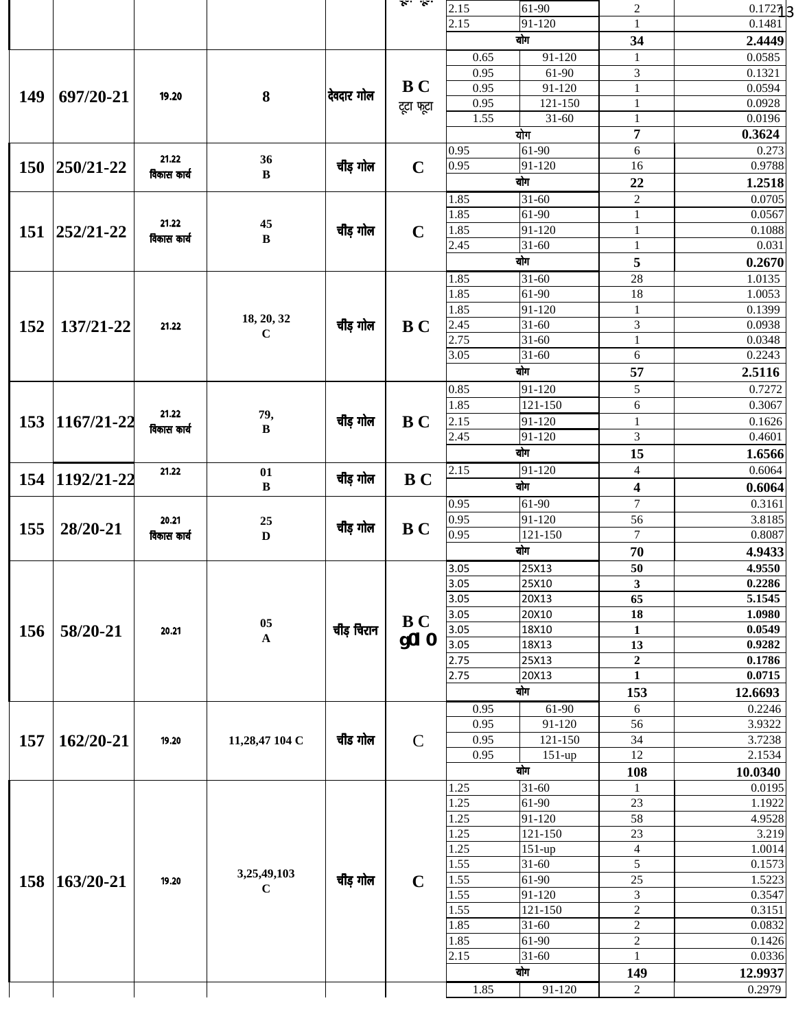|            |               |             |                |            | <u>يې يې</u>  | 2.15 | 61-90     | $\overline{2}$          | 0.1727  |
|------------|---------------|-------------|----------------|------------|---------------|------|-----------|-------------------------|---------|
|            |               |             |                |            |               | 2.15 | 91-120    |                         | 0.1481  |
|            |               |             |                |            |               |      | योग       | 34                      | 2.4449  |
|            |               |             |                |            |               | 0.65 | 91-120    |                         | 0.0585  |
|            |               |             |                |            |               | 0.95 | 61-90     | 3                       | 0.1321  |
|            |               |             |                |            | <b>B</b> C    | 0.95 | 91-120    |                         | 0.0594  |
| <b>149</b> | 697/20-21     | 19.20       | 8              | देवदार गोल |               | 0.95 | 121-150   |                         | 0.0928  |
|            |               |             |                |            | टूटा फूटा     | 1.55 | $31-60$   |                         | 0.0196  |
|            |               |             |                |            |               |      | योग       | $\overline{7}$          | 0.3624  |
|            |               |             |                |            |               |      | 61-90     |                         |         |
|            |               | 21.22       | 36             |            |               | 0.95 |           | 6                       | 0.273   |
| <b>150</b> | $ 250/21-22 $ | विकास कार्य | B              | चीड़ गोल   | $\mathbf C$   | 0.95 | 91-120    | 16                      | 0.9788  |
|            |               |             |                |            |               |      | योग       | 22                      | 1.2518  |
|            |               |             |                |            |               | 1.85 | $31 - 60$ | $\overline{2}$          | 0.0705  |
|            |               | 21.22       | 45             |            |               | 1.85 | 61-90     |                         | 0.0567  |
| 151        | $ 252/21-22 $ | विकास कार्य | $\bf{B}$       | चीड़ गोल   | $\mathbf C$   | 1.85 | 91-120    |                         | 0.1088  |
|            |               |             |                |            |               | 2.45 | $31 - 60$ |                         | 0.031   |
|            |               |             |                |            |               |      | योग       | 5                       | 0.2670  |
|            |               |             |                |            |               | 1.85 | $31 - 60$ | 28                      | 1.0135  |
|            |               |             |                |            |               | 1.85 | 61-90     | 18                      | 1.0053  |
|            |               |             |                |            |               | 1.85 | 91-120    |                         | 0.1399  |
| 152        | 137/21-22     | 21.22       | 18, 20, 32     | चीड़ गोल   | <b>BC</b>     | 2.45 | $31 - 60$ | 3                       | 0.0938  |
|            |               |             | $\mathbf C$    |            |               | 2.75 | $31 - 60$ | $\mathbf{1}$            | 0.0348  |
|            |               |             |                |            |               | 3.05 | $31 - 60$ | 6                       | 0.2243  |
|            |               |             |                |            |               |      | योग       | 57                      | 2.5116  |
|            |               |             |                |            |               |      |           |                         |         |
|            |               |             |                |            |               | 0.85 | $ 91-120$ | 5                       | 0.7272  |
|            |               | 21.22       | 79,            |            |               | 1.85 | 121-150   | 6                       | 0.3067  |
| <b>153</b> | $1167/21-22$  | विकास कार्य | $\bf{B}$       | चीड़ गोल   | <b>BC</b>     | 2.15 | 91-120    | $\mathbf{1}$            | 0.1626  |
|            |               |             |                |            |               | 2.45 | 91-120    | $\mathfrak{Z}$          | 0.4601  |
|            |               |             |                |            |               |      | योग       | 15                      | 1.6566  |
|            |               | 21.22       | 01             | चीड़ गोल   | <b>BC</b>     | 2.15 | $91-120$  | $\overline{4}$          | 0.6064  |
| 154        | $ 1192/21-22$ |             | ${\bf B}$      |            |               |      | योग       | $\overline{\mathbf{4}}$ | 0.6064  |
|            |               |             |                |            |               | 0.95 | 61-90     | $\overline{7}$          | 0.3161  |
|            |               | 20.21       | 25             |            |               | 0.95 | 91-120    | 56                      | 3.8185  |
| 155        | 28/20-21      | विकास कार्य | D              | चीड़ गोल   | <b>BC</b>     | 0.95 | 121-150   | $\overline{7}$          | 0.8087  |
|            |               |             |                |            |               |      | योग       | 70                      | 4.9433  |
|            |               |             |                |            |               | 3.05 | 25X13     | 50                      | 4.9550  |
|            |               |             |                |            |               | 3.05 | 25X10     | $\mathbf{3}$            | 0.2286  |
|            |               |             |                |            |               | 3.05 | 20X13     | 65                      | 5.1545  |
|            |               |             |                |            |               | 3.05 | 20X10     | 18                      | 1.0980  |
|            |               |             | 05             | चीड़ चिरान | <b>BC</b>     | 3.05 | 18X10     | $\mathbf{1}$            | 0.0549  |
| 156        | 58/20-21      | 20.21       | $\mathbf{A}$   |            | g010          | 3.05 | 18X13     | 13                      | 0.9282  |
|            |               |             |                |            |               | 2.75 |           |                         | 0.1786  |
|            |               |             |                |            |               |      | 25X13     | $\boldsymbol{2}$        |         |
|            |               |             |                |            |               | 2.75 | 20X13     | $\mathbf{1}$            | 0.0715  |
|            |               |             |                |            |               |      | योग       | 153                     | 12.6693 |
|            |               |             |                |            |               | 0.95 | 61-90     | 6                       | 0.2246  |
|            |               |             |                |            |               | 0.95 | 91-120    | 56                      | 3.9322  |
| 157        | 162/20-21     | 19.20       | 11,28,47 104 C | चीड गोल    | $\mathcal{C}$ | 0.95 | 121-150   | 34                      | 3.7238  |
|            |               |             |                |            |               | 0.95 | $151$ -up | 12                      | 2.1534  |
|            |               |             |                |            |               |      | योग       | 108                     | 10.0340 |
|            |               |             |                |            |               | 1.25 | $31 - 60$ |                         | 0.0195  |
|            |               |             |                |            |               | 1.25 | 61-90     | 23                      | 1.1922  |
|            |               |             |                |            |               | 1.25 | 91-120    | 58                      | 4.9528  |
|            |               |             |                |            |               | 1.25 | 121-150   | 23                      | 3.219   |
|            |               |             |                |            |               | 1.25 | $151$ -up | $\overline{4}$          | 1.0014  |
|            |               |             |                |            |               | 1.55 | $31 - 60$ | 5                       | 0.1573  |
| 158        | $163/20 - 21$ | 19.20       | 3,25,49,103    | चीड़ गोल   | $\mathbf C$   | 1.55 | 61-90     | 25                      | 1.5223  |
|            |               |             | $\mathbf C$    |            |               | 1.55 | 91-120    | 3                       | 0.3547  |
|            |               |             |                |            |               | 1.55 | 121-150   | $\overline{2}$          | 0.3151  |
|            |               |             |                |            |               | 1.85 | $31 - 60$ | $\overline{2}$          | 0.0832  |
|            |               |             |                |            |               | 1.85 | 61-90     | $\overline{2}$          | 0.1426  |
|            |               |             |                |            |               | 2.15 | $31 - 60$ |                         | 0.0336  |
|            |               |             |                |            |               |      | योग       | 149                     | 12.9937 |
|            |               |             |                |            |               | 1.85 | 91-120    | $\overline{2}$          | 0.2979  |
|            |               |             |                |            |               |      |           |                         |         |

 $\mathbf{x}$ .  $\mathbf{x}$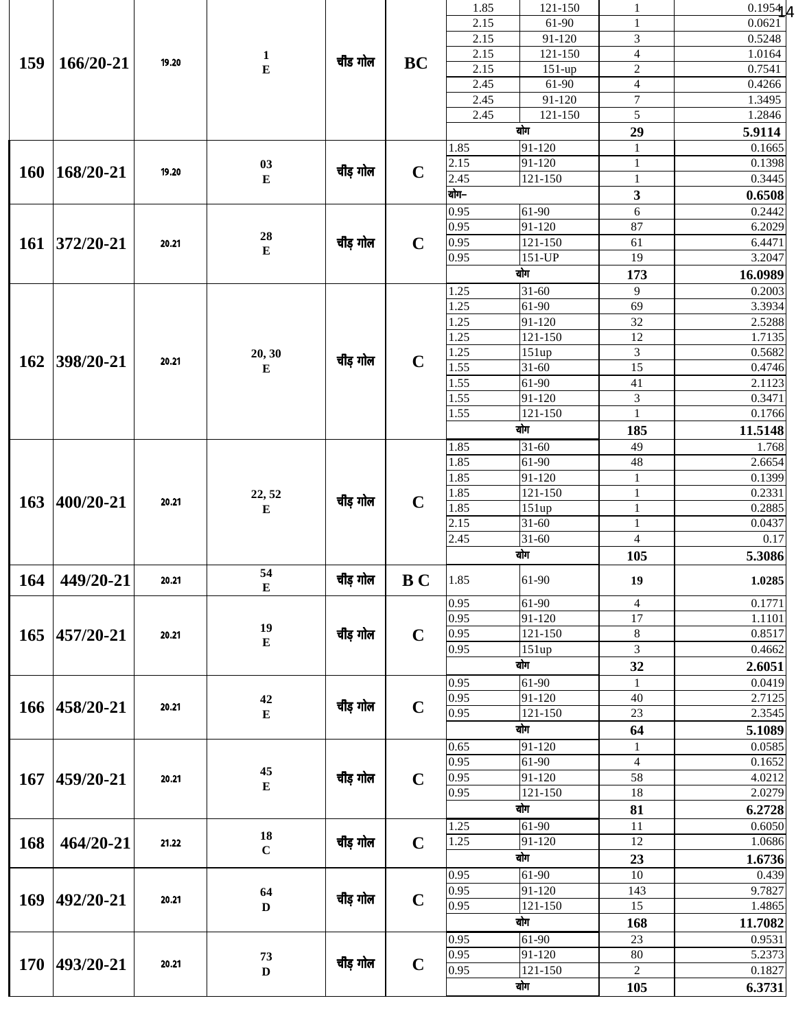|            |               |       |              |          |                 | 1.85    | 121-150        |                            | 0.1954           |  |  |  |
|------------|---------------|-------|--------------|----------|-----------------|---------|----------------|----------------------------|------------------|--|--|--|
|            |               |       |              |          |                 | 2.15    | 61-90          |                            | 0.0621           |  |  |  |
|            |               |       |              |          |                 | 2.15    | 91-120         | 3                          | 0.5248           |  |  |  |
|            |               |       | $\mathbf{1}$ |          |                 | 2.15    | 121-150        | 4                          | 1.0164           |  |  |  |
| <b>159</b> | 166/20-21     | 19.20 | $\bf{E}$     | चीड गोल  | <b>BC</b>       | 2.15    | $151$ -up      | $\overline{2}$             | 0.7541           |  |  |  |
|            |               |       |              |          |                 | 2.45    | 61-90          | $\overline{4}$             | 0.4266           |  |  |  |
|            |               |       |              |          |                 | 2.45    | 91-120         | $\overline{7}$             | 1.3495           |  |  |  |
|            |               |       |              |          |                 | 2.45    |                | 5                          | 1.2846           |  |  |  |
|            |               |       |              |          |                 |         | 121-150<br>योग |                            |                  |  |  |  |
|            |               |       |              |          |                 |         |                | 29                         | 5.9114           |  |  |  |
|            |               |       |              |          |                 | 1.85    | 91-120         |                            | 0.1665           |  |  |  |
| <b>160</b> | $168/20 - 21$ | 19.20 | 03           | चीड़ गोल | $\mathbf C$     | 2.15    | 91-120         |                            | 0.1398           |  |  |  |
|            |               |       | ${\bf E}$    |          |                 | 2.45    | 121-150        |                            | 0.3445           |  |  |  |
|            |               |       |              |          |                 | योग–    |                | $\overline{\mathbf{3}}$    | 0.6508           |  |  |  |
|            |               |       |              |          |                 | 0.95    | 61-90          | 6                          | 0.2442           |  |  |  |
|            |               |       |              |          |                 | 0.95    | 91-120         | 87                         | 6.2029           |  |  |  |
| <b>161</b> | 372/20-21     | 20.21 | 28           | चीड़ गोल | $\mathbf C$     | 0.95    | 121-150        | 61                         | 6.4471           |  |  |  |
|            |               |       | ${\bf E}$    |          |                 | 0.95    | $151$ -UP      | 19                         | 3.2047           |  |  |  |
|            |               |       |              |          |                 |         | योग            | 173                        | 16.0989          |  |  |  |
|            |               |       |              |          |                 | 1.25    | $31 - 60$      | 9                          | 0.2003           |  |  |  |
|            |               |       |              |          |                 |         |                |                            |                  |  |  |  |
|            |               |       |              |          |                 | 1.25    | 61-90          | 69                         | 3.3934           |  |  |  |
|            |               |       |              |          |                 | 1.25    | 91-120         | 32                         | 2.5288           |  |  |  |
|            |               |       |              |          |                 | 1.25    | 121-150        | 12                         | 1.7135           |  |  |  |
| <b>162</b> | $ 398/20-21$  | 20.21 | 20, 30       | चीड़ गोल | $\mathbf C$     | 1.25    | 151up          | 3                          | 0.5682           |  |  |  |
|            |               |       | $\bf{E}$     |          |                 | 1.55    | $31 - 60$      |                            | 0.4746<br>2.1123 |  |  |  |
|            |               |       |              |          |                 | 1.55    | $61-90$        | 15<br>41<br>$\mathfrak{Z}$ |                  |  |  |  |
|            |               |       |              |          |                 | 1.55    | 91-120         |                            | 0.3471           |  |  |  |
|            |               |       |              |          | 1.55<br>121-150 |         |                |                            | 0.1766           |  |  |  |
|            |               |       |              |          |                 |         | योग            |                            | 11.5148          |  |  |  |
|            |               |       |              |          |                 | 1.85    | $31 - 60$      | 49                         | 1.768            |  |  |  |
|            |               |       |              |          |                 | 1.85    | 61-90          | 48                         | 2.6654           |  |  |  |
|            |               |       |              |          | 1.85<br>1.85    |         | 91-120         | $\mathbf{1}$               | 0.1399           |  |  |  |
|            |               |       |              |          |                 | 121-150 | $\mathbf{1}$   | 0.2331                     |                  |  |  |  |
| <b>163</b> | $ 400/20-21$  | 20.21 | 22, 52<br>E  | चीड़ गोल | $\mathbf C$     | 1.85    | 151up          |                            | 0.2885           |  |  |  |
|            |               |       |              |          |                 | 2.15    | $31 - 60$      |                            | 0.0437           |  |  |  |
|            |               |       |              |          |                 | 2.45    | $31 - 60$      | $\overline{4}$             | 0.17             |  |  |  |
|            |               |       |              |          |                 |         | योग            |                            |                  |  |  |  |
|            |               |       |              |          |                 |         |                | 105                        | 5.3086           |  |  |  |
| <b>164</b> | 449/20-21     | 20.21 | 54           | चीड़ गोल | <b>BC</b>       | 1.85    | 61-90          | 19                         | 1.0285           |  |  |  |
|            |               |       | ${\bf E}$    |          |                 |         |                |                            |                  |  |  |  |
|            |               |       |              |          |                 | 0.95    | 61-90          | $\overline{4}$             | 0.1771           |  |  |  |
|            |               |       | 19           |          |                 | 0.95    | 91-120         | 17                         | 1.1101           |  |  |  |
| <b>165</b> | 457/20-21     | 20.21 | ${\bf E}$    | चीड़ गोल | $\mathbf C$     | 0.95    | 121-150        | $8\,$                      | 0.8517           |  |  |  |
|            |               |       |              |          |                 | 0.95    | 151up          | $\overline{3}$             | 0.4662           |  |  |  |
|            |               |       |              |          |                 |         | योग            | 32                         | 2.6051           |  |  |  |
|            |               |       |              |          |                 | 0.95    | 61-90          | $\mathbf{1}$               | 0.0419           |  |  |  |
|            |               |       | 42           |          |                 | 0.95    | 91-120         | 40                         | 2.7125           |  |  |  |
| <b>166</b> | 458/20-21     | 20.21 | ${\bf E}$    | चीड़ गोल | $\mathbf C$     | 0.95    | 121-150        | 23                         | 2.3545           |  |  |  |
|            |               |       |              |          |                 |         | योग            | 64                         | 5.1089           |  |  |  |
|            |               |       |              |          |                 | 0.65    | 91-120         |                            | 0.0585           |  |  |  |
|            |               |       |              |          |                 | 0.95    | 61-90          | $\overline{4}$             | 0.1652           |  |  |  |
|            | $ 459/20-21 $ | 20.21 | 45           | चीड़ गोल | $\mathbf C$     | 0.95    | $91-120$       | 58                         | 4.0212           |  |  |  |
| <b>167</b> |               |       | $\bf{E}$     |          |                 | 0.95    | 121-150        | 18                         | 2.0279           |  |  |  |
|            |               |       |              |          |                 |         | योग            |                            |                  |  |  |  |
|            |               |       |              |          |                 |         |                | 81                         | 6.2728           |  |  |  |
|            |               |       | 18           |          |                 | 1.25    | 61-90          | 11                         | 0.6050           |  |  |  |
| <b>168</b> | 464/20-21     | 21.22 | $\mathbf C$  | चीड़ गोल | $\mathbf C$     | 1.25    | 91-120         | 12                         | 1.0686           |  |  |  |
|            |               |       |              |          |                 |         | योग            | 23                         | 1.6736           |  |  |  |
|            |               |       |              |          |                 | 0.95    | 61-90          | 10                         | 0.439            |  |  |  |
|            |               |       | 64           |          |                 | 0.95    | 91-120         | 143                        | 9.7827           |  |  |  |
| <b>169</b> | 492/20-21     | 20.21 | D            | चीड़ गोल | $\mathbf C$     | 0.95    | $121 - 150$    | 15                         | 1.4865           |  |  |  |
|            |               |       |              |          |                 |         | योग            | 168                        | 11.7082          |  |  |  |
|            |               |       |              |          |                 | 0.95    | 61-90          | 23                         | 0.9531           |  |  |  |
|            |               |       |              |          |                 | 0.95    | 91-120         | 80                         | 5.2373           |  |  |  |
| <b>170</b> | 493/20-21     | 20.21 | 73           | चीड़ गोल | $\mathbf C$     | 0.95    | 121-150        | $\overline{2}$             | 0.1827           |  |  |  |
|            |               |       | D            |          |                 |         | योग            |                            |                  |  |  |  |
|            |               |       |              |          |                 |         |                | 105                        | 6.3731           |  |  |  |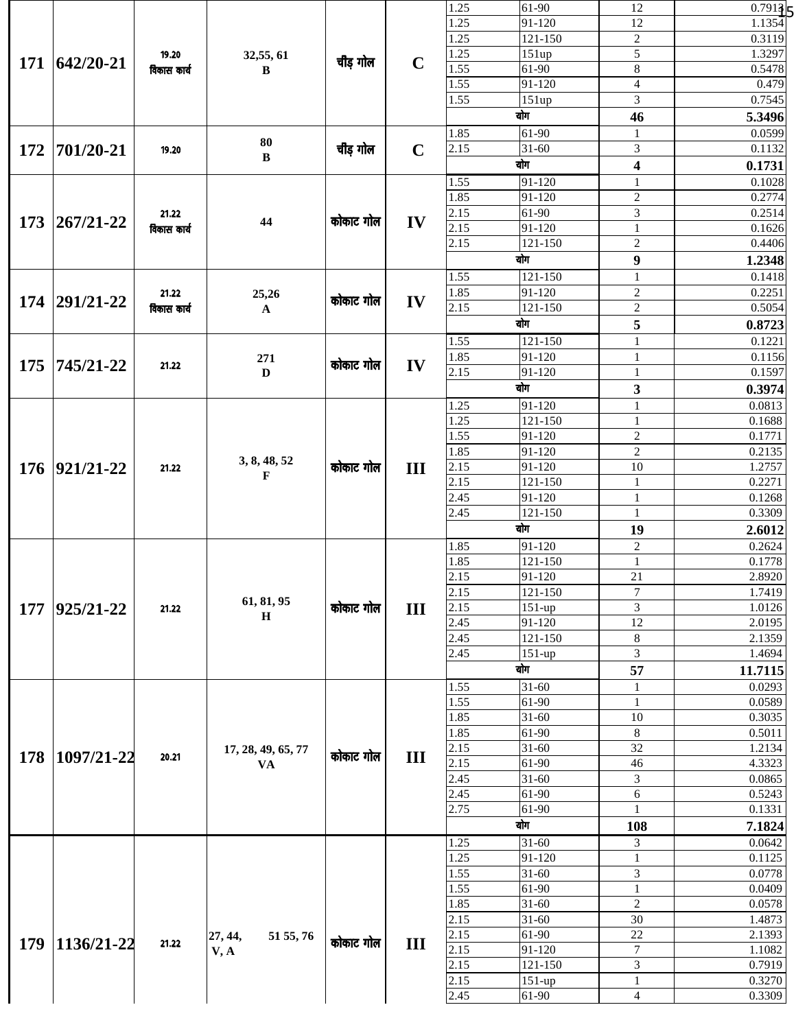|            |                 |             |                       |           |              | 1.25         | 61-90              | 12               | 0.79135          |
|------------|-----------------|-------------|-----------------------|-----------|--------------|--------------|--------------------|------------------|------------------|
|            |                 |             |                       |           |              | 1.25         | 91-120             | 12               | 1.1354           |
|            |                 |             |                       |           |              | 1.25         | 121-150            | $\overline{2}$   | 0.3119           |
|            |                 |             |                       |           |              |              |                    |                  |                  |
| 171        | $ 642/20-21 $   | 19.20       | 32,55, 61             | चीड़ गोल  | $\mathbf C$  | 1.25         | 151up              | 5                | 1.3297           |
|            |                 | विकास कार्य | B                     |           |              | 1.55         | 61-90              | 8                | 0.5478           |
|            |                 |             |                       |           |              | 1.55         | 91-120             | $\overline{4}$   | 0.479            |
|            |                 |             |                       |           |              | 1.55         | 151up              | 3 <sup>1</sup>   | 0.7545           |
|            |                 |             |                       |           |              |              | योग                | 46               | 5.3496           |
|            |                 |             |                       |           |              |              |                    |                  |                  |
|            |                 |             | 80                    |           |              | 1.85         | 61-90              |                  | 0.0599           |
| 172        | 701/20-21       | 19.20       | $\bf{B}$              | चीड़ गोल  | $\mathbf C$  | 2.15         | $31 - 60$          | 3                | 0.1132           |
|            |                 |             |                       |           |              |              | योग                | 4                | 0.1731           |
|            |                 |             |                       |           |              | 1.55         | 91-120             |                  | 0.1028           |
|            |                 |             |                       |           |              |              |                    |                  |                  |
|            |                 |             |                       |           |              | 1.85         | 91-120             | $\overline{2}$   | 0.2774           |
| 173        | $ 267/21-22 $   | 21.22       | 44                    | कोकाट गोल | IV           | 2.15         | 61-90              | $\mathfrak{Z}$   | 0.2514           |
|            |                 | विकास कार्य |                       |           |              | 2.15         | 91-120             |                  | 0.1626           |
|            |                 |             |                       |           |              | 2.15         | 121-150            | $\overline{2}$   | 0.4406           |
|            |                 |             |                       |           |              |              | योग                | $\boldsymbol{9}$ | 1.2348           |
|            |                 |             |                       |           |              |              |                    |                  |                  |
|            |                 |             |                       |           |              | 1.55         | 121-150            |                  | 0.1418           |
|            |                 | 21.22       | 25,26                 | कोकाट गोल |              | 1.85         | 91-120             | $\overline{2}$   | 0.2251           |
| 174        | $ 291/21-22 $   | विकास कार्य | $\mathbf{A}$          |           | IV           | 2.15         | 121-150            | $\overline{2}$   | 0.5054           |
|            |                 |             |                       |           |              |              | योग                | 5                | 0.8723           |
|            |                 |             |                       |           |              |              |                    |                  |                  |
|            |                 |             |                       |           |              | 1.55         | 121-150            |                  | 0.1221           |
|            |                 | 21.22       | 271                   | कोकाट गोल |              | 1.85         | 91-120             |                  | 0.1156           |
| <b>175</b> | 745/21-22       |             | D                     |           | IV           | 2.15         | 91-120             |                  | 0.1597           |
|            |                 |             |                       |           |              |              | योग                | $\mathbf{3}$     | 0.3974           |
|            |                 |             |                       |           |              |              |                    |                  |                  |
|            |                 |             |                       |           |              | 1.25         | 91-120             |                  | 0.0813           |
|            |                 |             |                       |           |              | 1.25         | 121-150            |                  | 0.1688           |
|            |                 |             |                       |           |              | 1.55         | 91-120             | $\overline{2}$   | 0.1771           |
|            |                 |             |                       |           |              | 1.85         | 91-120             | $\overline{2}$   | 0.2135           |
|            | 176   921/21-22 | 21.22       | 3, 8, 48, 52          | कोकाट गोल | Ш            | 2.15         | 91-120             | 10               | 1.2757           |
|            |                 |             | $\mathbf F$           |           |              | 2.15         | 121-150            |                  | 0.2271           |
|            |                 |             |                       |           |              |              |                    |                  |                  |
|            |                 |             |                       |           |              | 2.45         | 91-120             |                  | 0.1268           |
|            |                 |             |                       |           |              | 2.45         | 121-150            |                  | 0.3309           |
|            |                 |             |                       |           |              |              |                    |                  |                  |
|            |                 |             |                       |           |              |              | योग                | 19               |                  |
|            |                 |             |                       |           |              |              |                    |                  | 2.6012           |
|            |                 |             |                       |           |              | 1.85         | 91-120             | $\overline{2}$   | 0.2624           |
|            |                 |             |                       |           |              | 1.85         | 121-150            |                  | 0.1778           |
|            |                 |             |                       |           |              | 2.15         | 91-120             | 21               | 2.8920           |
|            |                 |             |                       |           |              | 2.15         | 121-150            | 7                | 1.7419           |
|            |                 | 21.22       | 61, 81, 95            | कोकाट गोल |              | 2.15         | $151$ -up          | $\mathfrak{Z}$   | 1.0126           |
| 177        | 925/21-22       |             | H                     |           | Ш            |              |                    |                  |                  |
|            |                 |             |                       |           |              | 2.45         | 91-120             | 12               | 2.0195           |
|            |                 |             |                       |           |              | 2.45         | 121-150            | 8                | 2.1359           |
|            |                 |             |                       |           |              | 2.45         | $151$ -up          | 3                | 1.4694           |
|            |                 |             |                       |           |              |              | योग                | 57               | 11.7115          |
|            |                 |             |                       |           |              | 1.55         | $31 - 60$          | $\mathbf{1}$     | 0.0293           |
|            |                 |             |                       |           |              | 1.55         | 61-90              |                  | 0.0589           |
|            |                 |             |                       |           |              |              |                    |                  |                  |
|            |                 |             |                       |           |              | 1.85         | $31 - 60$          | 10               | 0.3035           |
|            |                 |             |                       |           |              | 1.85         | 61-90              | 8                | 0.5011           |
|            |                 |             | 17, 28, 49, 65, 77    |           |              | 2.15         | $31 - 60$          | 32               | 1.2134           |
| 178        | 1097/21-22      | 20.21       | <b>VA</b>             | कोकाट गोल | $\mathbf{I}$ | 2.15         | 61-90              | 46               | 4.3323           |
|            |                 |             |                       |           |              | 2.45         | $31 - 60$          | 3                | 0.0865           |
|            |                 |             |                       |           |              |              |                    |                  |                  |
|            |                 |             |                       |           |              | 2.45         | 61-90              | 6                | 0.5243           |
|            |                 |             |                       |           |              | 2.75         | 61-90              | $\mathbf{1}$     | 0.1331           |
|            |                 |             |                       |           |              |              | योग                | 108              | 7.1824           |
|            |                 |             |                       |           |              | 1.25         | $31 - 60$          | 3                | 0.0642           |
|            |                 |             |                       |           |              | 1.25         | 91-120             |                  | 0.1125           |
|            |                 |             |                       |           |              | 1.55         | $31 - 60$          | 3                | 0.0778           |
|            |                 |             |                       |           |              |              |                    |                  |                  |
|            |                 |             |                       |           |              | 1.55         | 61-90              |                  | 0.0409           |
|            |                 |             |                       |           |              | 1.85         | $31 - 60$          | $\overline{2}$   | 0.0578           |
|            |                 |             |                       |           |              | 2.15         | $31 - 60$          | 30               | 1.4873           |
|            |                 |             | 51 55, 76<br> 27, 44, |           |              | 2.15         | 61-90              | 22               | 2.1393           |
| 179        | $ 1136/21-22 $  | 21.22       | V, A                  | कोकाट गोल | Ш            | 2.15         | 91-120             | $\tau$           | 1.1082           |
|            |                 |             |                       |           |              | 2.15         | 121-150            | 3                | 0.7919           |
|            |                 |             |                       |           |              |              |                    | $\mathbf{1}$     |                  |
|            |                 |             |                       |           |              | 2.15<br>2.45 | $151$ -up<br>61-90 | $\overline{4}$   | 0.3270<br>0.3309 |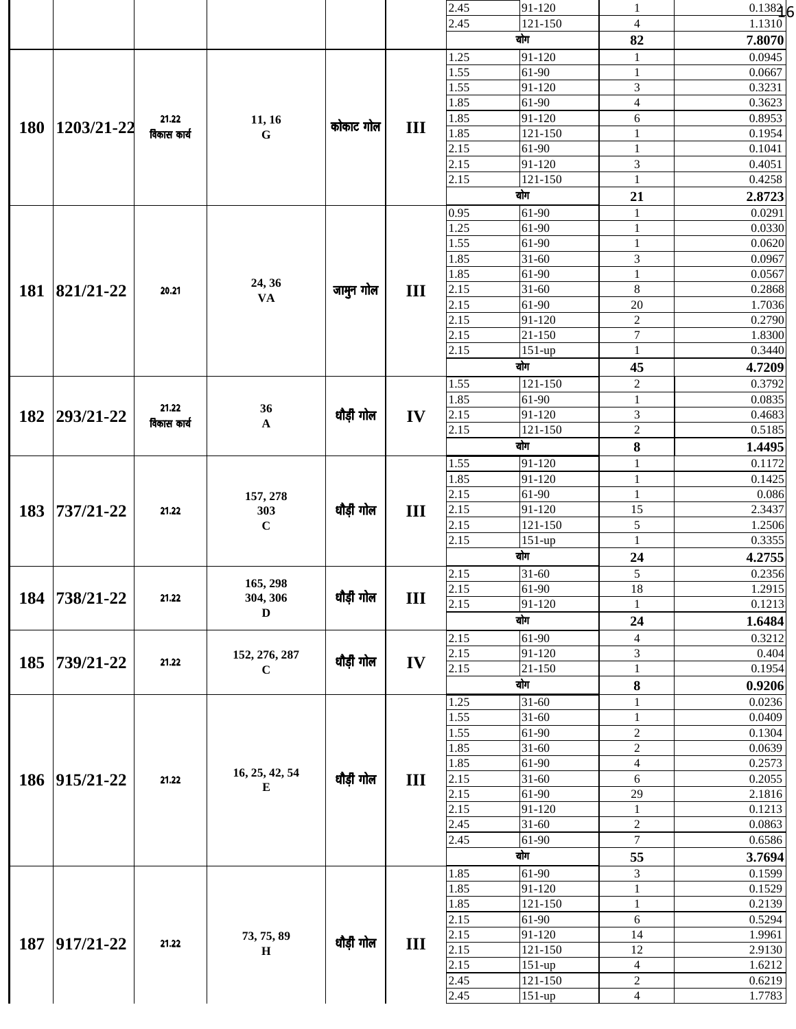|            |               |             |                |           |                | 2.45 | 91-120     |                | 0.13826                                                                                                                                                                                                                                                                                                                                                            |  |  |
|------------|---------------|-------------|----------------|-----------|----------------|------|------------|----------------|--------------------------------------------------------------------------------------------------------------------------------------------------------------------------------------------------------------------------------------------------------------------------------------------------------------------------------------------------------------------|--|--|
|            |               |             |                |           |                | 2.45 | 121-150    | 4              | 1.1310                                                                                                                                                                                                                                                                                                                                                             |  |  |
|            |               |             |                |           |                |      | योग        | 82             | 7.8070                                                                                                                                                                                                                                                                                                                                                             |  |  |
|            |               |             |                |           |                | 1.25 | 91-120     |                | 0.0945                                                                                                                                                                                                                                                                                                                                                             |  |  |
|            |               |             |                |           |                | 1.55 | 61-90      | $\mathbf{1}$   | 0.0667                                                                                                                                                                                                                                                                                                                                                             |  |  |
|            |               |             |                |           |                | 1.55 | 91-120     | $\mathfrak{Z}$ | 0.3231                                                                                                                                                                                                                                                                                                                                                             |  |  |
|            |               |             |                |           |                |      |            |                |                                                                                                                                                                                                                                                                                                                                                                    |  |  |
|            |               |             |                |           |                | 1.85 | 61-90      | $\overline{4}$ | 0.3623                                                                                                                                                                                                                                                                                                                                                             |  |  |
| <b>180</b> | $ 1203/21-22$ | 21.22       | 11, 16         | कोकाट गोल | III            | 1.85 | 91-120     | 6              | 0.8953                                                                                                                                                                                                                                                                                                                                                             |  |  |
|            |               | विकास कार्य | G              |           |                | 1.85 | 121-150    | $\mathbf{1}$   | 0.1954                                                                                                                                                                                                                                                                                                                                                             |  |  |
|            |               |             |                |           |                | 2.15 | 61-90      |                |                                                                                                                                                                                                                                                                                                                                                                    |  |  |
|            |               |             |                |           |                | 2.15 | 91-120     | $\mathfrak{Z}$ | 0.4051                                                                                                                                                                                                                                                                                                                                                             |  |  |
|            |               |             |                |           |                | 2.15 | 121-150    | $\mathbf{1}$   |                                                                                                                                                                                                                                                                                                                                                                    |  |  |
|            |               |             |                |           |                |      | योग        | 21             |                                                                                                                                                                                                                                                                                                                                                                    |  |  |
|            |               |             |                |           |                |      |            |                |                                                                                                                                                                                                                                                                                                                                                                    |  |  |
|            |               |             |                |           |                | 0.95 | 61-90      |                |                                                                                                                                                                                                                                                                                                                                                                    |  |  |
|            |               |             |                |           |                | 1.25 | 61-90      |                |                                                                                                                                                                                                                                                                                                                                                                    |  |  |
|            |               |             |                |           |                | 1.55 | 61-90      |                | 0.0620                                                                                                                                                                                                                                                                                                                                                             |  |  |
|            |               |             |                |           |                | 1.85 | $31 - 60$  | $\mathfrak{Z}$ |                                                                                                                                                                                                                                                                                                                                                                    |  |  |
|            |               |             |                |           |                | 1.85 | 61-90      |                |                                                                                                                                                                                                                                                                                                                                                                    |  |  |
| 181        | $ 821/21-22 $ | 20.21       | 24, 36         | जामुन गोल | $\mathbf{III}$ | 2.15 | $31 - 60$  | 8              |                                                                                                                                                                                                                                                                                                                                                                    |  |  |
|            |               |             | <b>VA</b>      |           |                | 2.15 | 61-90      | 20             |                                                                                                                                                                                                                                                                                                                                                                    |  |  |
|            |               |             |                |           |                |      |            |                |                                                                                                                                                                                                                                                                                                                                                                    |  |  |
|            |               |             |                |           |                | 2.15 | 91-120     | $\overline{2}$ |                                                                                                                                                                                                                                                                                                                                                                    |  |  |
|            |               |             |                |           |                | 2.15 | $21 - 150$ | $\overline{7}$ |                                                                                                                                                                                                                                                                                                                                                                    |  |  |
|            |               |             |                |           |                | 2.15 | $151$ -up  |                |                                                                                                                                                                                                                                                                                                                                                                    |  |  |
|            |               |             |                |           |                |      | योग        | 45             |                                                                                                                                                                                                                                                                                                                                                                    |  |  |
|            |               |             |                |           |                |      |            |                |                                                                                                                                                                                                                                                                                                                                                                    |  |  |
|            |               |             |                |           |                | 1.55 | 121-150    | $\overline{2}$ |                                                                                                                                                                                                                                                                                                                                                                    |  |  |
|            |               | 21.22       | 36             |           |                | 1.85 | 61-90      |                |                                                                                                                                                                                                                                                                                                                                                                    |  |  |
| <b>182</b> | $ 293/21-22 $ | विकास कार्य | $\mathbf{A}$   | धौड़ी गोल | IV             | 2.15 | 91-120     | 3              | 0.1041<br>0.4258<br>2.8723<br>0.0291<br>0.0330<br>0.0967<br>0.0567<br>0.2868<br>1.7036<br>0.2790<br>1.8300<br>0.3440<br>4.7209<br>0.3792<br>0.0835<br>0.4683<br>0.5185<br>1.4495<br>0.1172<br>0.1425<br>0.086<br>2.3437<br>1.2506<br>0.3355<br>4.2755<br>0.2356<br>1.2915<br>0.1213<br>1.6484<br>0.3212<br>0.404<br>0.1954<br>0.9206<br>0.0236<br>0.0409<br>0.1304 |  |  |
|            |               |             |                |           |                | 2.15 | 121-150    | $\overline{2}$ |                                                                                                                                                                                                                                                                                                                                                                    |  |  |
|            |               |             |                |           |                |      | योग        | 8              |                                                                                                                                                                                                                                                                                                                                                                    |  |  |
|            |               |             |                |           |                | 1.55 | 91-120     |                |                                                                                                                                                                                                                                                                                                                                                                    |  |  |
|            |               |             |                |           |                |      | 91-120     |                |                                                                                                                                                                                                                                                                                                                                                                    |  |  |
|            |               |             |                |           |                | 1.85 |            | $\mathbf{1}$   |                                                                                                                                                                                                                                                                                                                                                                    |  |  |
|            |               |             | 157, 278       |           |                | 2.15 | 61-90      |                |                                                                                                                                                                                                                                                                                                                                                                    |  |  |
| <b>183</b> | $ 737/21-22 $ | 21.22       | 303            | धौड़ी गोल | $\mathbf{III}$ | 2.15 | 91-120     | 15             |                                                                                                                                                                                                                                                                                                                                                                    |  |  |
|            |               |             | $\mathbf C$    |           |                | 2.15 | 121-150    | 5 <sup>5</sup> |                                                                                                                                                                                                                                                                                                                                                                    |  |  |
|            |               |             |                |           |                | 2.15 | $151$ -up  |                |                                                                                                                                                                                                                                                                                                                                                                    |  |  |
|            |               |             |                |           |                |      | योग        | 24             |                                                                                                                                                                                                                                                                                                                                                                    |  |  |
|            |               |             |                |           |                |      | $31 - 60$  |                |                                                                                                                                                                                                                                                                                                                                                                    |  |  |
|            |               |             | 165, 298       |           |                | 2.15 |            | 5 <sup>5</sup> |                                                                                                                                                                                                                                                                                                                                                                    |  |  |
| <b>184</b> | 738/21-22     | 21.22       | 304, 306       | धौड़ी गोल | Ш              | 2.15 | 61-90      | 18             |                                                                                                                                                                                                                                                                                                                                                                    |  |  |
|            |               |             | D              |           |                | 2.15 | 91-120     |                |                                                                                                                                                                                                                                                                                                                                                                    |  |  |
|            |               |             |                |           |                |      | योग        | 24             |                                                                                                                                                                                                                                                                                                                                                                    |  |  |
|            |               |             |                |           |                | 2.15 | 61-90      | $\overline{4}$ |                                                                                                                                                                                                                                                                                                                                                                    |  |  |
|            |               |             | 152, 276, 287  |           |                | 2.15 | 91-120     | 3              |                                                                                                                                                                                                                                                                                                                                                                    |  |  |
| 185        | $ 739/21-22 $ | 21.22       |                | धौड़ी गोल | IV             | 2.15 | $21 - 150$ |                |                                                                                                                                                                                                                                                                                                                                                                    |  |  |
|            |               |             | C              |           |                |      |            |                |                                                                                                                                                                                                                                                                                                                                                                    |  |  |
|            |               |             |                |           |                |      | योग        | 8              |                                                                                                                                                                                                                                                                                                                                                                    |  |  |
|            |               |             |                |           |                | 1.25 | $31 - 60$  |                |                                                                                                                                                                                                                                                                                                                                                                    |  |  |
|            |               |             |                |           |                | 1.55 | $31 - 60$  |                |                                                                                                                                                                                                                                                                                                                                                                    |  |  |
|            |               |             |                |           |                | 1.55 | 61-90      | $\overline{2}$ |                                                                                                                                                                                                                                                                                                                                                                    |  |  |
|            |               |             |                |           |                | 1.85 | $31 - 60$  | $\overline{2}$ | 0.0639                                                                                                                                                                                                                                                                                                                                                             |  |  |
|            |               |             |                |           |                | 1.85 | 61-90      | $\overline{4}$ | 0.2573                                                                                                                                                                                                                                                                                                                                                             |  |  |
|            |               |             | 16, 25, 42, 54 | धौड़ी गोल |                | 2.15 | $31 - 60$  | 6              | 0.2055                                                                                                                                                                                                                                                                                                                                                             |  |  |
|            | 186 915/21-22 | 21.22       | $\bf{E}$       |           | $\mathbf{III}$ |      |            |                |                                                                                                                                                                                                                                                                                                                                                                    |  |  |
|            |               |             |                |           |                | 2.15 | 61-90      | 29             | 2.1816                                                                                                                                                                                                                                                                                                                                                             |  |  |
|            |               |             |                |           |                | 2.15 | 91-120     |                | 0.1213                                                                                                                                                                                                                                                                                                                                                             |  |  |
|            |               |             |                |           |                | 2.45 | $31 - 60$  | $\overline{2}$ | 0.0863                                                                                                                                                                                                                                                                                                                                                             |  |  |
|            |               |             |                |           |                | 2.45 | 61-90      | $\overline{7}$ | 0.6586                                                                                                                                                                                                                                                                                                                                                             |  |  |
|            |               |             |                |           |                |      | योग        | 55             | 3.7694                                                                                                                                                                                                                                                                                                                                                             |  |  |
|            |               |             |                |           |                | 1.85 | 61-90      | $\mathfrak{Z}$ | 0.1599                                                                                                                                                                                                                                                                                                                                                             |  |  |
|            |               |             |                |           |                |      |            |                |                                                                                                                                                                                                                                                                                                                                                                    |  |  |
|            |               |             |                |           |                | 1.85 | 91-120     |                | 0.1529                                                                                                                                                                                                                                                                                                                                                             |  |  |
|            |               |             |                |           |                | 1.85 | 121-150    |                | 0.2139                                                                                                                                                                                                                                                                                                                                                             |  |  |
|            |               |             |                |           |                | 2.15 | 61-90      | 6              | 0.5294                                                                                                                                                                                                                                                                                                                                                             |  |  |
|            |               |             | 73, 75, 89     | धौड़ी गोल |                | 2.15 | 91-120     | 14             | 1.9961                                                                                                                                                                                                                                                                                                                                                             |  |  |
| 187        | $ 917/21-22 $ | 21.22       | H              |           | $\mathbf{III}$ | 2.15 | 121-150    | 12             | 2.9130                                                                                                                                                                                                                                                                                                                                                             |  |  |
|            |               |             |                |           |                | 2.15 | $151$ -up  | $\overline{4}$ | 1.6212                                                                                                                                                                                                                                                                                                                                                             |  |  |
|            |               |             |                |           |                | 2.45 | 121-150    | $\overline{2}$ | 0.6219                                                                                                                                                                                                                                                                                                                                                             |  |  |
|            |               |             |                |           |                | 2.45 | $151$ -up  | $\overline{4}$ | 1.7783                                                                                                                                                                                                                                                                                                                                                             |  |  |
|            |               |             |                |           |                |      |            |                |                                                                                                                                                                                                                                                                                                                                                                    |  |  |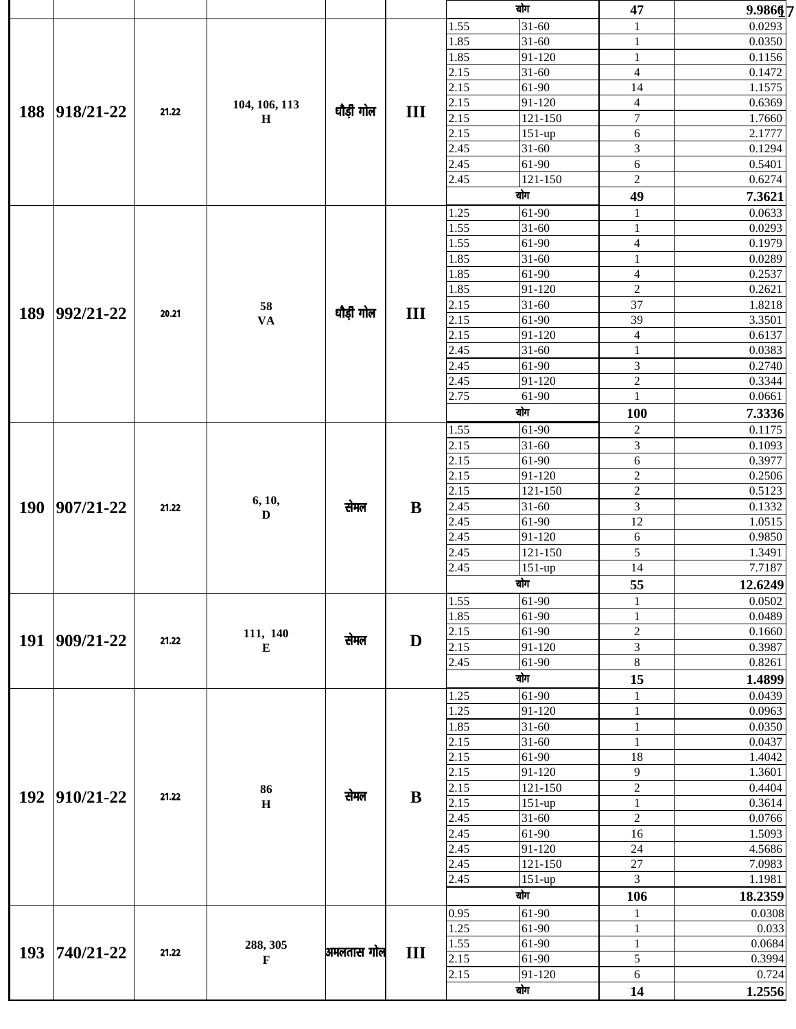| 0.0293<br>$31 - 60$<br>1.55<br>0.0350<br>$31 - 60$<br>1.85<br>0.1156<br>1.85<br>91-120<br>0.1472<br>$31 - 60$<br>2.15<br>$\overline{4}$<br>1.1575<br>61-90<br>2.15<br>14<br>0.6369<br>91-120<br>2.15<br>$\overline{4}$<br>104, 106, 113<br>धौड़ी गोल<br>$ 918/21-22 $<br><b>188</b><br>$\mathbf{m}$<br>21.22<br>2.15<br>$\overline{7}$<br>1.7660<br>121-150<br>H<br>2.1777<br>2.15<br>$151$ -up<br>$\boldsymbol{6}$<br>$31 - 60$<br>$\mathfrak{Z}$<br>0.1294<br>2.45<br>0.5401<br>2.45<br>61-90<br>6<br>$\overline{2}$<br>0.6274<br>2.45<br>121-150<br>योग<br>49<br>7.3621<br>0.0633<br>1.25<br>61-90<br>0.0293<br>1.55<br>$31 - 60$<br>1.55<br>0.1979<br>61-90<br>$\overline{4}$<br>0.0289<br>1.85<br>$31 - 60$<br>1.85<br>0.2537<br>61-90<br>$\overline{4}$<br>0.2621<br>1.85<br>91-120<br>$\overline{2}$<br>37<br>1.8218<br>$31 - 60$<br>2.15<br>58<br>धौड़ी गोल<br>189<br>$ 992/21-22 $<br>$\mathbf{I}$<br>20.21<br>2.15<br>61-90<br>39<br>3.3501<br><b>VA</b><br>0.6137<br>91-120<br>$\overline{4}$<br>2.15<br>0.0383<br>$31 - 60$<br>2.45<br>0.2740<br>3<br>2.45<br>61-90<br>0.3344<br>$\overline{2}$<br> 2.45 <br>91-120<br>0.0661<br>2.75<br>61-90<br>$\mathbf{1}$<br>योग<br>7.3336<br><b>100</b><br>61-90<br>1.55<br>$\overline{2}$<br>0.1175<br>3<br>$31 - 60$<br>0.1093<br>2.15<br>0.3977<br>61-90<br>2.15<br>6<br>$\overline{2}$<br>0.2506<br>91-120<br>2.15<br>$\overline{2}$<br>0.5123<br>121-150<br>2.15<br>6, 10,<br>सेमल<br>3<br>$ 907/21-22 $<br>$31 - 60$<br>0.1332<br>B<br>2.45<br><b>190</b><br>21.22<br>D<br>1.0515<br>2.45<br>61-90<br>12<br>0.9850<br>91-120<br>2.45<br>6<br>5<br>1.3491<br>2.45<br>121-150<br>2.45<br>7.7187<br>$151$ -up<br>14<br>योग<br>55<br>12.6249<br>61-90<br>0.0502<br>1.55<br>1.85<br>61-90<br>0.0489<br>$\mathbf{1}$<br>0.1660<br>61-90<br>$\overline{2}$<br>2.15<br>111, 140<br>सेमल<br>$ 909/21-22 $<br><b>191</b><br>21.22<br>D<br>$\mathfrak{Z}$<br>2.15<br>91-120<br>0.3987<br>$\bf{E}$<br>$8\,$<br>61-90<br>0.8261<br>2.45<br>योग<br>15<br>1.4899<br>61-90<br>0.0439<br>1.25<br>0.0963<br>1.25<br>91-120<br>0.0350<br>1.85<br>$31 - 60$<br>0.0437<br>$31 - 60$<br>2.15<br>61-90<br>18<br>1.4042<br>2.15<br>1.3601<br>2.15<br>91-120<br>9<br>2.15<br>$\overline{2}$<br>0.4404<br>121-150<br>86<br>सेमल<br>B<br>192   910/21-22<br>21.22<br>0.3614<br>2.15<br>$151$ -up<br>$\mathbf H$<br>$\mathbf{1}$<br>0.0766<br>$31 - 60$<br>2.45<br>$\overline{2}$<br>1.5093<br>61-90<br>2.45<br>16<br>4.5686<br>2.45<br>91-120<br>24<br>$27\,$<br>7.0983<br>2.45<br>121-150<br>3<br>1.1981<br>2.45<br>$151$ -up<br>योग<br>18.2359<br>106<br>61-90<br>0.0308<br>0.95<br>61-90<br>0.033<br>1.25<br>1.55<br>61-90<br>0.0684<br>288, 305<br>अमलतास गोल<br>740/21-22<br>$\mathbf{III}$<br><b>193</b><br>21.22<br>2.15<br>5<br>61-90<br>0.3994<br>$\mathbf{F}$<br>2.15<br>91-120<br>6<br>0.724<br>योग<br>1.2556<br>14 |  |  |  | योग | 47 | 9.9866 |
|-------------------------------------------------------------------------------------------------------------------------------------------------------------------------------------------------------------------------------------------------------------------------------------------------------------------------------------------------------------------------------------------------------------------------------------------------------------------------------------------------------------------------------------------------------------------------------------------------------------------------------------------------------------------------------------------------------------------------------------------------------------------------------------------------------------------------------------------------------------------------------------------------------------------------------------------------------------------------------------------------------------------------------------------------------------------------------------------------------------------------------------------------------------------------------------------------------------------------------------------------------------------------------------------------------------------------------------------------------------------------------------------------------------------------------------------------------------------------------------------------------------------------------------------------------------------------------------------------------------------------------------------------------------------------------------------------------------------------------------------------------------------------------------------------------------------------------------------------------------------------------------------------------------------------------------------------------------------------------------------------------------------------------------------------------------------------------------------------------------------------------------------------------------------------------------------------------------------------------------------------------------------------------------------------------------------------------------------------------------------------------------------------------------------------------------------------------------------------------------------------------------------------------------------------------------------------------------------------------------------------------------------------------------------------------------------------------------------------------------------------------------------------------------------------------------------------------------------------------------|--|--|--|-----|----|--------|
|                                                                                                                                                                                                                                                                                                                                                                                                                                                                                                                                                                                                                                                                                                                                                                                                                                                                                                                                                                                                                                                                                                                                                                                                                                                                                                                                                                                                                                                                                                                                                                                                                                                                                                                                                                                                                                                                                                                                                                                                                                                                                                                                                                                                                                                                                                                                                                                                                                                                                                                                                                                                                                                                                                                                                                                                                                                             |  |  |  |     |    |        |
|                                                                                                                                                                                                                                                                                                                                                                                                                                                                                                                                                                                                                                                                                                                                                                                                                                                                                                                                                                                                                                                                                                                                                                                                                                                                                                                                                                                                                                                                                                                                                                                                                                                                                                                                                                                                                                                                                                                                                                                                                                                                                                                                                                                                                                                                                                                                                                                                                                                                                                                                                                                                                                                                                                                                                                                                                                                             |  |  |  |     |    |        |
|                                                                                                                                                                                                                                                                                                                                                                                                                                                                                                                                                                                                                                                                                                                                                                                                                                                                                                                                                                                                                                                                                                                                                                                                                                                                                                                                                                                                                                                                                                                                                                                                                                                                                                                                                                                                                                                                                                                                                                                                                                                                                                                                                                                                                                                                                                                                                                                                                                                                                                                                                                                                                                                                                                                                                                                                                                                             |  |  |  |     |    |        |
|                                                                                                                                                                                                                                                                                                                                                                                                                                                                                                                                                                                                                                                                                                                                                                                                                                                                                                                                                                                                                                                                                                                                                                                                                                                                                                                                                                                                                                                                                                                                                                                                                                                                                                                                                                                                                                                                                                                                                                                                                                                                                                                                                                                                                                                                                                                                                                                                                                                                                                                                                                                                                                                                                                                                                                                                                                                             |  |  |  |     |    |        |
|                                                                                                                                                                                                                                                                                                                                                                                                                                                                                                                                                                                                                                                                                                                                                                                                                                                                                                                                                                                                                                                                                                                                                                                                                                                                                                                                                                                                                                                                                                                                                                                                                                                                                                                                                                                                                                                                                                                                                                                                                                                                                                                                                                                                                                                                                                                                                                                                                                                                                                                                                                                                                                                                                                                                                                                                                                                             |  |  |  |     |    |        |
|                                                                                                                                                                                                                                                                                                                                                                                                                                                                                                                                                                                                                                                                                                                                                                                                                                                                                                                                                                                                                                                                                                                                                                                                                                                                                                                                                                                                                                                                                                                                                                                                                                                                                                                                                                                                                                                                                                                                                                                                                                                                                                                                                                                                                                                                                                                                                                                                                                                                                                                                                                                                                                                                                                                                                                                                                                                             |  |  |  |     |    |        |
|                                                                                                                                                                                                                                                                                                                                                                                                                                                                                                                                                                                                                                                                                                                                                                                                                                                                                                                                                                                                                                                                                                                                                                                                                                                                                                                                                                                                                                                                                                                                                                                                                                                                                                                                                                                                                                                                                                                                                                                                                                                                                                                                                                                                                                                                                                                                                                                                                                                                                                                                                                                                                                                                                                                                                                                                                                                             |  |  |  |     |    |        |
|                                                                                                                                                                                                                                                                                                                                                                                                                                                                                                                                                                                                                                                                                                                                                                                                                                                                                                                                                                                                                                                                                                                                                                                                                                                                                                                                                                                                                                                                                                                                                                                                                                                                                                                                                                                                                                                                                                                                                                                                                                                                                                                                                                                                                                                                                                                                                                                                                                                                                                                                                                                                                                                                                                                                                                                                                                                             |  |  |  |     |    |        |
|                                                                                                                                                                                                                                                                                                                                                                                                                                                                                                                                                                                                                                                                                                                                                                                                                                                                                                                                                                                                                                                                                                                                                                                                                                                                                                                                                                                                                                                                                                                                                                                                                                                                                                                                                                                                                                                                                                                                                                                                                                                                                                                                                                                                                                                                                                                                                                                                                                                                                                                                                                                                                                                                                                                                                                                                                                                             |  |  |  |     |    |        |
|                                                                                                                                                                                                                                                                                                                                                                                                                                                                                                                                                                                                                                                                                                                                                                                                                                                                                                                                                                                                                                                                                                                                                                                                                                                                                                                                                                                                                                                                                                                                                                                                                                                                                                                                                                                                                                                                                                                                                                                                                                                                                                                                                                                                                                                                                                                                                                                                                                                                                                                                                                                                                                                                                                                                                                                                                                                             |  |  |  |     |    |        |
|                                                                                                                                                                                                                                                                                                                                                                                                                                                                                                                                                                                                                                                                                                                                                                                                                                                                                                                                                                                                                                                                                                                                                                                                                                                                                                                                                                                                                                                                                                                                                                                                                                                                                                                                                                                                                                                                                                                                                                                                                                                                                                                                                                                                                                                                                                                                                                                                                                                                                                                                                                                                                                                                                                                                                                                                                                                             |  |  |  |     |    |        |
|                                                                                                                                                                                                                                                                                                                                                                                                                                                                                                                                                                                                                                                                                                                                                                                                                                                                                                                                                                                                                                                                                                                                                                                                                                                                                                                                                                                                                                                                                                                                                                                                                                                                                                                                                                                                                                                                                                                                                                                                                                                                                                                                                                                                                                                                                                                                                                                                                                                                                                                                                                                                                                                                                                                                                                                                                                                             |  |  |  |     |    |        |
|                                                                                                                                                                                                                                                                                                                                                                                                                                                                                                                                                                                                                                                                                                                                                                                                                                                                                                                                                                                                                                                                                                                                                                                                                                                                                                                                                                                                                                                                                                                                                                                                                                                                                                                                                                                                                                                                                                                                                                                                                                                                                                                                                                                                                                                                                                                                                                                                                                                                                                                                                                                                                                                                                                                                                                                                                                                             |  |  |  |     |    |        |
|                                                                                                                                                                                                                                                                                                                                                                                                                                                                                                                                                                                                                                                                                                                                                                                                                                                                                                                                                                                                                                                                                                                                                                                                                                                                                                                                                                                                                                                                                                                                                                                                                                                                                                                                                                                                                                                                                                                                                                                                                                                                                                                                                                                                                                                                                                                                                                                                                                                                                                                                                                                                                                                                                                                                                                                                                                                             |  |  |  |     |    |        |
|                                                                                                                                                                                                                                                                                                                                                                                                                                                                                                                                                                                                                                                                                                                                                                                                                                                                                                                                                                                                                                                                                                                                                                                                                                                                                                                                                                                                                                                                                                                                                                                                                                                                                                                                                                                                                                                                                                                                                                                                                                                                                                                                                                                                                                                                                                                                                                                                                                                                                                                                                                                                                                                                                                                                                                                                                                                             |  |  |  |     |    |        |
|                                                                                                                                                                                                                                                                                                                                                                                                                                                                                                                                                                                                                                                                                                                                                                                                                                                                                                                                                                                                                                                                                                                                                                                                                                                                                                                                                                                                                                                                                                                                                                                                                                                                                                                                                                                                                                                                                                                                                                                                                                                                                                                                                                                                                                                                                                                                                                                                                                                                                                                                                                                                                                                                                                                                                                                                                                                             |  |  |  |     |    |        |
|                                                                                                                                                                                                                                                                                                                                                                                                                                                                                                                                                                                                                                                                                                                                                                                                                                                                                                                                                                                                                                                                                                                                                                                                                                                                                                                                                                                                                                                                                                                                                                                                                                                                                                                                                                                                                                                                                                                                                                                                                                                                                                                                                                                                                                                                                                                                                                                                                                                                                                                                                                                                                                                                                                                                                                                                                                                             |  |  |  |     |    |        |
|                                                                                                                                                                                                                                                                                                                                                                                                                                                                                                                                                                                                                                                                                                                                                                                                                                                                                                                                                                                                                                                                                                                                                                                                                                                                                                                                                                                                                                                                                                                                                                                                                                                                                                                                                                                                                                                                                                                                                                                                                                                                                                                                                                                                                                                                                                                                                                                                                                                                                                                                                                                                                                                                                                                                                                                                                                                             |  |  |  |     |    |        |
|                                                                                                                                                                                                                                                                                                                                                                                                                                                                                                                                                                                                                                                                                                                                                                                                                                                                                                                                                                                                                                                                                                                                                                                                                                                                                                                                                                                                                                                                                                                                                                                                                                                                                                                                                                                                                                                                                                                                                                                                                                                                                                                                                                                                                                                                                                                                                                                                                                                                                                                                                                                                                                                                                                                                                                                                                                                             |  |  |  |     |    |        |
|                                                                                                                                                                                                                                                                                                                                                                                                                                                                                                                                                                                                                                                                                                                                                                                                                                                                                                                                                                                                                                                                                                                                                                                                                                                                                                                                                                                                                                                                                                                                                                                                                                                                                                                                                                                                                                                                                                                                                                                                                                                                                                                                                                                                                                                                                                                                                                                                                                                                                                                                                                                                                                                                                                                                                                                                                                                             |  |  |  |     |    |        |
|                                                                                                                                                                                                                                                                                                                                                                                                                                                                                                                                                                                                                                                                                                                                                                                                                                                                                                                                                                                                                                                                                                                                                                                                                                                                                                                                                                                                                                                                                                                                                                                                                                                                                                                                                                                                                                                                                                                                                                                                                                                                                                                                                                                                                                                                                                                                                                                                                                                                                                                                                                                                                                                                                                                                                                                                                                                             |  |  |  |     |    |        |
|                                                                                                                                                                                                                                                                                                                                                                                                                                                                                                                                                                                                                                                                                                                                                                                                                                                                                                                                                                                                                                                                                                                                                                                                                                                                                                                                                                                                                                                                                                                                                                                                                                                                                                                                                                                                                                                                                                                                                                                                                                                                                                                                                                                                                                                                                                                                                                                                                                                                                                                                                                                                                                                                                                                                                                                                                                                             |  |  |  |     |    |        |
|                                                                                                                                                                                                                                                                                                                                                                                                                                                                                                                                                                                                                                                                                                                                                                                                                                                                                                                                                                                                                                                                                                                                                                                                                                                                                                                                                                                                                                                                                                                                                                                                                                                                                                                                                                                                                                                                                                                                                                                                                                                                                                                                                                                                                                                                                                                                                                                                                                                                                                                                                                                                                                                                                                                                                                                                                                                             |  |  |  |     |    |        |
|                                                                                                                                                                                                                                                                                                                                                                                                                                                                                                                                                                                                                                                                                                                                                                                                                                                                                                                                                                                                                                                                                                                                                                                                                                                                                                                                                                                                                                                                                                                                                                                                                                                                                                                                                                                                                                                                                                                                                                                                                                                                                                                                                                                                                                                                                                                                                                                                                                                                                                                                                                                                                                                                                                                                                                                                                                                             |  |  |  |     |    |        |
|                                                                                                                                                                                                                                                                                                                                                                                                                                                                                                                                                                                                                                                                                                                                                                                                                                                                                                                                                                                                                                                                                                                                                                                                                                                                                                                                                                                                                                                                                                                                                                                                                                                                                                                                                                                                                                                                                                                                                                                                                                                                                                                                                                                                                                                                                                                                                                                                                                                                                                                                                                                                                                                                                                                                                                                                                                                             |  |  |  |     |    |        |
|                                                                                                                                                                                                                                                                                                                                                                                                                                                                                                                                                                                                                                                                                                                                                                                                                                                                                                                                                                                                                                                                                                                                                                                                                                                                                                                                                                                                                                                                                                                                                                                                                                                                                                                                                                                                                                                                                                                                                                                                                                                                                                                                                                                                                                                                                                                                                                                                                                                                                                                                                                                                                                                                                                                                                                                                                                                             |  |  |  |     |    |        |
|                                                                                                                                                                                                                                                                                                                                                                                                                                                                                                                                                                                                                                                                                                                                                                                                                                                                                                                                                                                                                                                                                                                                                                                                                                                                                                                                                                                                                                                                                                                                                                                                                                                                                                                                                                                                                                                                                                                                                                                                                                                                                                                                                                                                                                                                                                                                                                                                                                                                                                                                                                                                                                                                                                                                                                                                                                                             |  |  |  |     |    |        |
|                                                                                                                                                                                                                                                                                                                                                                                                                                                                                                                                                                                                                                                                                                                                                                                                                                                                                                                                                                                                                                                                                                                                                                                                                                                                                                                                                                                                                                                                                                                                                                                                                                                                                                                                                                                                                                                                                                                                                                                                                                                                                                                                                                                                                                                                                                                                                                                                                                                                                                                                                                                                                                                                                                                                                                                                                                                             |  |  |  |     |    |        |
|                                                                                                                                                                                                                                                                                                                                                                                                                                                                                                                                                                                                                                                                                                                                                                                                                                                                                                                                                                                                                                                                                                                                                                                                                                                                                                                                                                                                                                                                                                                                                                                                                                                                                                                                                                                                                                                                                                                                                                                                                                                                                                                                                                                                                                                                                                                                                                                                                                                                                                                                                                                                                                                                                                                                                                                                                                                             |  |  |  |     |    |        |
|                                                                                                                                                                                                                                                                                                                                                                                                                                                                                                                                                                                                                                                                                                                                                                                                                                                                                                                                                                                                                                                                                                                                                                                                                                                                                                                                                                                                                                                                                                                                                                                                                                                                                                                                                                                                                                                                                                                                                                                                                                                                                                                                                                                                                                                                                                                                                                                                                                                                                                                                                                                                                                                                                                                                                                                                                                                             |  |  |  |     |    |        |
|                                                                                                                                                                                                                                                                                                                                                                                                                                                                                                                                                                                                                                                                                                                                                                                                                                                                                                                                                                                                                                                                                                                                                                                                                                                                                                                                                                                                                                                                                                                                                                                                                                                                                                                                                                                                                                                                                                                                                                                                                                                                                                                                                                                                                                                                                                                                                                                                                                                                                                                                                                                                                                                                                                                                                                                                                                                             |  |  |  |     |    |        |
|                                                                                                                                                                                                                                                                                                                                                                                                                                                                                                                                                                                                                                                                                                                                                                                                                                                                                                                                                                                                                                                                                                                                                                                                                                                                                                                                                                                                                                                                                                                                                                                                                                                                                                                                                                                                                                                                                                                                                                                                                                                                                                                                                                                                                                                                                                                                                                                                                                                                                                                                                                                                                                                                                                                                                                                                                                                             |  |  |  |     |    |        |
|                                                                                                                                                                                                                                                                                                                                                                                                                                                                                                                                                                                                                                                                                                                                                                                                                                                                                                                                                                                                                                                                                                                                                                                                                                                                                                                                                                                                                                                                                                                                                                                                                                                                                                                                                                                                                                                                                                                                                                                                                                                                                                                                                                                                                                                                                                                                                                                                                                                                                                                                                                                                                                                                                                                                                                                                                                                             |  |  |  |     |    |        |
|                                                                                                                                                                                                                                                                                                                                                                                                                                                                                                                                                                                                                                                                                                                                                                                                                                                                                                                                                                                                                                                                                                                                                                                                                                                                                                                                                                                                                                                                                                                                                                                                                                                                                                                                                                                                                                                                                                                                                                                                                                                                                                                                                                                                                                                                                                                                                                                                                                                                                                                                                                                                                                                                                                                                                                                                                                                             |  |  |  |     |    |        |
|                                                                                                                                                                                                                                                                                                                                                                                                                                                                                                                                                                                                                                                                                                                                                                                                                                                                                                                                                                                                                                                                                                                                                                                                                                                                                                                                                                                                                                                                                                                                                                                                                                                                                                                                                                                                                                                                                                                                                                                                                                                                                                                                                                                                                                                                                                                                                                                                                                                                                                                                                                                                                                                                                                                                                                                                                                                             |  |  |  |     |    |        |
|                                                                                                                                                                                                                                                                                                                                                                                                                                                                                                                                                                                                                                                                                                                                                                                                                                                                                                                                                                                                                                                                                                                                                                                                                                                                                                                                                                                                                                                                                                                                                                                                                                                                                                                                                                                                                                                                                                                                                                                                                                                                                                                                                                                                                                                                                                                                                                                                                                                                                                                                                                                                                                                                                                                                                                                                                                                             |  |  |  |     |    |        |
|                                                                                                                                                                                                                                                                                                                                                                                                                                                                                                                                                                                                                                                                                                                                                                                                                                                                                                                                                                                                                                                                                                                                                                                                                                                                                                                                                                                                                                                                                                                                                                                                                                                                                                                                                                                                                                                                                                                                                                                                                                                                                                                                                                                                                                                                                                                                                                                                                                                                                                                                                                                                                                                                                                                                                                                                                                                             |  |  |  |     |    |        |
|                                                                                                                                                                                                                                                                                                                                                                                                                                                                                                                                                                                                                                                                                                                                                                                                                                                                                                                                                                                                                                                                                                                                                                                                                                                                                                                                                                                                                                                                                                                                                                                                                                                                                                                                                                                                                                                                                                                                                                                                                                                                                                                                                                                                                                                                                                                                                                                                                                                                                                                                                                                                                                                                                                                                                                                                                                                             |  |  |  |     |    |        |
|                                                                                                                                                                                                                                                                                                                                                                                                                                                                                                                                                                                                                                                                                                                                                                                                                                                                                                                                                                                                                                                                                                                                                                                                                                                                                                                                                                                                                                                                                                                                                                                                                                                                                                                                                                                                                                                                                                                                                                                                                                                                                                                                                                                                                                                                                                                                                                                                                                                                                                                                                                                                                                                                                                                                                                                                                                                             |  |  |  |     |    |        |
|                                                                                                                                                                                                                                                                                                                                                                                                                                                                                                                                                                                                                                                                                                                                                                                                                                                                                                                                                                                                                                                                                                                                                                                                                                                                                                                                                                                                                                                                                                                                                                                                                                                                                                                                                                                                                                                                                                                                                                                                                                                                                                                                                                                                                                                                                                                                                                                                                                                                                                                                                                                                                                                                                                                                                                                                                                                             |  |  |  |     |    |        |
|                                                                                                                                                                                                                                                                                                                                                                                                                                                                                                                                                                                                                                                                                                                                                                                                                                                                                                                                                                                                                                                                                                                                                                                                                                                                                                                                                                                                                                                                                                                                                                                                                                                                                                                                                                                                                                                                                                                                                                                                                                                                                                                                                                                                                                                                                                                                                                                                                                                                                                                                                                                                                                                                                                                                                                                                                                                             |  |  |  |     |    |        |
|                                                                                                                                                                                                                                                                                                                                                                                                                                                                                                                                                                                                                                                                                                                                                                                                                                                                                                                                                                                                                                                                                                                                                                                                                                                                                                                                                                                                                                                                                                                                                                                                                                                                                                                                                                                                                                                                                                                                                                                                                                                                                                                                                                                                                                                                                                                                                                                                                                                                                                                                                                                                                                                                                                                                                                                                                                                             |  |  |  |     |    |        |
|                                                                                                                                                                                                                                                                                                                                                                                                                                                                                                                                                                                                                                                                                                                                                                                                                                                                                                                                                                                                                                                                                                                                                                                                                                                                                                                                                                                                                                                                                                                                                                                                                                                                                                                                                                                                                                                                                                                                                                                                                                                                                                                                                                                                                                                                                                                                                                                                                                                                                                                                                                                                                                                                                                                                                                                                                                                             |  |  |  |     |    |        |
|                                                                                                                                                                                                                                                                                                                                                                                                                                                                                                                                                                                                                                                                                                                                                                                                                                                                                                                                                                                                                                                                                                                                                                                                                                                                                                                                                                                                                                                                                                                                                                                                                                                                                                                                                                                                                                                                                                                                                                                                                                                                                                                                                                                                                                                                                                                                                                                                                                                                                                                                                                                                                                                                                                                                                                                                                                                             |  |  |  |     |    |        |
|                                                                                                                                                                                                                                                                                                                                                                                                                                                                                                                                                                                                                                                                                                                                                                                                                                                                                                                                                                                                                                                                                                                                                                                                                                                                                                                                                                                                                                                                                                                                                                                                                                                                                                                                                                                                                                                                                                                                                                                                                                                                                                                                                                                                                                                                                                                                                                                                                                                                                                                                                                                                                                                                                                                                                                                                                                                             |  |  |  |     |    |        |
|                                                                                                                                                                                                                                                                                                                                                                                                                                                                                                                                                                                                                                                                                                                                                                                                                                                                                                                                                                                                                                                                                                                                                                                                                                                                                                                                                                                                                                                                                                                                                                                                                                                                                                                                                                                                                                                                                                                                                                                                                                                                                                                                                                                                                                                                                                                                                                                                                                                                                                                                                                                                                                                                                                                                                                                                                                                             |  |  |  |     |    |        |
|                                                                                                                                                                                                                                                                                                                                                                                                                                                                                                                                                                                                                                                                                                                                                                                                                                                                                                                                                                                                                                                                                                                                                                                                                                                                                                                                                                                                                                                                                                                                                                                                                                                                                                                                                                                                                                                                                                                                                                                                                                                                                                                                                                                                                                                                                                                                                                                                                                                                                                                                                                                                                                                                                                                                                                                                                                                             |  |  |  |     |    |        |
|                                                                                                                                                                                                                                                                                                                                                                                                                                                                                                                                                                                                                                                                                                                                                                                                                                                                                                                                                                                                                                                                                                                                                                                                                                                                                                                                                                                                                                                                                                                                                                                                                                                                                                                                                                                                                                                                                                                                                                                                                                                                                                                                                                                                                                                                                                                                                                                                                                                                                                                                                                                                                                                                                                                                                                                                                                                             |  |  |  |     |    |        |
|                                                                                                                                                                                                                                                                                                                                                                                                                                                                                                                                                                                                                                                                                                                                                                                                                                                                                                                                                                                                                                                                                                                                                                                                                                                                                                                                                                                                                                                                                                                                                                                                                                                                                                                                                                                                                                                                                                                                                                                                                                                                                                                                                                                                                                                                                                                                                                                                                                                                                                                                                                                                                                                                                                                                                                                                                                                             |  |  |  |     |    |        |
|                                                                                                                                                                                                                                                                                                                                                                                                                                                                                                                                                                                                                                                                                                                                                                                                                                                                                                                                                                                                                                                                                                                                                                                                                                                                                                                                                                                                                                                                                                                                                                                                                                                                                                                                                                                                                                                                                                                                                                                                                                                                                                                                                                                                                                                                                                                                                                                                                                                                                                                                                                                                                                                                                                                                                                                                                                                             |  |  |  |     |    |        |
|                                                                                                                                                                                                                                                                                                                                                                                                                                                                                                                                                                                                                                                                                                                                                                                                                                                                                                                                                                                                                                                                                                                                                                                                                                                                                                                                                                                                                                                                                                                                                                                                                                                                                                                                                                                                                                                                                                                                                                                                                                                                                                                                                                                                                                                                                                                                                                                                                                                                                                                                                                                                                                                                                                                                                                                                                                                             |  |  |  |     |    |        |
|                                                                                                                                                                                                                                                                                                                                                                                                                                                                                                                                                                                                                                                                                                                                                                                                                                                                                                                                                                                                                                                                                                                                                                                                                                                                                                                                                                                                                                                                                                                                                                                                                                                                                                                                                                                                                                                                                                                                                                                                                                                                                                                                                                                                                                                                                                                                                                                                                                                                                                                                                                                                                                                                                                                                                                                                                                                             |  |  |  |     |    |        |
|                                                                                                                                                                                                                                                                                                                                                                                                                                                                                                                                                                                                                                                                                                                                                                                                                                                                                                                                                                                                                                                                                                                                                                                                                                                                                                                                                                                                                                                                                                                                                                                                                                                                                                                                                                                                                                                                                                                                                                                                                                                                                                                                                                                                                                                                                                                                                                                                                                                                                                                                                                                                                                                                                                                                                                                                                                                             |  |  |  |     |    |        |
|                                                                                                                                                                                                                                                                                                                                                                                                                                                                                                                                                                                                                                                                                                                                                                                                                                                                                                                                                                                                                                                                                                                                                                                                                                                                                                                                                                                                                                                                                                                                                                                                                                                                                                                                                                                                                                                                                                                                                                                                                                                                                                                                                                                                                                                                                                                                                                                                                                                                                                                                                                                                                                                                                                                                                                                                                                                             |  |  |  |     |    |        |
|                                                                                                                                                                                                                                                                                                                                                                                                                                                                                                                                                                                                                                                                                                                                                                                                                                                                                                                                                                                                                                                                                                                                                                                                                                                                                                                                                                                                                                                                                                                                                                                                                                                                                                                                                                                                                                                                                                                                                                                                                                                                                                                                                                                                                                                                                                                                                                                                                                                                                                                                                                                                                                                                                                                                                                                                                                                             |  |  |  |     |    |        |
|                                                                                                                                                                                                                                                                                                                                                                                                                                                                                                                                                                                                                                                                                                                                                                                                                                                                                                                                                                                                                                                                                                                                                                                                                                                                                                                                                                                                                                                                                                                                                                                                                                                                                                                                                                                                                                                                                                                                                                                                                                                                                                                                                                                                                                                                                                                                                                                                                                                                                                                                                                                                                                                                                                                                                                                                                                                             |  |  |  |     |    |        |
|                                                                                                                                                                                                                                                                                                                                                                                                                                                                                                                                                                                                                                                                                                                                                                                                                                                                                                                                                                                                                                                                                                                                                                                                                                                                                                                                                                                                                                                                                                                                                                                                                                                                                                                                                                                                                                                                                                                                                                                                                                                                                                                                                                                                                                                                                                                                                                                                                                                                                                                                                                                                                                                                                                                                                                                                                                                             |  |  |  |     |    |        |
|                                                                                                                                                                                                                                                                                                                                                                                                                                                                                                                                                                                                                                                                                                                                                                                                                                                                                                                                                                                                                                                                                                                                                                                                                                                                                                                                                                                                                                                                                                                                                                                                                                                                                                                                                                                                                                                                                                                                                                                                                                                                                                                                                                                                                                                                                                                                                                                                                                                                                                                                                                                                                                                                                                                                                                                                                                                             |  |  |  |     |    |        |
|                                                                                                                                                                                                                                                                                                                                                                                                                                                                                                                                                                                                                                                                                                                                                                                                                                                                                                                                                                                                                                                                                                                                                                                                                                                                                                                                                                                                                                                                                                                                                                                                                                                                                                                                                                                                                                                                                                                                                                                                                                                                                                                                                                                                                                                                                                                                                                                                                                                                                                                                                                                                                                                                                                                                                                                                                                                             |  |  |  |     |    |        |
|                                                                                                                                                                                                                                                                                                                                                                                                                                                                                                                                                                                                                                                                                                                                                                                                                                                                                                                                                                                                                                                                                                                                                                                                                                                                                                                                                                                                                                                                                                                                                                                                                                                                                                                                                                                                                                                                                                                                                                                                                                                                                                                                                                                                                                                                                                                                                                                                                                                                                                                                                                                                                                                                                                                                                                                                                                                             |  |  |  |     |    |        |
|                                                                                                                                                                                                                                                                                                                                                                                                                                                                                                                                                                                                                                                                                                                                                                                                                                                                                                                                                                                                                                                                                                                                                                                                                                                                                                                                                                                                                                                                                                                                                                                                                                                                                                                                                                                                                                                                                                                                                                                                                                                                                                                                                                                                                                                                                                                                                                                                                                                                                                                                                                                                                                                                                                                                                                                                                                                             |  |  |  |     |    |        |
|                                                                                                                                                                                                                                                                                                                                                                                                                                                                                                                                                                                                                                                                                                                                                                                                                                                                                                                                                                                                                                                                                                                                                                                                                                                                                                                                                                                                                                                                                                                                                                                                                                                                                                                                                                                                                                                                                                                                                                                                                                                                                                                                                                                                                                                                                                                                                                                                                                                                                                                                                                                                                                                                                                                                                                                                                                                             |  |  |  |     |    |        |
|                                                                                                                                                                                                                                                                                                                                                                                                                                                                                                                                                                                                                                                                                                                                                                                                                                                                                                                                                                                                                                                                                                                                                                                                                                                                                                                                                                                                                                                                                                                                                                                                                                                                                                                                                                                                                                                                                                                                                                                                                                                                                                                                                                                                                                                                                                                                                                                                                                                                                                                                                                                                                                                                                                                                                                                                                                                             |  |  |  |     |    |        |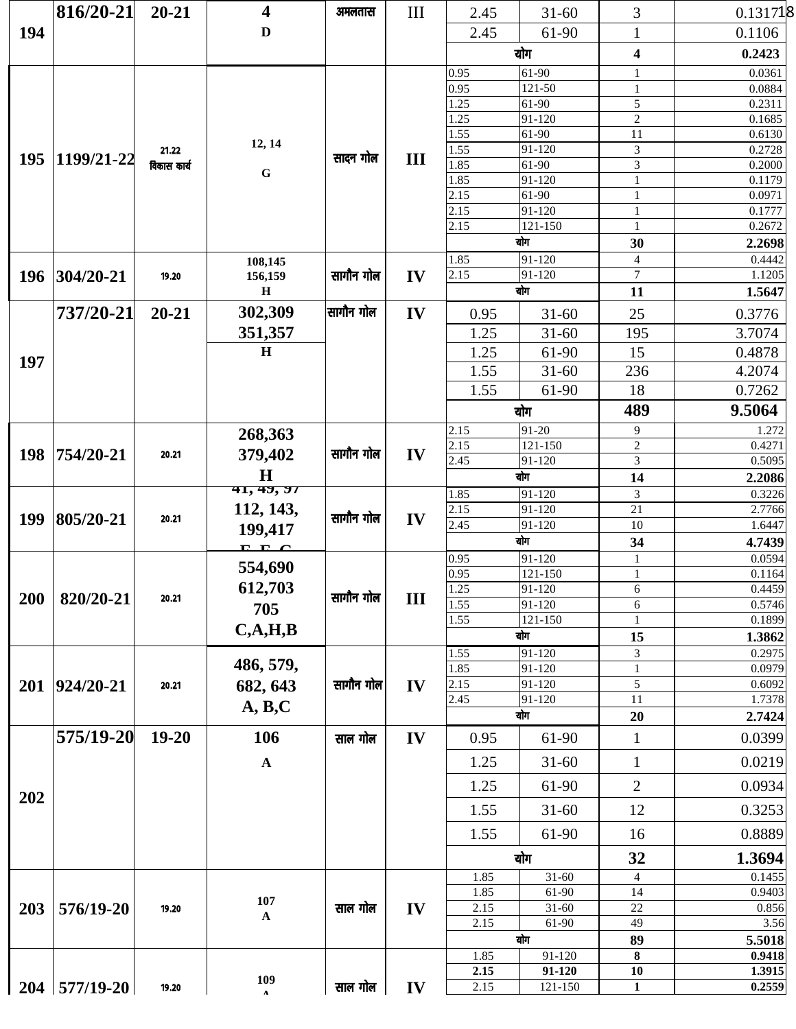|            | $ 816/20-21 $     | $20 - 21$   | 4                  | अमलतास    | III | 2.45         | $31 - 60$          | $\overline{3}$                   | 0.131718         |
|------------|-------------------|-------------|--------------------|-----------|-----|--------------|--------------------|----------------------------------|------------------|
| <b>194</b> |                   |             | D                  |           |     | 2.45         | 61-90              |                                  | 0.1106           |
|            |                   |             |                    |           |     |              | योग                | 4                                | 0.2423           |
|            |                   |             |                    |           |     | 0.95         | 61-90              |                                  | 0.0361           |
|            |                   |             |                    |           |     | 0.95         | 121-50             |                                  | 0.0884           |
|            |                   |             |                    |           |     | 1.25         | 61-90              | 5                                | 0.2311           |
|            |                   |             |                    |           |     | 1.25         | 91-120<br>61-90    | $\overline{2}$                   | 0.1685           |
|            |                   | 21.22       | 12, 14             |           |     | 1.55<br>1.55 | 91-120             | 11<br>$\overline{3}$             | 0.6130<br>0.2728 |
|            | 195 1199/21-22    | विकास कार्य |                    | सादन गोल  | III | 1.85         | 61-90              | 3                                | 0.2000           |
|            |                   |             | G                  |           |     | 1.85         | 91-120             |                                  | 0.1179           |
|            |                   |             |                    |           |     | 2.15         | 61-90              |                                  | 0.0971           |
|            |                   |             |                    |           |     | 2.15         | $91 - 120$         |                                  | 0.1777           |
|            |                   |             |                    |           |     | 2.15         | 121-150<br>योग     |                                  | 0.2672           |
|            |                   |             |                    |           |     | 1.85         | 91-120             | 30                               | 2.2698<br>0.4442 |
|            | 196 304/20-21     | 19.20       | 108,145<br>156,159 | सागौन गोल | IV  | 2.15         | 91-120             | $\overline{4}$<br>$\overline{7}$ | 1.1205           |
|            |                   |             | H                  |           |     |              | योग                | 11                               | 1.5647           |
|            | 737/20-21         | $20 - 21$   | 302,309            | सागौन गोल | IV  |              |                    |                                  |                  |
|            |                   |             |                    |           |     | 0.95         | $31 - 60$          | 25                               | 0.3776           |
|            |                   |             | 351,357            |           |     | 1.25         | $31 - 60$          | 195                              | 3.7074           |
| 197        |                   |             | H                  |           |     | 1.25         | 61-90              | 15                               | 0.4878           |
|            |                   |             |                    |           |     | 1.55         | $31 - 60$          | 236                              | 4.2074           |
|            |                   |             |                    |           |     | 1.55         | 61-90              | 18                               | 0.7262           |
|            |                   |             |                    |           |     |              | योग                | 489                              | 9.5064           |
|            |                   |             | 268,363            |           |     | 2.15         | 91-20              | 9                                | 1.272            |
|            | 198   754/20-21   | 20.21       | 379,402            | सागौन गोल | IV  | 2.15         | 121-150            | $\overline{2}$                   | 0.4271           |
|            |                   |             | $\bf H$            |           |     | 2.45         | 91-120<br>योग      | $\overline{3}$                   | 0.5095           |
|            |                   |             | <u>मा, म9, 97</u>  |           |     | 1.85         | 91-120             | 14<br>$\overline{3}$             | 2.2086<br>0.3226 |
|            |                   |             | 112, 143,          |           |     | 2.15         | 91-120             | 21                               | 2.7766           |
| <b>199</b> | $ 805/20-21 $     | 20.21       | 199,417            | सागौन गोल | IV  | 2.45         | 91-120             | 10                               | 1.6447           |
|            |                   |             | <u>L L C</u>       |           |     |              | योग                | 34                               | 4.7439           |
|            |                   |             |                    |           |     | 0.95         | 91-120             |                                  | 0.0594           |
|            |                   |             | 554,690            |           |     | 0.95         | 121-150            |                                  | 0.1164           |
| 200        | 820/20-21         | 20.21       | 612,703            | सागौन गोल | III | 1.25         | 91-120             | 6                                | 0.4459           |
|            |                   |             | 705                |           |     | 1.55<br>1.55 | 91-120<br>121-150  | 6                                | 0.5746<br>0.1899 |
|            |                   |             | C, A, H, B         |           |     |              | योग                | 15                               | 1.3862           |
|            |                   |             |                    |           |     | 1.55         | 91-120             | 3                                | 0.2975           |
|            |                   |             | 486, 579,          |           |     | 1.85         | 91-120             |                                  | 0.0979           |
| <b>201</b> | $ 924/20-21 $     | 20.21       | 682, 643           | सागौन गोल | IV  | 2.15         | 91-120             | $5\overline{)}$                  | 0.6092           |
|            |                   |             | A, B, C            |           |     | 2.45         | 91-120             | 11                               | 1.7378           |
|            |                   |             |                    |           |     |              | योग                | 20                               | 2.7424           |
|            | 575/19-20         | $19 - 20$   | 106                | साल गोल   | IV  | 0.95         | 61-90              | $\mathbf{1}$                     | 0.0399           |
|            |                   |             | $\mathbf A$        |           |     | 1.25         | $31 - 60$          | $\mathbf{1}$                     | 0.0219           |
| 202        |                   |             |                    |           |     | 1.25         | 61-90              | $\overline{2}$                   | 0.0934           |
|            |                   |             |                    |           |     | 1.55         | $31 - 60$          | 12                               | 0.3253           |
|            |                   |             |                    |           |     | 1.55         | 61-90              | 16                               | 0.8889           |
|            |                   |             |                    |           |     |              | योग                | 32                               | 1.3694           |
|            |                   |             |                    |           |     | 1.85<br>1.85 | $31 - 60$<br>61-90 | $\overline{4}$<br>14             | 0.1455<br>0.9403 |
| <b>203</b> | 576/19-20         | 19.20       | <b>107</b>         | साल गोल   | IV  | 2.15         | $31 - 60$          | $22\,$                           | 0.856            |
|            |                   |             | $\mathbf{A}$       |           |     | 2.15         | 61-90              | 49                               | 3.56             |
|            |                   |             |                    |           |     |              | योग                | 89                               | 5.5018           |
|            |                   |             |                    |           |     | 1.85         | 91-120             | 8                                | 0.9418           |
|            |                   |             | <b>109</b>         |           |     | 2.15         | 91-120             | <b>10</b>                        | 1.3915           |
|            | $204$   577/19-20 | 19.20       | $\blacktriangle$   | साल गोल   | IV  | 2.15         | 121-150            | $\mathbf{1}$                     | 0.2559           |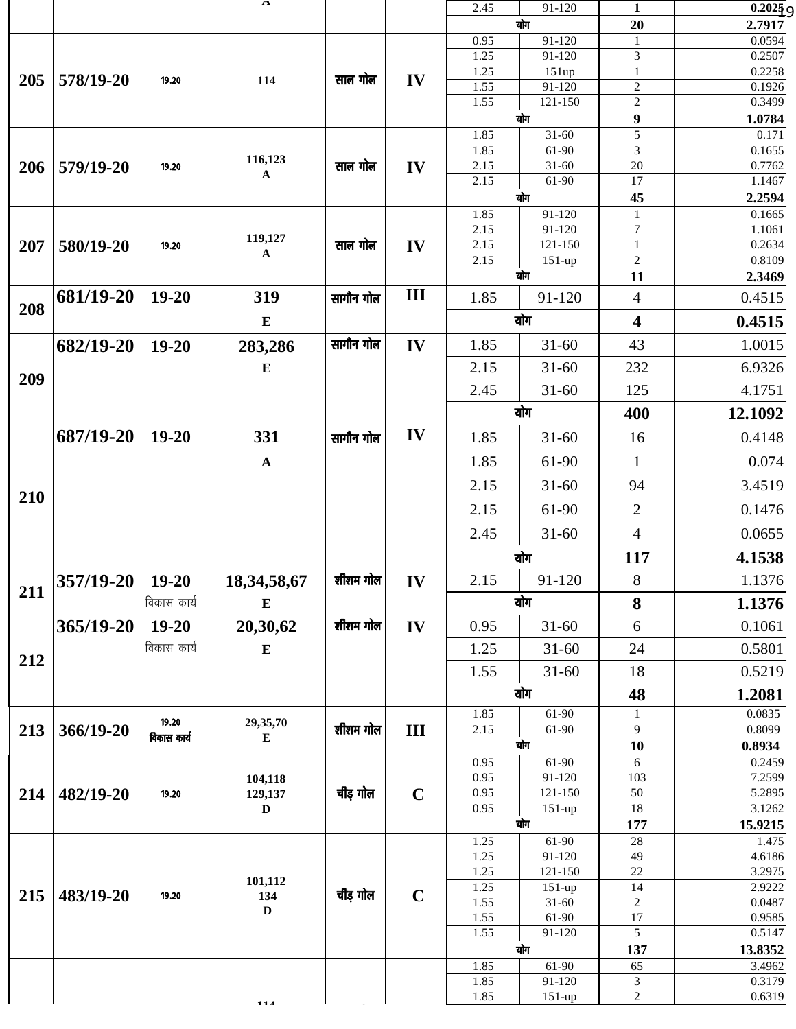|     |               |             | $\mathbf{A}$           |           |             | 2.45         | 91-120            | $\mathbf{1}$                       | $\boxed{0.2025}$ |
|-----|---------------|-------------|------------------------|-----------|-------------|--------------|-------------------|------------------------------------|------------------|
|     |               |             |                        |           |             |              | योग               | 20                                 | 2.7917           |
|     |               |             |                        |           |             | 0.95         | 91-120            |                                    | 0.0594           |
|     |               |             |                        |           |             | 1.25         | 91-120            | 3                                  | 0.2507           |
| 205 | 578/19-20     | 19.20       | 114                    | साल गोल   | IV          | 1.25         | 151up             |                                    | 0.2258           |
|     |               |             |                        |           |             | 1.55         | 91-120<br>121-150 | $\overline{2}$                     | 0.1926           |
|     |               |             |                        |           |             | 1.55         | योग               | $\overline{2}$<br>$\boldsymbol{9}$ | 0.3499<br>1.0784 |
|     |               |             |                        |           |             | 1.85         | $31 - 60$         | 5 <sup>5</sup>                     | 0.171            |
|     |               |             |                        |           |             | 1.85         | 61-90             | 3                                  | 0.1655           |
| 206 | 579/19-20     | 19.20       | 116,123<br>$\mathbf A$ | साल गोल   | IV          | 2.15         | $31 - 60$         | 20                                 | 0.7762           |
|     |               |             |                        |           |             | 2.15         | 61-90             | 17                                 | 1.1467           |
|     |               |             |                        |           |             | 1.85         | योग<br>91-120     | 45                                 | 2.2594<br>0.1665 |
|     |               |             |                        |           |             | 2.15         | 91-120            | $\overline{7}$                     | 1.1061           |
| 207 | 580/19-20     | 19.20       | 119,127                | साल गोल   | IV          | 2.15         | 121-150           |                                    | 0.2634           |
|     |               |             | A                      |           |             | 2.15         | $151$ -up         | $\overline{2}$                     | 0.8109           |
|     |               |             |                        |           |             |              | योग               | 11                                 | 2.3469           |
| 208 | $ 681/19-20 $ | $19 - 20$   | 319                    | सागौन गोल | III         | 1.85         | 91-120            | 4                                  | 0.4515           |
|     |               |             | $\bf{E}$               |           |             |              | योग               | 4                                  | 0.4515           |
|     | 682/19-20     | 19-20       | 283,286                | सागौन गोल | IV          | 1.85         | $31 - 60$         | 43                                 | 1.0015           |
|     |               |             | $\bf{E}$               |           |             | 2.15         | $31 - 60$         | 232                                | 6.9326           |
| 209 |               |             |                        |           |             | 2.45         | $31 - 60$         | 125                                | 4.1751           |
|     |               |             |                        |           |             |              | योग               | 400                                | 12.1092          |
|     | $ 687/19-20 $ | $19 - 20$   | 331                    | सागौन गोल | IV          | 1.85         | $31 - 60$         | 16                                 | 0.4148           |
|     |               |             | $\mathbf{A}$           |           |             | 1.85         | 61-90             | $\mathbf{1}$                       | 0.074            |
|     |               |             |                        |           |             | 2.15         | $31 - 60$         | 94                                 | 3.4519           |
| 210 |               |             |                        |           |             | 2.15         | 61-90             | 2                                  | 0.1476           |
|     |               |             |                        |           |             | 2.45         | $31 - 60$         | $\overline{4}$                     | 0.0655           |
|     |               |             |                        |           |             |              | योग               | 117                                | 4.1538           |
|     | $ 357/19-20 $ | $19-20$     | 18, 34, 58, 67         | शीशम गोल  | IV          | 2.15         | 91-120            | 8                                  | 1.1376           |
| 211 |               | विकास कार्य | ${\bf E}$              |           |             |              | योग               | 8                                  | 1.1376           |
|     | $ 365/19-20 $ | $19-20$     | 20,30,62               | शीशम गोल  | IV          | 0.95         | $31 - 60$         | 6                                  | 0.1061           |
|     |               | विकास कार्य | $\bf{E}$               |           |             | 1.25         | $31 - 60$         | 24                                 | 0.5801           |
| 212 |               |             |                        |           |             | 1.55         | $31 - 60$         | 18                                 | 0.5219           |
|     |               |             |                        |           |             |              | योग               | 48                                 | 1.2081           |
|     |               | 19.20       | 29,35,70               |           |             | 1.85         | 61-90             |                                    | 0.0835           |
| 213 | 366/19-20     | विकास कार्य | E                      | शीशम गोल  | III         | 2.15         | 61-90<br>योग      | 9                                  | 0.8099           |
|     |               |             |                        |           |             | 0.95         | 61-90             | <b>10</b><br>6                     | 0.8934<br>0.2459 |
|     |               |             | 104,118                |           |             | 0.95         | 91-120            | 103                                | 7.2599           |
| 214 | 482/19-20     | 19.20       | 129,137                | चीड़ गोल  | $\mathbf C$ | 0.95         | 121-150           | 50                                 | 5.2895           |
|     |               |             | D                      |           |             | 0.95         | $151$ -up         | 18                                 | 3.1262           |
|     |               |             |                        |           |             |              | योग               | 177                                | 15.9215          |
|     |               |             |                        |           |             | 1.25<br>1.25 | 61-90<br>91-120   | 28<br>49                           | 1.475<br>4.6186  |
|     |               |             |                        |           |             | 1.25         | 121-150           | 22                                 | 3.2975           |
| 215 | 483/19-20     | 19.20       | 101,112<br>134         | चीड़ गोल  | $\mathbf C$ | 1.25         | $151$ -up         | 14                                 | 2.9222           |
|     |               |             | D                      |           |             | 1.55         | $31 - 60$         | $\overline{2}$                     | 0.0487           |
|     |               |             |                        |           |             | 1.55<br>1.55 | 61-90<br>91-120   | 17<br>5                            | 0.9585<br>0.5147 |
|     |               |             |                        |           |             |              | योग               | 137                                | 13.8352          |
|     |               |             |                        |           |             | 1.85         | 61-90             | 65                                 | 3.4962           |
|     |               |             |                        |           |             |              |                   |                                    |                  |
|     |               |             |                        |           |             | 1.85         | 91-120            | $\overline{3}$                     | 0.3179           |